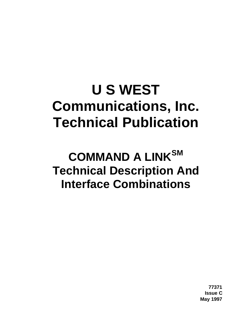# **U S WEST Communications, Inc. Technical Publication**

## **COMMAND A LINKSM Technical Description And Interface Combinations**

**77371 Issue C May 1997**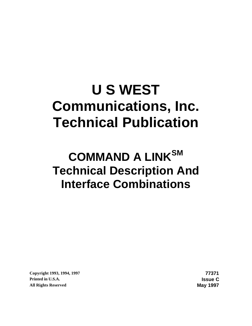# **U S WEST Communications, Inc. Technical Publication**

## **COMMAND A LINKSM Technical Description And Interface Combinations**

**Copyright 1993, 1994, 1997 77371 Printed in U.S.A. Issue C All Rights Reserved May 1997**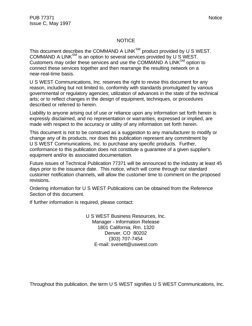#### **NOTICE**

This document describes the COMMAND A LINK $^{SM}$  product provided by U S WEST. COMMAND A LINKSM is an option to several services provided by U S WEST. Customers may order these services and use the COMMAND A LINK $_{\rm SM}$  option to connect these services together and then rearrange the resulting network on a near-real-time basis.

U S WEST Communications, Inc. reserves the right to revise this document for any reason, including but not limited to, conformity with standards promulgated by various governmental or regulatory agencies; utilization of advances in the state of the technical arts; or to reflect changes in the design of equipment, techniques, or procedures described or referred to herein.

Liability to anyone arising out of use or reliance upon any information set forth herein is expressly disclaimed, and no representation or warranties, expressed or implied, are made with respect to the accuracy or utility of any information set forth herein.

This document is not to be construed as a suggestion to any manufacturer to modify or change any of its products, nor does this publication represent any commitment by U S WEST Communications, Inc. to purchase any specific products. Further, conformance to this publication does not constitute a guarantee of a given supplier's equipment and/or its associated documentation.

Future issues of Technical Publication 77371 will be announced to the industry at least 45 days prior to the issuance date. This notice, which will come through our standard customer notification channels, will allow the customer time to comment on the proposed revisions.

Ordering information for U S WEST Publications can be obtained from the Reference Section of this document.

If further information is required, please contact:

U S WEST Business Resources, Inc. Manager - Information Release 1801 California, Rm. 1320 Denver, CO 80202 (303) 707-7454 E-mail: svenett@uswest.com

Throughout this publication, the term U S WEST signifies U S WEST Communications, Inc.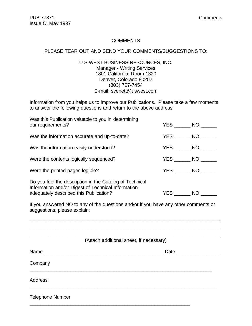#### **COMMENTS**

#### PLEASE TEAR OUT AND SEND YOUR COMMENTS/SUGGESTIONS TO:

U S WEST BUSINESS RESOURCES, INC. Manager - Writing Services 1801 California, Room 1320 Denver, Colorado 80202 (303) 707-7454 E-mail: svenett@uswest.com

Information from you helps us to improve our Publications. Please take a few moments to answer the following questions and return to the above address.

| Was this Publication valuable to you in determining<br>our requirements?                                                                                | YES NO            |      |
|---------------------------------------------------------------------------------------------------------------------------------------------------------|-------------------|------|
| Was the information accurate and up-to-date?                                                                                                            | $YES$ NO $\_$     |      |
| Was the information easily understood?                                                                                                                  | $YES$ NO $\qquad$ |      |
| Were the contents logically sequenced?                                                                                                                  | YES NO            |      |
| Were the printed pages legible?                                                                                                                         | YES NO            |      |
| Do you feel the description in the Catalog of Technical<br>Information and/or Digest of Technical Information<br>adequately described this Publication? | <b>YES</b>        | NO 1 |

If you answered NO to any of the questions and/or if you have any other comments or suggestions, please explain:

|                                                                                                                                                                                                                                           | (Attach additional sheet, if necessary) |
|-------------------------------------------------------------------------------------------------------------------------------------------------------------------------------------------------------------------------------------------|-----------------------------------------|
| Name and the state of the state of the state of the state of the state of the state of the state of the state o<br><u> 1989 - Johann John Stein, september 1989 - John Stein, september 1989 - John Stein, september 1989 - John Stei</u> | Date $\_\_$                             |
| Company                                                                                                                                                                                                                                   |                                         |
| <b>Address</b>                                                                                                                                                                                                                            |                                         |
| <b>Telephone Number</b>                                                                                                                                                                                                                   |                                         |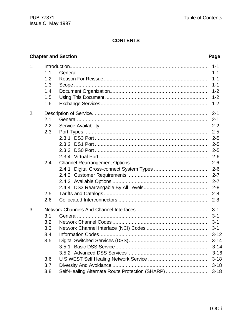#### **CONTENTS**

### **Chapter and Section**

#### Page

| 1.1<br>1.2<br>1.3<br>1.4<br>1.5<br>1.6        | $1 - 1$<br>$1 - 1$<br>$1 - 1$<br>$1 - 1$<br>$1 - 2$<br>$1 - 2$<br>$1 - 2$                                                    |
|-----------------------------------------------|------------------------------------------------------------------------------------------------------------------------------|
| 2.1<br>2.2<br>2.3                             | $2 - 1$<br>$2 - 1$<br>$2 - 2$<br>$2 - 5$<br>$2 - 5$<br>$2 - 5$<br>$2 - 5$<br>$2 - 6$                                         |
| 2.4<br>2.4.1<br>2.5<br>2.6                    | $2 - 6$<br>$2 - 6$<br>$2 - 7$<br>$2 - 7$<br>$2 - 8$<br>$2 - 8$                                                               |
| 3.1<br>3.2<br>3.3<br>3.4<br>3.5<br>3.6<br>3.7 | $3 - 1$<br>$3 - 1$<br>$3 - 1$<br>$3 - 1$<br>$3 - 12$<br>$3 - 14$<br>$3 - 14$<br>$3 - 16$<br>$3 - 18$<br>$3 - 18$<br>$3 - 18$ |
|                                               | Self-Healing Alternate Route Protection (SHARP)<br>3.8                                                                       |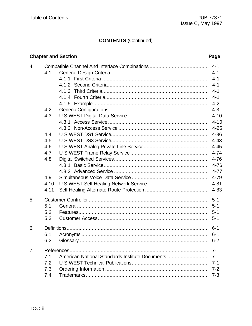### **CONTENTS (Continued)**

### **Chapter and Section**

#### Page

| 4. |      |                                                 | $4 - 1$  |
|----|------|-------------------------------------------------|----------|
|    | 4.1  |                                                 | $4 - 1$  |
|    |      |                                                 | $4 - 1$  |
|    |      |                                                 | $4 - 1$  |
|    |      |                                                 | $4 - 1$  |
|    |      |                                                 | $4 - 1$  |
|    |      |                                                 | $4 - 2$  |
|    | 4.2  |                                                 | $4 - 3$  |
|    | 4.3  |                                                 | $4 - 10$ |
|    |      |                                                 | $4 - 10$ |
|    |      |                                                 | $4 - 25$ |
|    | 4.4  |                                                 | $4 - 36$ |
|    | 4.5  |                                                 | $4 - 43$ |
|    | 4.6  |                                                 | $4 - 45$ |
|    | 4.7  |                                                 | $4 - 74$ |
|    | 4.8  |                                                 | $4 - 76$ |
|    |      |                                                 | $4 - 76$ |
|    |      |                                                 | $4 - 77$ |
|    | 4.9  |                                                 | 4-79     |
|    | 4.10 |                                                 | $4 - 81$ |
|    | 4.11 |                                                 | $4 - 83$ |
| 5. |      |                                                 | $5 - 1$  |
|    | 5.1  |                                                 | $5 - 1$  |
|    | 5.2  |                                                 | $5 - 1$  |
|    | 5.3  |                                                 | $5 - 1$  |
| 6. |      |                                                 | $6 - 1$  |
|    | 6.1  |                                                 | $6 - 1$  |
|    | 6.2  |                                                 | $6 - 2$  |
| 7. |      |                                                 | $7 - 1$  |
|    | 7.1  | American National Standards Institute Documents | 7-1      |
|    | 7.2  |                                                 | $7 - 1$  |
|    | 7.3  |                                                 | $7 - 2$  |
|    | 7.4  |                                                 | $7 - 3$  |
|    |      |                                                 |          |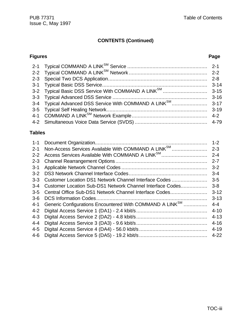## **CONTENTS (Continued)**

#### **Figures Page**

## **Tables**

| $1 - 1$            | Non-Access Services Available With COMMAND A LINK <sup>SM</sup>      | $1 - 2$            |
|--------------------|----------------------------------------------------------------------|--------------------|
| $2 - 1$<br>$2 - 2$ | Access Services Available With COMMAND A LINK <sup>SM</sup>          | $2 - 3$<br>$2 - 4$ |
| $2 - 3$            |                                                                      | $2 - 7$            |
| $3 - 1$            |                                                                      | $3 - 2$            |
| $3 - 2$            |                                                                      | $3 - 4$            |
| $3 - 3$            | Customer Location DS1 Network Channel Interface Codes                | $3 - 5$            |
| $3 - 4$            | Customer Location Sub-DS1 Network Channel Interface Codes            | $3 - 8$            |
| $3-5$              | Central Office Sub-DS1 Network Channel Interface Codes               | $3 - 12$           |
| $3-6$              |                                                                      | $3 - 13$           |
| $4 - 1$            | Generic Configurations Encountered With COMMAND A LINK <sup>SM</sup> | 4-4                |
| $4 - 2$            |                                                                      | $4 - 10$           |
| $4 - 3$            |                                                                      | $4 - 13$           |
| $4 - 4$            |                                                                      | $4 - 16$           |
| $4 - 5$            |                                                                      | $4 - 19$           |
| $4-6$              |                                                                      | $4 - 22$           |
|                    |                                                                      |                    |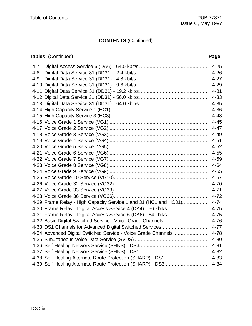### **CONTENTS** (Continued)

### **Tables** (Continued) **Page**

| $4 - 7$ |                                                                  | $4 - 25$ |
|---------|------------------------------------------------------------------|----------|
| $4 - 8$ |                                                                  | $4 - 26$ |
| $4 - 9$ |                                                                  | $4 - 27$ |
|         |                                                                  | $4 - 29$ |
|         |                                                                  | $4 - 31$ |
|         |                                                                  | $4 - 33$ |
|         |                                                                  | $4 - 35$ |
|         |                                                                  | $4 - 36$ |
|         |                                                                  | $4 - 43$ |
|         |                                                                  | $4 - 45$ |
|         |                                                                  | $4 - 47$ |
|         |                                                                  | $4 - 49$ |
|         |                                                                  | $4 - 51$ |
|         |                                                                  | $4 - 52$ |
|         |                                                                  | $4 - 55$ |
|         |                                                                  | 4-59     |
|         |                                                                  | $4 - 64$ |
|         |                                                                  | $4 - 65$ |
|         |                                                                  | $4 - 67$ |
|         |                                                                  | $4 - 70$ |
|         |                                                                  | $4 - 71$ |
|         |                                                                  | $4 - 72$ |
|         | 4-29 Frame Relay - High Capacity Service 1 and 31 (HC1 and HC31) | $4 - 74$ |
|         | 4-30 Frame Relay - Digital Access Service 4 (DA4) - 56 kbit/s    | $4 - 75$ |
|         | 4-31 Frame Relay - Digital Access Service 6 (DA6) - 64 kbit/s    | $4 - 75$ |
|         | 4-32 Basic Digital Switched Service - Voice Grade Channels       | $4 - 76$ |
|         | 4-33 DS1 Channels for Advanced Digital Switched Services         | $4 - 77$ |
|         | 4-34 Advanced Digital Switched Service - Voice Grade Channels    | $4 - 78$ |
|         |                                                                  | $4 - 80$ |
|         |                                                                  | $4 - 81$ |
|         |                                                                  | $4 - 82$ |
|         | 4-38 Self-Healing Alternate Route Protection (SHARP) - DS1       | $4 - 83$ |
|         | 4-39 Self-Healing Alternate Route Protection (SHARP) - DS3       | $4 - 84$ |
|         |                                                                  |          |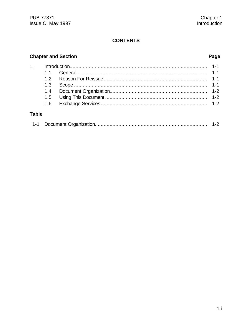#### **CONTENTS**

### **Chapter and Section**

#### Page

## **Table**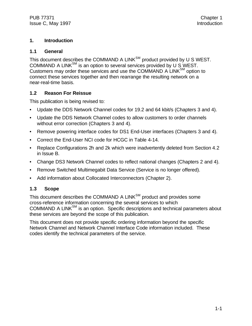#### **1. Introduction**

#### **1.1 General**

This document describes the COMMAND A LINK $^{SM}$  product provided by U S WEST. COMMAND A LINK<sup>SM</sup> is an option to several services provided by U S WEST. Customers may order these services and use the COMMAND A LINK<sup>SM</sup> option to connect these services together and then rearrange the resulting network on a near-real-time basis.

#### **1.2 Reason For Reissue**

This publication is being revised to:

- Update the DDS Network Channel codes for 19.2 and 64 kbit/s (Chapters 3 and 4).
- Update the DDS Network Channel codes to allow customers to order channels without error correction (Chapters 3 and 4).
- Remove powering interface codes for DS1 End-User interfaces (Chapters 3 and 4).
- Correct the End-User NCI code for HCGC in Table 4-14.
- Replace Configurations 2h and 2k which were inadvertently deleted from Section 4.2 in Issue B.
- Change DS3 Network Channel codes to reflect national changes (Chapters 2 and 4).
- Remove Switched Multimegabit Data Service (Service is no longer offered).
- Add information about Collocated Interconnectors (Chapter 2).

#### **1.3 Scope**

This document describes the COMMAND A  $LINK^{SM}$  product and provides some cross-reference information concerning the several services to which COMMAND A LINK<sup>SM</sup> is an option. Specific descriptions and technical parameters about these services are beyond the scope of this publication.

This document does not provide specific ordering information beyond the specific Network Channel and Network Channel Interface Code information included. These codes identify the technical parameters of the service.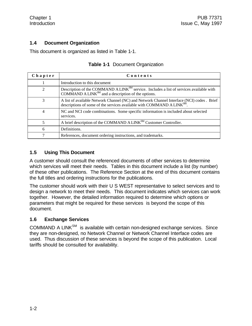#### **1.4 Document Organization**

This document is organized as listed in Table 1-1.

| Chapter | Contents                                                                                                                                                                         |
|---------|----------------------------------------------------------------------------------------------------------------------------------------------------------------------------------|
|         | Introduction to this document                                                                                                                                                    |
| 2       | Description of the COMMAND A LINK <sup>SM</sup> service. Includes a list of services available with<br>COMMAND A LINK $^{SM}$ and a description of the options.                  |
| 3       | A list of available Network Channel (NC) and Network Channel Interface (NCI) codes . Brief<br>descriptions of some of the services available with COMMAND A LINK <sup>SM</sup> . |
| 4       | NC and NCI code combinations. Some specific information is included about selected<br>services.                                                                                  |
| 5       | A brief description of the COMMAND A LINK <sup>SM</sup> Customer Controller.                                                                                                     |
| 6       | Definitions.                                                                                                                                                                     |
|         | References, document ordering instructions, and trademarks.                                                                                                                      |

#### **Table 1-1** Document Organization

#### **1.5 Using This Document**

A customer should consult the referenced documents of other services to determine which services will meet their needs. Tables in this document include a list (by number) of these other publications. The Reference Section at the end of this document contains the full titles and ordering instructions for the publications.

The customer should work with their U S WEST representative to select services and to design a network to meet their needs. This document indicates which services can work together. However, the detailed information required to determine which options or parameters that might be required for these services is beyond the scope of this document.

#### **1.6 Exchange Services**

 $COMMAND A LINK<sup>SM</sup>$  is available with certain non-designed exchange services. Since they are non-designed, no Network Channel or Network Channel Interface codes are used. Thus discussion of these services is beyond the scope of this publication. Local tariffs should be consulted for availability.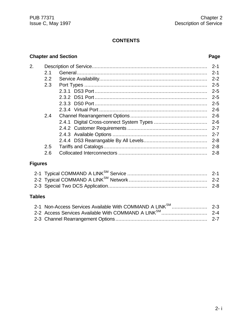#### **CONTENTS**

#### **Chapter and Section Page**

| $\overline{2}$ . |                | $2 - 1$ |
|------------------|----------------|---------|
|                  | 2 <sub>1</sub> | $2 - 1$ |
|                  | 2.2            | $2 - 2$ |
|                  | 2.3            | $2 - 5$ |
|                  |                | $2 - 5$ |
|                  |                | $2 - 5$ |
|                  |                | $2 - 5$ |
|                  |                | $2 - 6$ |
|                  | 2.4            | $2 - 6$ |
|                  |                |         |
|                  |                |         |
|                  |                | $2 - 7$ |
|                  |                | $2 - 8$ |
|                  | 2.5            | $2 - 8$ |
|                  | 2.6            | $2 - 8$ |
|                  |                |         |

### **Figures**

### **Tables**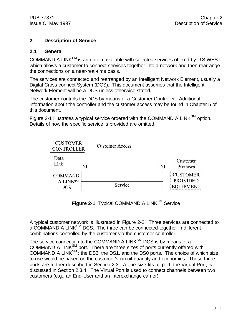#### **2. Description of Service**

#### **2.1 General**

COMMAND A LINK $^{SM}$  is an option available with selected services offered by U S WEST which allows a customer to connect services together into a network and then rearrange the connections on a near-real-time basis.

The services are connected and rearranged by an Intelligent Network Element, usually a Digital Cross-connect System (DCS). This document assumes that the Intelligent Network Element will be a DCS unless otherwise stated.

The customer controls the DCS by means of a Customer Controller. Additional information about the controller and the customer access may be found in Chapter 5 of this document.

Figure 2-1 illustrates a typical service ordered with the COMMAND A LINK $^{SM}$  option. Details of how the specific service is provided are omitted.



Figure 2-1 Typical COMMAND A LINK<sup>SM</sup> Service

A typical customer network is illustrated in Figure 2-2. Three services are connected to a COMMAND A LINK<sup>SM</sup> DCS. The three can be connected together in different combinations controlled by the customer via the customer controller.

The service connection to the COMMAND A LINK $^{SM}$  DCS is by means of a COMMAND A LINKSM port. There are three sizes of ports currently offered with COMMAND A LINK $^{SM}$ : the DS3, the DS1, and the DS0 ports. The choice of which size to use would be based on the customer's circuit quantity and economics. These three ports are further described in Section 2.3. A one-size-fits-all port, the Virtual Port, is discussed in Section 2.3.4. The Virtual Port is used to connect channels between two customers (e.g., an End-User and an interexchange carrier).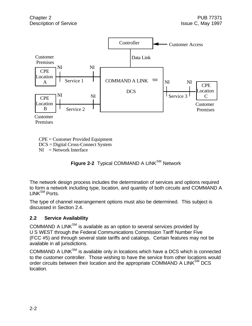

CPE = Customer Provided Equipment DCS = Digital Cross-Connect System  $NI = Network$  Interface

**Figure 2-2** Typical COMMAND A LINK<sup>SM</sup> Network

The network design process includes the determination of services and options required to form a network including type, location, and quantity of both circuits and COMMAND A  $LINK^{SM}$  Ports.

The type of channel rearrangement options must also be determined. This subject is discussed in Section 2.4.

#### **2.2 Service Availability**

 $COMMAND A LINK<sup>SM</sup>$  is available as an option to several services provided by U S WEST through the Federal Communications Commission Tariff Number Five (FCC #5) and through several state tariffs and catalogs. Certain features may not be available in all jurisdictions.

 $COMMAND A LINK<sup>SM</sup>$  is available only in locations which have a DCS which is connected to the customer controller. Those wishing to have the service from other locations would order circuits between their location and the appropriate COMMAND A LINK<sup>SM</sup> DCS location.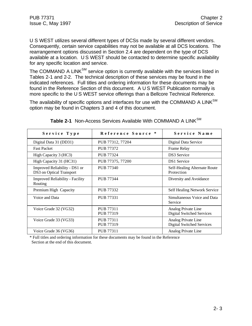U S WEST utilizes several different types of DCSs made by several different vendors. Consequently, certain service capabilities may not be available at all DCS locations. The rearrangement options discussed in Section 2.4 are dependent on the type of DCS available at a location. U S WEST should be contacted to determine specific availability for any specific location and service.

The COMMAND A LINK $^{SM}$  service option is currently available with the services listed in Tables 2-1 and 2-2. The technical description of these services may be found in the indicated references. Full titles and ordering information for these documents may be found in the Reference Section of this document. A U S WEST Publication normally is more specific to the U S WEST service offerings than a Bellcore Technical Reference.

The availability of specific options and interfaces for use with the COMMAND A  $LINK^{SM}$ option may be found in Chapters 3 and 4 of this document.

| Service Type                                              | Reference Source *            | Service Name                                            |
|-----------------------------------------------------------|-------------------------------|---------------------------------------------------------|
| Digital Data 31 (DD31)                                    | PUB 77312, 77204              | Digital Data Service                                    |
| <b>Fast Packet</b>                                        | <b>PUB 77372</b>              | Frame Relay                                             |
| High Capacity 3 (HC3)                                     | <b>PUB 77324</b>              | <b>DS3</b> Service                                      |
| High Capacity 31 (HC31)                                   | PUB 77375, 77200              | <b>DS1</b> Service                                      |
| Improved Reliability - DS1 or<br>DS3 on Optical Transport | <b>PUB 77340</b>              | Self-Healing Alternate Route<br>Protection              |
| <b>Improved Reliability - Facility</b><br>Routing         | PUB 77344                     | Diversity and Avoidance                                 |
| Premium High Capacity                                     | PUB 77332                     | Self Healing Network Service                            |
| Voice and Data                                            | <b>PUB 77331</b>              | Simultaneous Voice and Data<br>Service                  |
| Voice Grade 32 (VG32)                                     | PUB 77311<br>PUB 77319        | Analog Private Line<br><b>Digital Switched Services</b> |
| Voice Grade 33 (VG33)                                     | PUB 77311<br><b>PUB 77319</b> | Analog Private Line<br><b>Digital Switched Services</b> |
| Voice Grade 36 (VG36)                                     | <b>PUB 77311</b>              | Analog Private Line                                     |

| <b>Table 2-1</b> Non-Access Services Available With COMMAND A LINK $^{SM}$ |  |  |  |
|----------------------------------------------------------------------------|--|--|--|
|                                                                            |  |  |  |

\* Full titles and ordering information for these documents may be found in the Reference Section at the end of this document.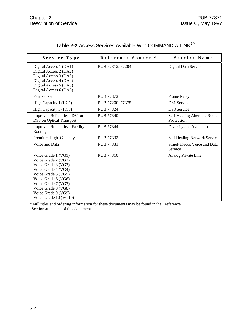| Service Type                                                                                                                                                                                                                         | Reference Source * | Service Name                               |
|--------------------------------------------------------------------------------------------------------------------------------------------------------------------------------------------------------------------------------------|--------------------|--------------------------------------------|
| Digital Access 1 (DA1)<br>Digital Access 2 (DA2)<br>Digital Access 3 (DA3)<br>Digital Access 4 (DA4)<br>Digital Access 5 (DA5)<br>Digital Access 6 (DA6)                                                                             | PUB 77312, 77204   | Digital Data Service                       |
| <b>Fast Packet</b>                                                                                                                                                                                                                   | PUB 77372          | Frame Relay                                |
| High Capacity 1 (HC1)                                                                                                                                                                                                                | PUB 77200, 77375   | <b>DS1</b> Service                         |
| High Capacity 3 (HC3)                                                                                                                                                                                                                | <b>PUB 77324</b>   | <b>DS3</b> Service                         |
| Improved Reliability - DS1 or<br>DS3 on Optical Transport                                                                                                                                                                            | <b>PUB 77340</b>   | Self-Healing Alternate Route<br>Protection |
| <b>Improved Reliability - Facility</b><br>Routing                                                                                                                                                                                    | PUB 77344          | Diversity and Avoidance                    |
| Premium High Capacity                                                                                                                                                                                                                | PUB 77332          | Self Healing Network Service               |
| Voice and Data                                                                                                                                                                                                                       | PUB 77331          | Simultaneous Voice and Data<br>Service     |
| Voice Grade 1 (VG1)<br>Voice Grade 2 (VG2)<br>Voice Grade 3 (VG3)<br>Voice Grade 4 (VG4)<br>Voice Grade 5 (VG5)<br>Voice Grade 6 (VG6)<br>Voice Grade 7 (VG7)<br>Voice Grade 8 (VG8)<br>Voice Grade 9 (VG9)<br>Voice Grade 10 (VG10) | <b>PUB 77310</b>   | Analog Private Line                        |

| Table 2-2 Access Services Available With COMMAND A LINK <sup>SM</sup> |  |
|-----------------------------------------------------------------------|--|
|-----------------------------------------------------------------------|--|

\* Full titles and ordering information for these documents may be found in the Reference Section at the end of this document.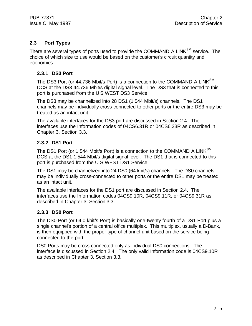#### **2.3 Port Types**

There are several types of ports used to provide the COMMAND A LINK<sup>SM</sup> service. The choice of which size to use would be based on the customer's circuit quantity and economics.

#### **2.3.1 DS3 Port**

The DS3 Port (or 44.736 Mbit/s Port) is a connection to the COMMAND A LINK<sup>SM</sup> DCS at the DS3 44.736 Mbit/s digital signal level. The DS3 that is connected to this port is purchased from the U S WEST DS3 Service.

The DS3 may be channelized into 28 DS1 (1.544 Mbit/s) channels. The DS1 channels may be individually cross-connected to other ports or the entire DS3 may be treated as an intact unit.

The available interfaces for the DS3 port are discussed in Section 2.4. The interfaces use the Information codes of 04CS6.31R or 04CS6.33R as described in Chapter 3, Section 3.3.

#### **2.3.2 DS1 Port**

The DS1 Port (or 1.544 Mbit/s Port) is a connection to the COMMAND A LINK $^{SM}$ DCS at the DS1 1.544 Mbit/s digital signal level. The DS1 that is connected to this port is purchased from the U S WEST DS1 Service.

The DS1 may be channelized into 24 DS0 (64 kbit/s) channels. The DS0 channels may be individually cross-connected to other ports or the entire DS1 may be treated as an intact unit.

The available interfaces for the DS1 port are discussed in Section 2.4. The interfaces use the Information codes 04CS9.10R, 04CS9.11R, or 04CS9.31R as described in Chapter 3, Section 3.3.

#### **2.3.3 DS0 Port**

The DS0 Port (or 64.0 kbit/s Port) is basically one-twenty fourth of a DS1 Port plus a single channel's portion of a central office multiplex. This multiplex, usually a D-Bank, is then equipped with the proper type of channel unit based on the service being connected to the port.

DS0 Ports may be cross-connected only as individual DS0 connections. The interface is discussed in Section 2.4. The only valid Information code is 04CS9.10R as described in Chapter 3, Section 3.3.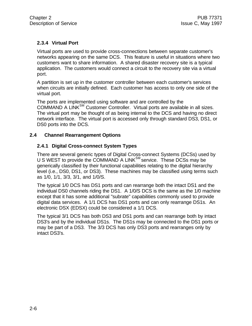#### **2.3.4 Virtual Port**

Virtual ports are used to provide cross-connections between separate customer's networks appearing on the same DCS. This feature is useful in situations where two customers want to share information. A shared disaster recovery site is a typical application. The customers would connect a circuit to the recovery site via a virtual port.

A partition is set up in the customer controller between each customer's services when circuits are initially defined. Each customer has access to only one side of the virtual port.

The ports are implemented using software and are controlled by the COMMAND A LINK<sup>SM</sup> Customer Controller. Virtual ports are available in all sizes. The virtual port may be thought of as being internal to the DCS and having no direct network interface. The virtual port is accessed only through standard DS3, DS1, or DS0 ports into the DCS.

#### **2.4 Channel Rearrangement Options**

#### **2.4.1 Digital Cross-connect System Types**

There are several generic types of Digital Cross-connect Systems (DCSs) used by U S WEST to provide the COMMAND A LINK<sup>SM</sup> service. These DCSs may be generically classified by their functional capabilities relating to the digital hierarchy level (i.e., DS0, DS1, or DS3). These machines may be classified using terms such as 1/0, 1/1, 3/3, 3/1, and 1/0/S.

The typical 1/0 DCS has DS1 ports and can rearrange both the intact DS1 and the individual DS0 channels riding the DS1. A 1/0/S DCS is the same as the 1/0 machine except that it has some additional "subrate" capabilities commonly used to provide digital data services. A 1/1 DCS has DS1 ports and can only rearrange DS1s. An electronic DSX (EDSX) could be considered a 1/1 DCS.

The typical 3/1 DCS has both DS3 and DS1 ports and can rearrange both by intact DS3's and by the individual DS1s. The DS1s may be connected to the DS1 ports or may be part of a DS3. The 3/3 DCS has only DS3 ports and rearranges only by intact DS3's.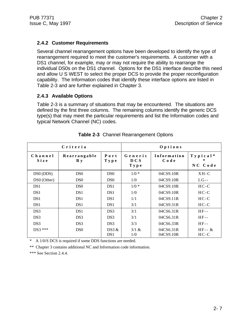#### **2.4.2 Customer Requirements**

Several channel rearrangement options have been developed to identify the type of rearrangement required to meet the customer's requirements. A customer with a DS1 channel, for example, may or may not require the ability to rearrange the individual DS0s on the DS1 channel. Options for the DS1 interface describe this need and allow U S WEST to select the proper DCS to provide the proper reconfiguration capability. The Information codes that identify these interface options are listed in Table 2-3 and are further explained in Chapter 3.

#### **2.4.3 Available Options**

Table 2-3 is a summary of situations that may be encountered. The situations are defined by the first three columns. The remaining columns identify the generic DCS type(s) that may meet the particular requirements and list the Information codes and typical Network Channel (NC) codes.

| Criteria              |                            |                          |                               | Options                |                        |
|-----------------------|----------------------------|--------------------------|-------------------------------|------------------------|------------------------|
| Channel<br>Size       | Rearrangable<br><b>B</b> y | Port<br>Type             | Generic<br><b>DCS</b><br>Type | Information<br>Code    | $Ty$ pical*<br>NC Code |
| DS <sub>0</sub> (DDS) | DS <sub>0</sub>            | DS <sub>0</sub>          | $1/0 *$                       | 04CS9.10R              | $XH-C$                 |
| DS0 (Other)           | DS <sub>0</sub>            | DS <sub>0</sub>          | 1/0                           | 04CS9.10R              | $LG$ --                |
| DS <sub>1</sub>       | DS <sub>0</sub>            | DS <sub>1</sub>          | $1/0$ *                       | 04CS9.10R              | $HC-C$                 |
| DS <sub>1</sub>       | DS <sub>1</sub>            | DS <sub>1</sub>          | 1/0                           | 04CS9.10R              | $HC-C$                 |
| DS <sub>1</sub>       | DS <sub>1</sub>            | DS <sub>1</sub>          | 1/1                           | 04CS9.11R              | $HC-C$                 |
| DS <sub>1</sub>       | DS <sub>1</sub>            | DS <sub>1</sub>          | 3/1                           | 04CS9.31R              | $HC-C$                 |
| DS <sub>3</sub>       | DS <sub>1</sub>            | DS3                      | 3/1                           | 04CS6.31R              | $HF-$                  |
| DS <sub>3</sub>       | DS <sub>3</sub>            | DS3                      | 3/1                           | 04CS6.31R              | $HF-$                  |
| DS <sub>3</sub>       | DS3                        | DS <sub>3</sub>          | 3/3                           | 04CS6.33R              | $HF-$                  |
| DS3 ***               | D <sub>S0</sub>            | DS3 &<br>DS <sub>1</sub> | 3/1 &<br>1/0                  | 04CS6.31R<br>04CS9.10R | $HF - \&$<br>$HC-C$    |

|  | Table 2-3 Channel Rearrangement Options |  |
|--|-----------------------------------------|--|
|  |                                         |  |

\* A 1/0/S DCS is required if some DDS functions are needed.

\*\* Chapter 3 contains additional NC and Information code information.

\*\*\* See Section 2.4.4.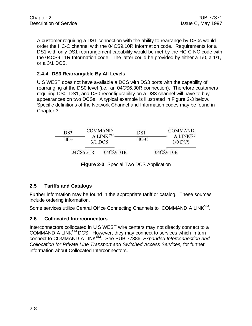A customer requiring a DS1 connection with the ability to rearrange by DS0s would order the HC-C channel with the 04CS9.10R Information code. Requirements for a DS1 with only DS1 rearrangement capability would be met by the HC-C NC code with the 04CS9.11R Information code. The latter could be provided by either a 1/0, a 1/1, or a 3/1 DCS.

#### **2.4.4 DS3 Rearrangable By All Levels**

U S WEST does not have available a DCS with DS3 ports with the capability of rearranging at the DS0 level (i.e., an 04CS6.30R connection). Therefore customers requiring DS0, DS1, and DS0 reconfigurability on a DS3 channel will have to buy appearances on two DCSs. A typical example is illustrated in Figure 2-3 below. Specific definitions of the Network Channel and Information codes may be found in Chapter 3.

| DS3   |           | COMMAND                           | DS1  | <b>COMMAND</b>                    |  |
|-------|-----------|-----------------------------------|------|-----------------------------------|--|
| $HF-$ |           | A LINK <sup>SM</sup><br>$3/1$ DCS | HC-C | A LINK <sup>SM</sup><br>$1/0$ DCS |  |
|       | 04CS6.31R | 04CS9.31R                         |      | 04CS9.10R                         |  |

**Figure 2-3** Special Two DCS Application

#### **2.5 Tariffs and Catalogs**

Further information may be found in the appropriate tariff or catalog. These sources include ordering information.

Some services utilize Central Office Connecting Channels to COMMAND A LINK<sup>SM</sup>.

#### **2.6 Collocated Interconnectors**

Interconnectors collocated in U S WEST wire centers may not directly connect to a COMMAND A LINKSM DCS. However, they may connect to services which in turn connect to COMMAND A LINKSM. See PUB 77386, *Expanded Interconnection and Collocation for Private Line Transport and Switched Access Services,* for further information about Collocated Interconnectors.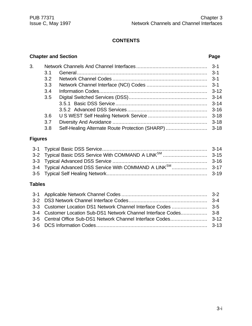### **CONTENTS**

#### **Chapter and Section Page**

| 3. |     |          |
|----|-----|----------|
|    | 3.1 |          |
|    | 3.2 |          |
|    | 3.3 |          |
|    | 3.4 |          |
|    | 3.5 |          |
|    |     |          |
|    |     |          |
|    | 3.6 |          |
|    | 3.7 | $3 - 18$ |
|    | 3.8 |          |

### **Figures**

#### **Tables**

| 3-4 Customer Location Sub-DS1 Network Channel Interface Codes 3-8 |  |
|-------------------------------------------------------------------|--|
|                                                                   |  |
|                                                                   |  |
|                                                                   |  |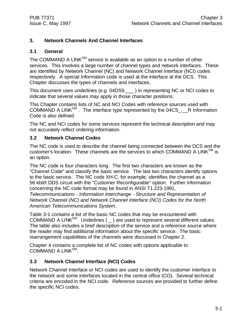#### **3. Network Channels And Channel Interfaces**

#### **3.1 General**

The COMMAND A LINK<sup>SM</sup> service is available as an option to a number of other services. This involves a large number of channel types and network interfaces. These are identified by Network Channel (NC) and Network Channel Interface (NCI) codes respectively. A special Information code is used at the interface at the DCS. This Chapter discusses the types of channels and interfaces.

This document uses underlines (e.g. 04DS9. ) in representing NC or NCI codes to indicate that several values may apply in those character positions.

This Chapter contains lists of NC and NCI Codes with reference sources used with COMMAND A LINK<sup>SM</sup>. The interface type represented by the 04CS\_. R Information Code is also defined.

The NC and NCI codes for some services represent the technical description and may not accurately reflect ordering information.

#### **3.2 Network Channel Codes**

The NC code is used to describe the channel being connected between the DCS and the customer's location. These channels are the services to which COMMAND A LINK<sup>SM</sup> is an option.

The NC code is four characters long. The first two characters are known as the "Channel Code" and classify the basic service. The last two characters identify options to the basic service. The NC code XH-C, for example, identifies the channel as a 56 kbit/t DDS circuit with the "Customer Reconfigurable" option. Further information concerning the NC code format may be found in ANSI T1.223-1991, *Telecommunications - Information Interchange - Structure and Representation of Network Channel (NC) and Network Channel Interface (NCI) Codes for the North American Telecommunications System*.

Table 3-1 contains a list of the basic NC codes that may be encountered with COMMAND A LINK<sup>SM</sup>. Underlines ( $_$ ) are used to represent several different values. The table also includes a brief description of the service and a reference source where the reader may find additional information about the specific service. The basic rearrangement capabilities of the channels were discussed in Chapter 2.

Chapter 4 contains a complete list of NC codes with options applicable to COMMAND A LINK<sup>SM</sup>.

#### **3.3 Network Channel Interface (NCI) Codes**

Network Channel Interface or NCI codes are used to identify the customer interface to the network and some interfaces located in the central office (CO). Several technical criteria are encoded in the NCI code. Reference sources are provided to further define the specific NCI codes.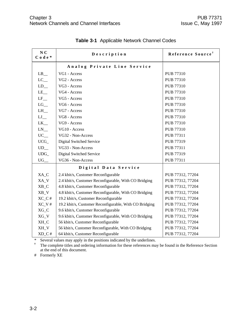| N <sub>C</sub><br>$C$ o d e $*$ | Description                                            | Reference Source <sup>†</sup> |
|---------------------------------|--------------------------------------------------------|-------------------------------|
|                                 | Analog Private Line Service                            |                               |
| $LB$ <sub>__</sub>              | VG1 - Access                                           | PUB 77310                     |
| $LC$ <sub>—</sub>               | VG2 - Access                                           | <b>PUB 77310</b>              |
| $LD_$                           | VG3 - Access                                           | <b>PUB 77310</b>              |
| $LE$ <sub><math>-</math></sub>  | VG4 - Access                                           | <b>PUB 77310</b>              |
| $LF$ <sub>—</sub>               | VG5 - Access                                           | <b>PUB 77310</b>              |
| $LG$ <sub>__</sub>              | VG6 - Access                                           | PUB 77310                     |
| $LH$ <sub>__</sub>              | VG7 - Access                                           | <b>PUB 77310</b>              |
| $LJ$ <sub>—</sub>               | VG8 - Access                                           | <b>PUB 77310</b>              |
| $LK_{-}$                        | VG9 - Access                                           | <b>PUB 77310</b>              |
| $LN$ <sub>__</sub>              | VG10 - Access                                          | <b>PUB 77310</b>              |
| $UC$ <sub>—</sub>               | VG32 - Non-Access                                      | PUB 77311                     |
| $UCG_$                          | Digital Switched Service                               | PUB 77319                     |
| $UD$ <sub>—</sub>               | VG33 - Non-Access                                      | PUB 77311                     |
| $UDG_$                          | Digital Switched Service                               | PUB 77319                     |
| $UG$ <sub>—</sub>               | VG36 - Non-Access                                      | <b>PUB 77311</b>              |
|                                 | Digital Data Service                                   |                               |
| XA_C                            | 2.4 kbit/s, Customer Reconfigurable                    | PUB 77312, 77204              |
| XA_V                            | 2.4 kbit/s, Customer Reconfigurable, With CO Bridging  | PUB 77312, 77204              |
| $XB_C$                          | 4.8 kbit/s, Customer Reconfigurable                    | PUB 77312, 77204              |
| $XB_V$                          | 4.8 kbit/s, Customer Reconfigurable, With CO Bridging  | PUB 77312, 77204              |
| $XC_C$ #                        | 19.2 kbit/s, Customer Reconfigurable                   | PUB 77312, 77204              |
| $XC_V$ #                        | 19.2 kbit/s, Customer Reconfigurable, With CO Bridging | PUB 77312, 77204              |
| $XG_C$                          | 9.6 kbit/s, Customer Reconfigurable                    | PUB 77312, 77204              |
| $XG_V$                          | 9.6 kbit/s, Customer Reconfigurable, With CO Bridging  | PUB 77312, 77204              |
| XH_C                            | 56 kbit/s, Customer Reconfigurable                     | PUB 77312, 77204              |
| XH_V                            | 56 kbit/s, Customer Reconfigurable, With CO Bridging   | PUB 77312, 77204              |
| $XD_C$ #                        | 64 kbit/s, Customer Reconfigurable                     | PUB 77312, 77204              |

**Table 3-1** Applicable Network Channel Codes

\* Several values may apply in the positions indicated by the underlines.

**†** The complete titles and ordering information for these references may be found in the Reference Section at the end of this document.

# Formerly XE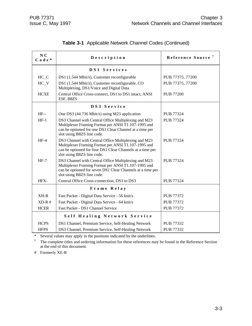| N <sub>C</sub><br>$C$ o d e $*$ | Description                                                                                                                                                                                             | Reference Source <sup>†</sup> |
|---------------------------------|---------------------------------------------------------------------------------------------------------------------------------------------------------------------------------------------------------|-------------------------------|
|                                 | DS1 Services                                                                                                                                                                                            |                               |
| $HC_C$                          | DS1 (1.544 Mbit/s), Customer reconfigurable                                                                                                                                                             | PUB 77375, 77200              |
| $HC_V$                          | DS1 (1.544 Mbit/s), Customer reconfigurable, CO<br>Multiplexing, DS1/Voice and Digital Data                                                                                                             | PUB 77375, 77200              |
| <b>HCXE</b>                     | Central Office Cross-connect, DS1 to DS1 intact, ANSI<br>ESF, B8ZS                                                                                                                                      | <b>PUB 77200</b>              |
|                                 | DS3 Service                                                                                                                                                                                             |                               |
| $HF-$                           | One DS3 (44.736 Mbit/s) using M23 application                                                                                                                                                           | PUB 77324                     |
| $HF-1$                          | DS3 Channel with Central Office Multiplexing and M23<br>Multiplexer Framing Format per ANSI T1.107-1995 and<br>can be optioned for one DS1 Clear Channel at a time per<br>slot using B8ZS line code.    | <b>PUB 77324</b>              |
| $HF-4$                          | DS3 Channel with Central Office Multiplexing and M23<br>Multiplexer Framing Format per ANSI T1.107-1995 and<br>can be optioned for four DS1 Clear Channels at a time per<br>slot using B8ZS line code.  | <b>PUB 77324</b>              |
| $HF-7$                          | DS3 Channel with Central Office Multiplexing and M23<br>Multiplexer Framing Format per ANSI T1.107-1995 and<br>can be optioned for seven DS1 Clear Channels at a time per<br>slot using B8ZS line code. | <b>PUB 77324</b>              |
| HFX-                            | Central Office Cross-connection, DS3 to DS3                                                                                                                                                             | PUB 77324                     |
|                                 | Frame Relay                                                                                                                                                                                             |                               |
| $XH-R$                          | Fast Packet - Digital Data Service - 56 knit/s                                                                                                                                                          | <b>PUB 77372</b>              |
| $XD-R$ #                        | Fast Packet - Digital Data Service - 64 knit/s                                                                                                                                                          | <b>PUB 77372</b>              |
| <b>HCER</b>                     | Fast Packet - DS1 Channel Service                                                                                                                                                                       | <b>PUB 77372</b>              |
|                                 | Self Healing Network Service                                                                                                                                                                            |                               |
| <b>HCPS</b>                     | DS1 Channel, Premium Service, Self-Healing Network                                                                                                                                                      | PUB 77332                     |
| <b>HFPS</b>                     | DS3 Channel, Premium Service, Self-Healing Network                                                                                                                                                      | PUB 77332                     |

#### **Table 3-1** Applicable Network Channel Codes (Continued)

\* Several values may apply in the positions indicated by the underlines.

**†** The complete titles and ordering information for these references may be found in the Reference Section at the end of this document.

# Formerly XE-R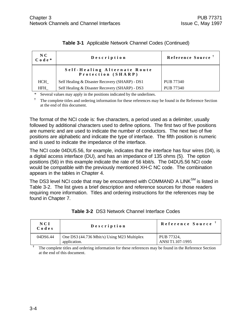| N C<br>$C$ o d e $*$ | Description                                        | Reference Source |
|----------------------|----------------------------------------------------|------------------|
|                      | Self-Healing Alternate Route<br>Protection (SHARP) |                  |
| HCH                  | Self Healing & Disaster Recovery (SHARP) - DS1     | PUB 77340        |
| HFH                  | Self Healing & Disaster Recovery (SHARP) - DS3     | PUB 77340        |

Several values may apply in the positions indicated by the underlines.

**†** The complete titles and ordering information for these references may be found in the Reference Section at the end of this document.

The format of the NCI code is: five characters, a period used as a delimiter, usually followed by additional characters used to define options. The first two of five positions are numeric and are used to indicate the number of conductors. The next two of five positions are alphabetic and indicate the type of interface. The fifth position is numeric and is used to indicate the impedance of the interface.

The NCI code 04DU5.56, for example, indicates that the interface has four wires (04), is a digital access interface (DU), and has an impedance of 135 ohms (5). The option positions (56) in this example indicate the rate of 56 kbit/s. The 04DU5.56 NCI code would be compatible with the previously mentioned XH-C NC code. The combination appears in the tables in Chapter 4.

The DS3 level NCI code that may be encountered with COMMAND A LINK $^{SM}$  is listed in Table 3-2. The list gives a brief description and reference sources for those readers requiring more information. Titles and ordering instructions for the references may be found in Chapter 7.

| NCI<br>Codes                                                                                            | Description                                                 | Reference Source               |  |
|---------------------------------------------------------------------------------------------------------|-------------------------------------------------------------|--------------------------------|--|
| 04DS6.44                                                                                                | One DS3 (44.736 Mbit/s) Using M23 Multiplex<br>application. | PUB 77324.<br>ANSI T1.107-1995 |  |
| The complete titles and ordering information for these references may be found in the Deference Section |                                                             |                                |  |

| Table 3-2 DS3 Network Channel Interface Codes |
|-----------------------------------------------|
|-----------------------------------------------|

The complete titles and ordering information for these references may be found in the Reference Section at the end of this document.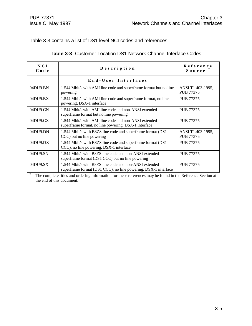**†**

Table 3-3 contains a list of DS1 level NCI codes and references.

|  |  |  |  | <b>Table 3-3</b> Customer Location DS1 Network Channel Interface Codes |  |
|--|--|--|--|------------------------------------------------------------------------|--|
|--|--|--|--|------------------------------------------------------------------------|--|

| NCI<br>Code    | Description                                                                                                              | Reference<br>Source                   |
|----------------|--------------------------------------------------------------------------------------------------------------------------|---------------------------------------|
|                | End-User Interfaces                                                                                                      |                                       |
| 04DU9.BN       | 1.544 Mbit/s with AMI line code and superframe format but no line<br>powering                                            | ANSI T1.403-1995,<br><b>PUB 77375</b> |
| 04DU9.BX       | 1.544 Mbit/s with AMI line code and superframe format, no line<br>powering, DSX-1 interface                              | <b>PUB 77375</b>                      |
| 04DU9.CN       | 1.544 Mbit/s with AMI line code and non-ANSI extended<br>superframe format but no line powering                          | <b>PUB 77375</b>                      |
| 04DU9.CX       | 1.544 Mbit/s with AMI line code and non-ANSI extended<br>superframe format, no line powering, DSX-1 interface            | <b>PUB 77375</b>                      |
| 04DU9.DN       | 1.544 Mbit/s with B8ZS line code and superframe format (DS1)<br>CCC) but no line powering                                | ANSI T1.403-1995,<br>PUB 77375        |
| $04DU9$ . $DX$ | 1.544 Mbit/s with B8ZS line code and superframe format (DS1)<br>CCC), no line powering, DSX-1 interface                  | <b>PUB 77375</b>                      |
| 04DU9.SN       | 1.544 Mbit/s with B8ZS line code and non-ANSI extended<br>superframe format (DS1 CCC) but no line powering               | <b>PUB 77375</b>                      |
| 04DU9.SX       | 1.544 Mbit/s with B8ZS line code and non-ANSI extended<br>superframe format (DS1 CCC), no line powering, DSX-1 interface | <b>PUB 77375</b>                      |

The complete titles and ordering information for these references may be found in the Reference Section at the end of this document.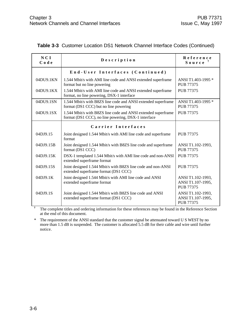| NCI<br>Code | Description                                                                                                          | Reference<br>Source                                        |
|-------------|----------------------------------------------------------------------------------------------------------------------|------------------------------------------------------------|
|             | End-User Interfaces (Continued)                                                                                      |                                                            |
| 04DU9.1KN   | 1.544 Mbit/s with AMI line code and ANSI extended superframe<br>format but no line powering                          | ANSI T1.403-1995 *<br>PUB 77375                            |
| 04DU9.1KX   | 1.544 Mbit/s with AMI line code and ANSI extended superframe<br>format, no line powering, DSX-1 interface            | <b>PUB 77375</b>                                           |
| 04DU9.1SN   | 1.544 Mbit/s with B8ZS line code and ANSI extended superframe<br>format (DS1 CCC) but no line powering               | ANSI T1.403-1995 *<br><b>PUB 77375</b>                     |
| 04DU9.1SX   | 1.544 Mbit/s with B8ZS line code and ANSI extended superframe<br>format (DS1 CCC), no line powering, DSX-1 interface | <b>PUB 77375</b>                                           |
|             | Carrier Interfaces                                                                                                   |                                                            |
| 04DJ9.15    | Joint designed 1.544 Mbit/s with AMI line code and superframe<br>format                                              | PUB 77375                                                  |
| 04DJ9.15B   | Joint designed 1.544 Mbit/s with B8ZS line code and superframe<br>format (DS1 CCC)                                   | ANSI T1.102-1993,<br><b>PUB 77375</b>                      |
| 04DJ9.15K   | DSX-1 templated 1.544 Mbit/s with AMI line code and non-ANSI<br>extended superframe format                           | PUB 77375                                                  |
| 04DJ9.15S   | Joint designed 1.544 Mbit/s with B8ZS line code and non-ANSI<br>extended superframe format (DS1 CCC)                 | PUB 77375                                                  |
| 04DJ9.1K    | Joint designed 1.544 Mbit/s with AMI line code and ANSI<br>extended superframe format                                | ANSI T1.102-1993,<br>ANSI T1.107-1995,<br><b>PUB 77375</b> |
| 04DJ9.1S    | Joint designed 1.544 Mbit/s with B8ZS line code and ANSI<br>extended superframe format (DS1 CCC)                     | ANSI T1.102-1993,<br>ANSI T1.107-1995,<br>PUB 77375        |

#### **Table 3-3** Customer Location DS1 Network Channel Interface Codes (Continued)

**†** The complete titles and ordering information for these references may be found in the Reference Section at the end of this document.

\* The requirement of the ANSI standard that the customer signal be attenuated toward U S WEST by no more than 1.5 dB is suspended. The customer is allocated 5.5 dB for their cable and wire until further notice.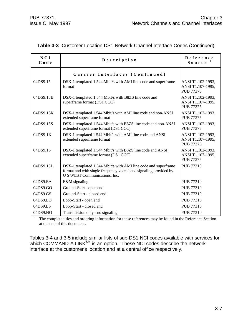| NCI<br>Code | Description                                                                                                                                                          | Reference<br>$S$ ource $\ddot{\phantom{a}}$                |
|-------------|----------------------------------------------------------------------------------------------------------------------------------------------------------------------|------------------------------------------------------------|
|             | Carrier Interfaces (Continued)                                                                                                                                       |                                                            |
| 04DS9.15    | DSX-1 templated 1.544 Mbit/s with AMI line code and superframe<br>format                                                                                             | ANSI T1.102-1993,<br>ANSI T1.107-1995,<br><b>PUB 77375</b> |
| 04DS9.15B   | DSX-1 templated 1.544 Mbit/s with B8ZS line code and<br>superframe format (DS1 CCC)                                                                                  | ANSI T1.102-1993,<br>ANSI T1.107-1995,<br><b>PUB 77375</b> |
| 04DS9.15K   | DSX-1 templated 1.544 Mbit/s with AMI line code and non-ANSI<br>extended superframe format                                                                           | ANSI T1.102-1993,<br><b>PUB 77375</b>                      |
| 04DS9.15S   | DSX-1 templated 1.544 Mbit/s with B8ZS line code and non-ANSI<br>extended superframe format (DS1 CCC)                                                                | ANSI T1.102-1993,<br>PUB 77375                             |
| 04DS9.1K    | DSX-1 templated 1.544 Mbit/s with AMI line code and ANSI<br>extended superframe format                                                                               | ANSI T1.102-1993,<br>ANSI T1.107-1995,<br><b>PUB 77375</b> |
| 04DS9.1S    | DSX-1 templated 1.544 Mbit/s with B8ZS line code and ANSI<br>extended superframe format (DS1 CCC)                                                                    | ANSI T1.102-1993,<br>ANSI T1.107-1995,<br>PUB 77375        |
| 04DS9.15L   | DSX-1 templated 1.544 Mbit/s with AMI line code and superframe<br>format and with single frequency voice band signaling provided by<br>U S WEST Communications, Inc. | PUB 77310                                                  |
| 04DS9.EA    | E&M signaling                                                                                                                                                        | <b>PUB 77310</b>                                           |
| 04DS9.GO    | Ground-Start - open end                                                                                                                                              | PUB 77310                                                  |
| 04DS9.GS    | Ground-Start - closed end                                                                                                                                            | PUB 77310                                                  |
| 04DS9.LO    | Loop-Start - open end                                                                                                                                                | <b>PUB 77310</b>                                           |
| 04DS9.LS    | Loop-Start - closed end                                                                                                                                              | <b>PUB 77310</b>                                           |
| 04DS9.NO    | Transmission only - no signaling                                                                                                                                     | <b>PUB 77310</b>                                           |

|  | Table 3-3 Customer Location DS1 Network Channel Interface Codes (Continued) |  |  |  |  |
|--|-----------------------------------------------------------------------------|--|--|--|--|
|--|-----------------------------------------------------------------------------|--|--|--|--|

**†** The complete titles and ordering information for these references may be found in the Reference Section at the end of this document.

Tables 3-4 and 3-5 include similar lists of sub-DS1 NCI codes available with services for which COMMAND A LINK $^{\mathsf{SM}}$  is an option. These NCI codes describe the network interface at the customer's location and at a central office respectively.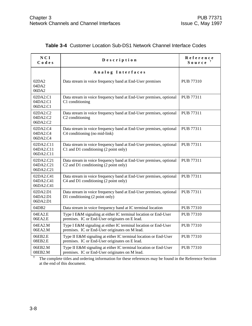| NCI<br>Codes                        | Description                                                                                                                         | Reference<br>Source |
|-------------------------------------|-------------------------------------------------------------------------------------------------------------------------------------|---------------------|
|                                     | Analog Interfaces                                                                                                                   |                     |
| 02DA2<br>04DA2<br>06DA2             | Data stream in voice frequency band at End-User premises                                                                            | PUB 77310           |
| 02DA2.C1<br>04DA2.C1<br>06DA2.C1    | Data stream in voice frequency band at End-User premises, optional<br>C1 conditioning                                               | PUB 77311           |
| 02DA2.C2<br>04DA2.C2<br>06DA2.C2    | Data stream in voice frequency band at End-User premises, optional<br>C <sub>2</sub> conditioning                                   | <b>PUB 77311</b>    |
| 02DA2.C4<br>04DA2.C4<br>06DA2.C4    | Data stream in voice frequency band at End-User premises, optional<br>C4 conditioning (no mid-link)                                 | <b>PUB 77311</b>    |
| 02DA2.C11<br>04DA2.C11<br>06DA2.C11 | Data stream in voice frequency band at End-User premises, optional<br>C1 and D1 conditioning (2 point only)                         | <b>PUB 77311</b>    |
| 02DA2.C21<br>04DA2.C21<br>06DA2.C21 | Data stream in voice frequency band at End-User premises, optional<br>C <sub>2</sub> and D <sub>1</sub> conditioning (2 point only) | <b>PUB 77311</b>    |
| 02DA2.C41<br>04DA2.C41<br>06DA2.C41 | Data stream in voice frequency band at End-User premises, optional<br>C4 and D1 conditioning (2 point only)                         | <b>PUB 77311</b>    |
| 02DA2.D1<br>04DA2.D1<br>06DA2.D1    | Data stream in voice frequency band at End-User premises, optional<br>D1 conditioning (2 point only)                                | <b>PUB 77311</b>    |
| 04DB2                               | Data stream in voice frequency band at IC terminal location                                                                         | <b>PUB 77310</b>    |
| 04EA2.E<br>06EA2.E                  | Type I E&M signaling at either IC terminal location or End-User<br>premises. IC or End-User originates on E lead.                   | <b>PUB 77310</b>    |
| 04EA2.M<br>06EA2.M                  | Type I E&M signaling at either IC terminal location or End-User<br>premises. IC or End-User originates on M lead.                   | <b>PUB 77310</b>    |
| 06EB2.E<br>08EB2.E                  | Type II E&M signaling at either IC terminal location or End-User<br>premises. IC or End-User originates on E lead.                  | <b>PUB 77310</b>    |
| 06EB2.M<br>08EB2.M                  | Type II E&M signaling at either IC terminal location or End-User<br>premises. IC or End-User originates on M lead.                  | <b>PUB 77310</b>    |

#### **Table 3-4** Customer Location Sub-DS1 Network Channel Interface Codes

**†** The complete titles and ordering information for these references may be found in the Reference Section at the end of this document.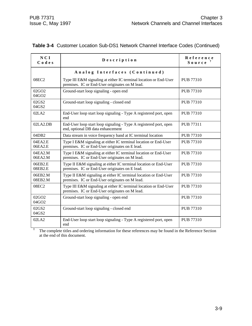| NCI<br>Codes               | Description                                                                                                         | Reference<br>Source |
|----------------------------|---------------------------------------------------------------------------------------------------------------------|---------------------|
|                            | Analog Interfaces (Continued)                                                                                       |                     |
| 08EC2                      | Type III E&M signaling at either IC terminal location or End-User<br>premises. IC or End-User originates on M lead. | <b>PUB 77310</b>    |
| 02GO2<br>04GO2             | Ground-start loop signaling - open end                                                                              | <b>PUB 77310</b>    |
| 02GS2<br>04GS2             | Ground-start loop signaling - closed end                                                                            | <b>PUB 77310</b>    |
| 02LA2                      | End-User loop start loop signaling - Type A registered port, open<br>end                                            | <b>PUB 77310</b>    |
| 02LA2.DB                   | End-User loop start loop signaling - Type A registered port, open<br>end, optional DB data enhancement              | PUB 77311           |
| 04DB2                      | Data stream in voice frequency band at IC terminal location                                                         | <b>PUB 77310</b>    |
| 04EA2.E<br>06EA2.E         | Type I E&M signaling at either IC terminal location or End-User<br>premises. IC or End-User originates on E lead.   | PUB 77310           |
| 04EA2.M<br>06EA2.M         | Type I E&M signaling at either IC terminal location or End-User<br>premises. IC or End-User originates on M lead.   | PUB 77310           |
| 06EB2.E<br>08EB2.E         | Type II E&M signaling at either IC terminal location or End-User<br>premises. IC or End-User originates on E lead.  | <b>PUB 77310</b>    |
| 06EB2.M<br>08EB2.M         | Type II E&M signaling at either IC terminal location or End-User<br>premises. IC or End-User originates on M lead.  | <b>PUB 77310</b>    |
| 08EC2                      | Type III E&M signaling at either IC terminal location or End-User<br>premises. IC or End-User originates on M lead. | <b>PUB 77310</b>    |
| 02GO <sub>2</sub><br>04GO2 | Ground-start loop signaling - open end                                                                              | <b>PUB 77310</b>    |
| 02GS2<br>04GS2             | Ground-start loop signaling - closed end                                                                            | <b>PUB 77310</b>    |
| 02LA2                      | End-User loop start loop signaling - Type A registered port, open<br>end                                            | PUB 77310           |
|                            | The complete titles and ordering information for these references may be found in the Reference Section             |                     |

#### **Table 3-4** Customer Location Sub-DS1 Network Channel Interface Codes (Continued)

The complete titles and ordering information for these references may be found in the Reference Section at the end of this document.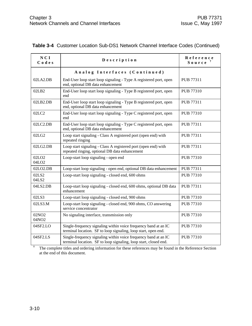| NCI<br>Codes                           | Description                                                                                                                         | Reference<br>Source |
|----------------------------------------|-------------------------------------------------------------------------------------------------------------------------------------|---------------------|
|                                        | Analog Interfaces (Continued)                                                                                                       |                     |
| 02LA2.DB                               | End-User loop start loop signaling - Type A registered port, open<br>end, optional DB data enhancement                              | <b>PUB 77311</b>    |
| 02LB2                                  | End-User loop start loop signaling - Type B registered port, open<br>end                                                            | PUB 77310           |
| 02LB2.DB                               | End-User loop start loop signaling - Type B registered port, open<br>end, optional DB data enhancement                              | PUB 77311           |
| 02LC2                                  | End-User loop start loop signaling - Type C registered port, open<br>end                                                            | <b>PUB 77310</b>    |
| 02LC2.DB                               | End-User loop start loop signaling - Type C registered port, open<br>end, optional DB data enhancement                              | PUB 77311           |
| 02LG2                                  | Loop start signaling - Class A registered port (open end) with<br>repeated ringing                                                  | PUB 77311           |
| 02LG2.DB                               | Loop start signaling - Class A registered port (open end) with<br>repeated ringing, optional DB data enhancement                    | PUB 77311           |
| 02LO <sub>2</sub><br>04LO <sub>2</sub> | Loop-start loop signaling - open end                                                                                                | <b>PUB 77310</b>    |
| 02LO2.DB                               | Loop-start loop signaling - open end, optional DB data enhancement                                                                  | PUB 77311           |
| 02LS2<br>04LS2                         | Loop-start loop signaling - closed end, 600 ohms                                                                                    | <b>PUB 77310</b>    |
| 04LS2.DB                               | Loop-start loop signaling - closed end, 600 ohms, optional DB data<br>enhancement                                                   | PUB 77311           |
| 02LS3                                  | Loop-start loop signaling - closed end, 900 ohms                                                                                    | <b>PUB 77310</b>    |
| 02LS3.M                                | Loop-start loop signaling - closed end, 900 ohms, CO answering<br>service concentrator                                              | PUB 77310           |
| 02NO <sub>2</sub><br>04NO2             | No signaling interface, transmission only                                                                                           | PUB 77310           |
| 04SF2.LO                               | Single-frequency signaling within voice frequency band at an IC<br>terminal location. SF to loop signaling, loop start, open end.   | PUB 77310           |
| 04SF2.LS                               | Single-frequency signaling within voice frequency band at an IC<br>terminal location. SF to loop signaling, loop start, closed end. | <b>PUB 77310</b>    |

#### **Table 3-4** Customer Location Sub-DS1 Network Channel Interface Codes (Continued)

The complete titles and ordering information for these references may be found in the Reference Section at the end of this document.

**†**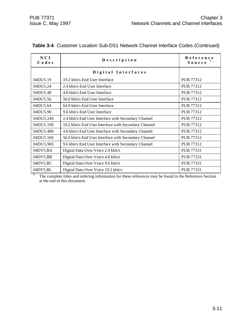| NCI<br>Codes | Description                                           | Reference<br>$S$ ource $\ddagger$ |
|--------------|-------------------------------------------------------|-----------------------------------|
|              | Digital Interfaces                                    |                                   |
| 04DU5.19     | 19.2 kbit/s End User Interface                        | PUB 77312                         |
| 04DU5.24     | 2.4 kbit/s End User Interface                         | PUB 77312                         |
| 04DU5.48     | 4.8 kbit/s End User Interface                         | PUB 77312                         |
| 04DU5.56     | 56.0 kbit/s End User Interface                        | PUB 77312                         |
| 04DU5.64     | 64.0 kbit/s End User Interface                        | PUB 77312                         |
| 04DU5.96     | 9.6 kbit/s End User Interface                         | PUB 77312                         |
| 04DU5.24S    | 2.4 kbit/s End User Interface with Secondary Channel  | PUB 77312                         |
| 04DU5.19S    | 19.2 kbit/s End User Interface with Secondary Channel | PUB 77312                         |
| 04DU5.48S    | 4.8 kbit/s End User Interface with Secondary Channel  | PUB 77312                         |
| 04DU5.56S    | 56.0 kbit/s End User Interface with Secondary Channel | PUB 77312                         |
| 04DU5.96S    | 9.6 kbit/s End User Interface with Secondary Channel  | PUB 77312                         |
| 04DV5.BA     | Digital Data Over Voice 2.4 kbit/s                    | PUB 77331                         |
| 04DV5.BB     | Digital Data Over Voice 4.8 kbit/s                    | PUB 77331                         |
| 04DV5.BC     | Digital Data Over Voice 9.6 kbit/s                    | PUB 77331                         |
| 04DV5.BL     | Digital Data Over Voice 19.2 kbit/s                   | PUB 77331                         |

#### **Table 3-4** Customer Location Sub-DS1 Network Channel Interface Codes (Continued)

**†** The complete titles and ordering information for these references may be found in the Reference Section at the end of this document.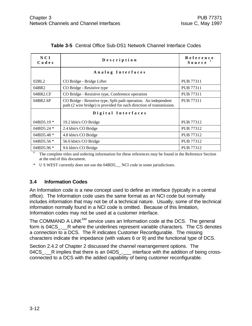| NCI<br>Codes | Description                                                                                                                              | Reference<br>$S$ ource $T$ |
|--------------|------------------------------------------------------------------------------------------------------------------------------------------|----------------------------|
|              | Analog Interfaces                                                                                                                        |                            |
| 02BL2        | CO Bridge - Bridge Lifter                                                                                                                | PUB 77311                  |
| 04BR2        | CO Bridge - Resistive type                                                                                                               | <b>PUB 77311</b>           |
| 04BR2.CF     | CO Bridge - Resistive type, Conference operation                                                                                         | PUB 77311                  |
| 04BR2.SP     | CO Bridge - Resistive type, Split path operation. An independent<br>path (2 wire bridge) is provided for each direction of transmission. | <b>PUB 77311</b>           |
|              | Digital Interfaces                                                                                                                       |                            |
| $04BD5.19*$  | 19.2 kbit/s CO Bridge                                                                                                                    | PUB 77312                  |
| $04BD5.24*$  | 2.4 kbit/s CO Bridge                                                                                                                     | PUB 77312                  |
| 04BD5.48 $*$ | 4.8 kbit/s CO Bridge                                                                                                                     | PUB 77312                  |
| 04BD5.56 $*$ | 56.0 kbit/s CO Bridge                                                                                                                    | PUB 77312                  |
| 04BD5.96 *   | 9.6 kbit/s CO Bridge                                                                                                                     | PUB 77312                  |

#### **Table 3-5** Central Office Sub-DS1 Network Channel Interface Codes

**†** The complete titles and ordering information for these references may be found in the Reference Section at the end of this document.

\* U S WEST currently does not use the 04BD5.\_\_ NCI code in some jurisdictions.

#### **3.4 Information Codes**

An Information code is a new concept used to define an interface (typically in a central office). The Information code uses the same format as an NCI code but normally includes information that may not be of a technical nature. Usually, some of the technical information normally found in a NCI code is omitted. Because of this limitation, Information codes may not be used at a customer interface.

The COMMAND A LINK<sup>SM</sup> service uses an Information code at the DCS. The general form is 04CS. R where the underlines represent variable characters. The CS denotes a connection to a DCS. The R indicates Customer Reconfigurable. The missing characters indicate the impedance (with values 6 or 9) and the functional type of DCS.

Section 2.4.2 of Chapter 2 discussed the channel rearrangement options. The 04CS<sub>\_</sub>. R implies that there is an 04DS<sub>\_</sub>. \_\_\_ interface with the addition of being crossconnected to a DCS with the added capability of being customer reconfigurable.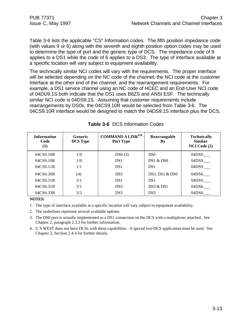Table 3-6 lists the applicable "CS" Information codes. The fifth position impedance code (with values 9 or 6) along with the seventh and eighth position option codes may be used to determine the type of port and the generic type of DCS. The impedance code of 9 applies to a DS1 while the code of 6 applies to a DS3. The type of interface available at a specific location will vary subject to equipment availability.

The technically similar NCI codes will vary with the requirements. The proper interface will be selected depending on the NC code of the channel, the NCI code at the customer interface at the other end of the channel, and the rearrangement requirements. For example, a DS1 service channel using an NC code of HCEC and an End-User NCI code of 04DU9.1S both indicate that the DS1 uses B8ZS and ANSI ESF. The technically similar NCI code is 04DS9.1S. Assuming that customer requirements include rearrangements by DS0s, the 04CS9.10R would be selected from Table 3-6. The 04CS9.10R interface would be designed to match the 04DS9.1S interface plus the DCS.

| <b>Information</b><br>Code<br>$\left(1\right)$ | <b>Generic</b><br><b>DCS Type</b> | <b>COMMAND A LINKSM</b><br><b>Port Type</b> | Rearrangable<br>By | <b>Technically</b><br><b>Similar</b><br>NCI Code (2) |
|------------------------------------------------|-----------------------------------|---------------------------------------------|--------------------|------------------------------------------------------|
| 04CS9.10R                                      | 1/0                               | DS0(3)                                      | D <sub>S0</sub>    | 04DS9.                                               |
| 04CS9.10R                                      | 1/0                               | DS <sub>1</sub>                             | DS1 & DS0          | 04DS9.                                               |
| 04CS9.11R                                      | 1/1                               | DS <sub>1</sub>                             | DS <sub>1</sub>    | 04DS9.                                               |
| 04CS6.30R                                      | (4)                               | DS3                                         | DS3, DS1 & DS0     | 04DS6.                                               |
| 04CS9.31R                                      | 3/1                               | DS <sub>1</sub>                             | DS <sub>1</sub>    | 04DS9.                                               |
| 04CS6.31R                                      | 3/1                               | DS3                                         | DS3 & DS1          | 04DS6.                                               |
| 04CS6.33R                                      | 3/3                               | DS3                                         | DS3                | 04DS6.                                               |

#### **Table 3-6** DCS Information Codes

#### **NOTES:**

- 1. The type of interface available at a specific location will vary subject to equipment availability.
- 2. The underlines represent several available options.
- 3. The DS0 port is actually implemented as a DS1 connection on the DCS with a multiplexer attached. See Chapter 2, paragraph 2.3.3 for further information.
- 4. U S WEST does not have DCSs with these capabilities. A special two-DCS application must be used. See Chapter 2, Section 2.4.4 for further details.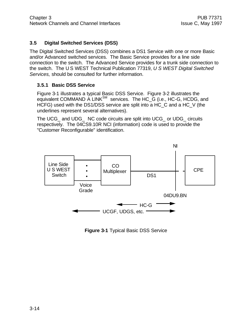#### **3.5 Digital Switched Services (DSS)**

The Digital Switched Services (DSS) combines a DS1 Service with one or more Basic and/or Advanced switched services. The Basic Service provides for a line side connection to the switch. The Advanced Service provides for a trunk side connection to the switch. The U S WEST Technical Publication 77319, *U S WEST Digital Switched Services,* should be consulted for further information.

#### **3.5.1 Basic DSS Service**

Figure 3-1 illustrates a typical Basic DSS Service. Figure 3-2 illustrates the equivalent COMMAND A LINK<sup>SM</sup> services. The HC\_G (i.e., HC-G, HCDG, and HCFG) used with the DS1/DSS service are split into a HC\_C and a HC\_V (the underlines represent several alternatives).

The UCG\_ and UDG\_ NC code circuits are split into UCG\_ or UDG\_ circuits respectively. The 04CS9.10R NCI (information) code is used to provide the "Customer Reconfigurable" identification.



**Figure 3-1** Typical Basic DSS Service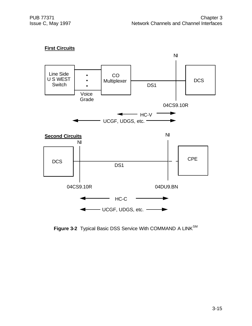#### **First Circuits**



Figure 3-2 Typical Basic DSS Service With COMMAND A LINK<sup>SM</sup>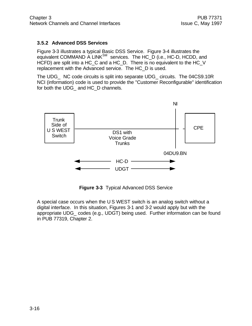#### **3.5.2 Advanced DSS Services**

Figure 3-3 illustrates a typical Basic DSS Service. Figure 3-4 illustrates the equivalent COMMAND A LINK<sup>SM</sup> services. The HC\_D (i.e., HC-D, HCDD, and HCFD) are split into a HC\_C and a HC\_D. There is no equivalent to the HC\_V replacement with the Advanced service. The HC\_D is used.

The UDG\_ NC code circuits is split into separate UDG\_ circuits. The 04CS9.10R NCI (information) code is used to provide the "Customer Reconfigurable" identification for both the UDG\_ and HC\_D channels.



**Figure 3-3** Typical Advanced DSS Service

A special case occurs when the U S WEST switch is an analog switch without a digital interface. In this situation, Figures 3-1 and 3-2 would apply but with the appropriate UDG\_ codes (e.g., UDGT) being used. Further information can be found in PUB 77319, Chapter 2.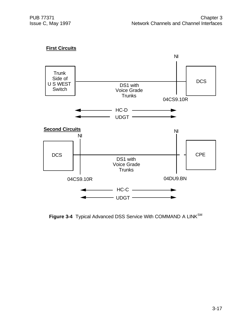# **First Circuits**



Figure 3-4 Typical Advanced DSS Service With COMMAND A LINK<sup>SM</sup>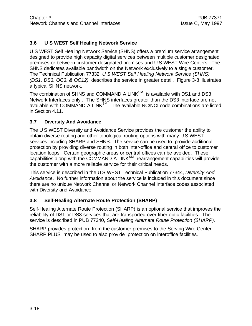# **3.6 U S WEST Self Healing Network Service**

U S WEST Self Healing Network Service (SHNS) offers a premium service arrangement designed to provide high capacity digital services between multiple customer designated premises or between customer designated premises and U S WEST Wire Centers. The SHNS dedicates available bandwidth on the Network exclusively to a single customer. The Technical Publication 77332, *U S WEST Self Healing Network Service (SHNS) (DS1, DS3, OC3, & OC12),* describes the service in greater detail. Figure 3-8 illustrates a typical SHNS network.

The combination of SHNS and COMMAND A LINK<sup>SM</sup> is available with DS1 and DS3 Network Interfaces only . The SHNS interfaces greater than the DS3 interface are not available with COMMAND A LINK<sup>SM</sup>. The available NC/NCI code combinations are listed in Section 4.11.

#### **3.7 Diversity And Avoidance**

The U S WEST Diversity and Avoidance Service provides the customer the ability to obtain diverse routing and other topological routing options with many U S WEST services including SHARP and SHNS. The service can be used to provide additional protection by providing diverse routing in both inter-office and central office to customer location loops. Certain geographic areas or central offices can be avoided. These capabilities along with the COMMAND A LINK $^{SM}$  rearrangement capabilities will provide the customer with a more reliable service for their critical needs.

This service is described in the U S WEST Technical Publication 77344, *Diversity And Avoidance*. No further information about the service is included in this document since there are no unique Network Channel or Network Channel Interface codes associated with Diversity and Avoidance.

# **3.8 Self-Healing Alternate Route Protection (SHARP)**

Self-Healing Alternate Route Protection (SHARP) is an optional service that improves the reliability of DS1 or DS3 services that are transported over fiber optic facilities. The service is described in PUB 77340, *Self-Healing Alternate Route Protection (SHARP)*.

SHARP provides protection from the customer premises to the Serving Wire Center. SHARP PLUS may be used to also provide protection on interoffice facilities.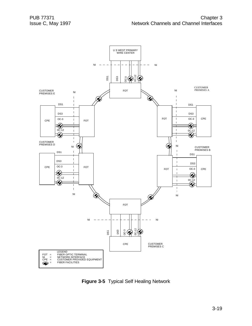

**Figure 3-5** Typical Self Healing Network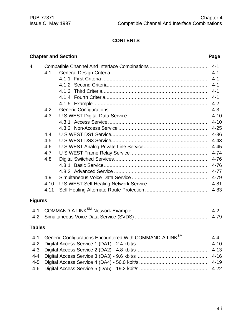# **CONTENTS**

# **Chapter and Section Page**

| 4. |      |  |          |
|----|------|--|----------|
|    | 4.1  |  | $4 - 1$  |
|    |      |  | $4 - 1$  |
|    |      |  | $4 - 1$  |
|    |      |  | $4 - 1$  |
|    |      |  | $4 - 1$  |
|    |      |  | $4 - 2$  |
|    | 4.2  |  | $4 - 3$  |
|    | 4.3  |  | $4 - 10$ |
|    |      |  | $4 - 10$ |
|    |      |  | $4 - 25$ |
|    | 4.4  |  | $4 - 36$ |
|    | 4.5  |  | $4 - 43$ |
|    | 4.6  |  | $4 - 45$ |
|    | 4.7  |  | $4 - 74$ |
|    | 4.8  |  | $4 - 76$ |
|    |      |  | $4 - 76$ |
|    |      |  | $4 - 77$ |
|    | 4.9  |  | 4-79     |
|    | 4.10 |  | $4 - 81$ |
|    | 4.11 |  | $4 - 83$ |
|    |      |  |          |

# **Figures**

# **Tables**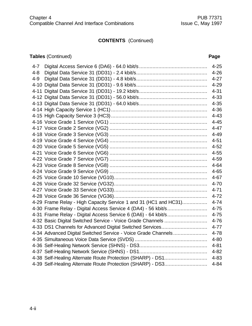# **CONTENTS** (Continued)

# **Tables** (Continued) **Page**

| $4 - 7$ |                                                                  | $4 - 25$ |
|---------|------------------------------------------------------------------|----------|
| $4 - 8$ |                                                                  | $4 - 26$ |
| $4 - 9$ |                                                                  | $4 - 27$ |
|         |                                                                  | $4 - 29$ |
|         |                                                                  | $4 - 31$ |
|         |                                                                  | $4 - 33$ |
|         |                                                                  | $4 - 35$ |
|         |                                                                  | $4 - 36$ |
|         |                                                                  | $4 - 43$ |
|         |                                                                  | $4 - 45$ |
|         |                                                                  | $4 - 47$ |
|         |                                                                  | $4 - 49$ |
|         |                                                                  | $4 - 51$ |
|         |                                                                  | $4 - 52$ |
|         |                                                                  | $4 - 55$ |
|         |                                                                  | 4-59     |
|         |                                                                  | $4 - 64$ |
|         |                                                                  | $4 - 65$ |
|         |                                                                  | $4 - 67$ |
|         |                                                                  | $4 - 70$ |
|         |                                                                  | $4 - 71$ |
|         |                                                                  | $4 - 72$ |
|         | 4-29 Frame Relay - High Capacity Service 1 and 31 (HC1 and HC31) | $4 - 74$ |
|         | 4-30 Frame Relay - Digital Access Service 4 (DA4) - 56 kbit/s    | $4 - 75$ |
|         | 4-31 Frame Relay - Digital Access Service 6 (DA6) - 64 kbit/s    | $4 - 75$ |
|         | 4-32 Basic Digital Switched Service - Voice Grade Channels       | $4 - 76$ |
|         | 4-33 DS1 Channels for Advanced Digital Switched Services         | $4 - 77$ |
|         | 4-34 Advanced Digital Switched Service - Voice Grade Channels    | $4 - 78$ |
|         |                                                                  | $4 - 80$ |
|         |                                                                  | $4 - 81$ |
|         |                                                                  |          |
|         | 4-38 Self-Healing Alternate Route Protection (SHARP) - DS1       | 4-83     |
|         | 4-39 Self-Healing Alternate Route Protection (SHARP) - DS3       | $4 - 84$ |
|         |                                                                  |          |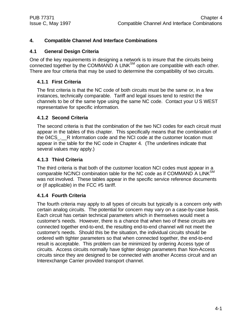# **4. Compatible Channel And Interface Combinations**

#### **4.1 General Design Criteria**

One of the key requirements in designing a network is to insure that the circuits being connected together by the COMMAND A LINK $^{SM}$  option are compatible with each other. There are four criteria that may be used to determine the compatibility of two circuits.

#### **4.1.1 First Criteria**

The first criteria is that the NC code of both circuits must be the same or, in a few instances, technically comparable. Tariff and legal issues tend to restrict the channels to be of the same type using the same NC code. Contact your U S WEST representative for specific information.

#### **4.1.2 Second Criteria**

The second criteria is that the combination of the two NCI codes for each circuit must appear in the tables of this chapter. This specifically means that the combination of the 04CS. R Information code and the NCI code at the customer location must appear in the table for the NC code in Chapter 4. (The underlines indicate that several values may apply.)

#### **4.1.3 Third Criteria**

The third criteria is that both of the customer location NCI codes must appear in a comparable NC/NCI combination table for the NC code as if COMMAND A LINK<sup>SM</sup> was not involved. These tables appear in the specific service reference documents or (if applicable) in the FCC #5 tariff.

#### **4.1.4 Fourth Criteria**

The fourth criteria may apply to all types of circuits but typically is a concern only with certain analog circuits. The potential for concern may vary on a case-by-case basis. Each circuit has certain technical parameters which in themselves would meet a customer's needs. However, there is a chance that when two of these circuits are connected together end-to-end, the resulting end-to-end channel will not meet the customer's needs. Should this be the situation, the individual circuits should be ordered with tighter parameters so that when connected together, the end-to-end result is acceptable. This problem can be minimized by ordering Access type of circuits. Access circuits normally have tighter design parameters than Non-Access circuits since they are designed to be connected with another Access circuit and an Interexchange Carrier provided transport channel.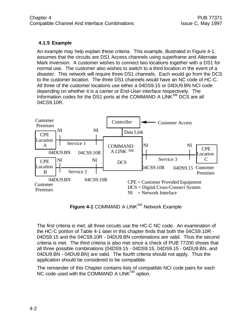# **4.1.5 Example**

An example may help explain these criteria. This example, illustrated in Figure 4-1, assumes that the circuits are DS1 Access channels using superframe and Alternate Mark Inversion. A customer wishes to connect two locations together with a DS1 for normal use. The customer also wishes to switch to a third location in the event of a disaster. This network will require three DS1 channels. Each would go from the DCS to the customer location. The three DS1 channels would have an NC code of HC-C. All three of the customer locations use either a 04DS9.15 or 04DU9.BN NCI code depending on whether it is a carrier or End-User interface respectively. The Information codes for the DS1 ports at the COMMAND A LINK<sup>SM</sup> DCS are all 04CS9.10R.



**Figure 4-1 COMMAND A LINK<sup>SM</sup> Network Example** 

The first criteria is met; all three circuits use the HC-C NC code. An examination of the HC-C portion of Table 4-1 later in this chapter finds that both the 04CS9.10R - 04DS9.15 and the 04CS9.10R - 04DU9.BN combinations are valid. Thus the second criteria is met. The third criteria is also met since a check of PUB 77200 shows that all three possible combinations (04DS9.15 - 04DS9.15, 04DS9.15 - 04DU9.BN, and 04DU9.BN - 04DU9.BN) are valid. The fourth criteria should not apply. Thus the application should be considered to be compatible.

The remainder of this Chapter contains lists of compatible NCI code pairs for each NC code used with the COMMAND A LINK<sup>SM</sup> option.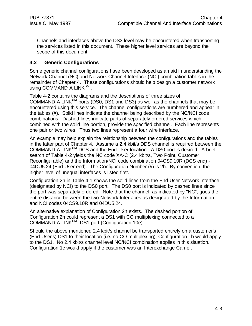Channels and interfaces above the DS3 level may be encountered when transporting the services listed in this document. These higher level services are beyond the scope of this document.

#### **4.2 Generic Configurations**

Some generic channel configurations have been developed as an aid in understanding the Network Channel (NC) and Network Channel Interface (NCI) combination tables in the remainder of Chapter 4. These configurations should help design a customer network using COMMAND A LINK<sup>SM</sup>.

Table 4-2 contains the diagrams and the descriptions of three sizes of COMMAND A LINK $^{SM}$  ports (DS0, DS1 and DS3) as well as the channels that may be encountered using this service. The channel configurations are numbered and appear in the tables (#). Solid lines indicate the channel being described by the NC/NCI code combinations. Dashed lines indicate parts of separately ordered services which, combined with the solid line portion, provide the specified channel. Each line represents one pair or two wires. Thus two lines represent a four wire interface.

An example may help explain the relationship between the configurations and the tables in the latter part of Chapter 4. Assume a 2.4 kbit/s DDS channel is required between the COMMAND A LINK<sup>SM</sup> DCS and the End-User location. A DS0 port is desired. A brief search of Table 4-2 yields the NC code XA-C (2.4 kbit/s, Two Point, Customer Reconfigurable) and the Information/NCI code combination 04CS9.10R (DCS end) - 04DU5.24 (End-User end). The Configuration Number (#) is 2h. By convention, the higher level of unequal interfaces is listed first.

Configuration 2h in Table 4-1 shows the solid lines from the End-User Network Interface (designated by NCI) to the DS0 port. The DS0 port is indicated by dashed lines since the port was separately ordered. Note that the channel, as indicated by "NC", goes the entire distance between the two Network Interfaces as designated by the Information and NCI codes 04CS9.10R and 04DU5.24.

An alternative explanation of Configuration 2h exists. The dashed portion of Configuration 2h could represent a DS1 with CO multiplexing connected to a COMMAND A LINK<sup>SM</sup> DS1 port (Configuration 10e).

Should the above mentioned 2.4 kbit/s channel be transported entirely on a customer's (End-User's) DS1 to their location (i.e. no CO multiplexing), Configuration 1b would apply to the DS1. No 2.4 kbit/s channel level NC/NCI combination applies in this situation. Configuration 1c would apply if the customer was an Interexchange Carrier.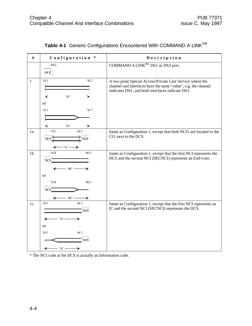| $\#$           | Configuration *                                 | Description                                                                                                                                                                     |
|----------------|-------------------------------------------------|---------------------------------------------------------------------------------------------------------------------------------------------------------------------------------|
|                | NC1                                             | COMMAND A LINK <sup>SM</sup> DS1 or DS3 port.                                                                                                                                   |
|                | DCS                                             |                                                                                                                                                                                 |
| $\mathbf{1}$   | NCI<br>NCI<br>NС<br>≺<br>≻                      | A two point Special Access/Private Line Service where the<br>channel and interfaces have the same "value", e.g. the channel<br>indicates DS1, and both interfaces indicate DS1. |
|                | <b>or</b><br>NCI<br>NCI                         |                                                                                                                                                                                 |
|                | xе<br>≺<br>≻                                    |                                                                                                                                                                                 |
| 1a             | NCL<br>XСI<br>DCS <sup>-</sup><br>DCS<br>- NC - | Same as Configuration 1, except that both NCI's are located in the<br>CO, next to the DCS.                                                                                      |
| 1 <sub>b</sub> | NC1<br>NCL<br>DCS.                              | Same as Configuration 1, except that the first NCI represents the<br>DCS and the second NCI (SECNCI) represents an End-User.                                                    |
|                | - NC -<br>or                                    |                                                                                                                                                                                 |
|                | NC1<br>NCL<br>DCS.                              |                                                                                                                                                                                 |
|                | NC.                                             |                                                                                                                                                                                 |
| 1c             | NCI<br>NCI<br>DCS<br>- NC -                     | Same as Configuration 1, except that the first NCI represents an<br>IC and the second NCI (SECNCI) represents the DCS.                                                          |
|                | ↞<br><b>or</b>                                  |                                                                                                                                                                                 |
|                | NCI<br>NCI                                      |                                                                                                                                                                                 |
|                | DCS                                             |                                                                                                                                                                                 |
|                | $NC -$<br>↞                                     |                                                                                                                                                                                 |

| Table 4-1 Generic Configurations Encountered With COMMAND A LINK <sup>SM</sup> |  |
|--------------------------------------------------------------------------------|--|
|                                                                                |  |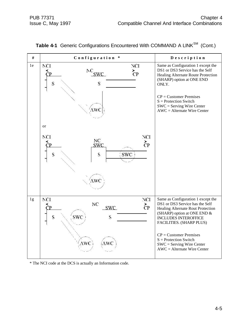| $\#$ | Configuration *                                                                                    | Description                                                                                                                                                                                                                                                                                                                 |
|------|----------------------------------------------------------------------------------------------------|-----------------------------------------------------------------------------------------------------------------------------------------------------------------------------------------------------------------------------------------------------------------------------------------------------------------------------|
| 1e   | NCI<br>NCI<br>${}^{\mathrm{N}\mathrm{C}}_{\mathrm{SWC}}$<br>$\zeta_{\rm P}$<br>S<br>S<br>AWC<br>or | Same as Configuration 1 except the<br>DS1 or DS3 Service has the Self<br>Healing Alternate Route Protection<br>(SHARP) option at ONE END<br>ONLY.<br>$CP =$ Customer Premises<br>$S =$ Protection Switch<br>$SWC =$ Serving Wire Center<br>$AWC =$ Alternate Wire Center                                                    |
|      | NCI<br>NCI<br>NC<br>$\zeta_{\rm P}$<br><b>SWC</b><br>S<br><b>SWC</b><br>S<br>AWC                   |                                                                                                                                                                                                                                                                                                                             |
| 1g   | NCI<br>NCI<br>NC<br>$\zeta_{\rm P}$<br><b>SWC</b><br>S<br>swc<br>S<br>AWC ì<br>ίAWC                | Same as Configuration 1 except the<br>DS1 or DS3 Service has the Self<br>Healing Alternate Rout Protection<br>(SHARP) option at ONE END &<br><b>INCLUDES INTEROFFICE</b><br>FACILITIES. (SHARP PLUS)<br>$CP =$ Customer Premises<br>$S =$ Protection Switch<br>$SWC =$ Serving Wire Center<br>$AWC =$ Alternate Wire Center |

Table 4-1 Generic Configurations Encountered With COMMAND A LINK<sup>SM</sup> (Cont.)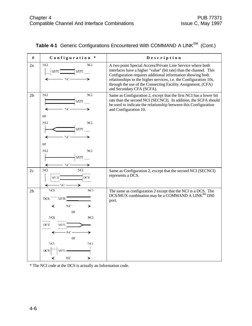| #              | Configuration *                                                                                                           | Description                                                                                                                                                                                                                                                                                                                                                      |
|----------------|---------------------------------------------------------------------------------------------------------------------------|------------------------------------------------------------------------------------------------------------------------------------------------------------------------------------------------------------------------------------------------------------------------------------------------------------------------------------------------------------------|
| 2a             | <b>NGI</b><br>NC1<br>MIN<br>MIN<br>NC-                                                                                    | A two point Special Access/Private Line Service where both<br>interfaces have a higher "value" (bit rate) than the channel. This<br>Configuration requires additional information showing both<br>relationships to the higher services, i.e. the Configuration 10s,<br>through the use of the Connecting Facility Assignment, (CFA)<br>and Secondary CFA (SCFA). |
| 2 <sub>b</sub> | NCI<br>NC1<br>MIN<br><b>or</b>                                                                                            | Same as Configuration 2, except that the first NCI has a lower bit<br>rate than the second NCI (SECNCI). In addition, the SCFA should<br>be used to indicate the relationship between this Configuration<br>and Configuration 10.                                                                                                                                |
|                | NCI<br>NCI<br>MIN<br><sub>or</sub>                                                                                        |                                                                                                                                                                                                                                                                                                                                                                  |
|                | NCI<br>NCI<br>MIN<br>↞<br>$\Delta C$ -                                                                                    |                                                                                                                                                                                                                                                                                                                                                                  |
| 2c             | NCI<br>NCI<br>DCS.<br>МUХ<br>- NO -                                                                                       | Same as Configuration 2, except that the second NCI (SECNCI)<br>represents a DCS.                                                                                                                                                                                                                                                                                |
| 2h             | NCI<br>YCL<br>DCS<br>MUN.<br>NC.<br>≺<br>➤<br>or<br>NCI<br>NCI.<br>DCS<br>MUN<br>КC<br>or<br>NCI<br>NCI<br>DCS<br>NC<br>≻ | The same as configuration 2 except that the NCI is a DCS. The<br>DCS/MUX combination may be a COMMAND A LINK <sup>SM</sup> DS0<br>port.                                                                                                                                                                                                                          |

| Table 4-1 Generic Configurations Encountered With COMMAND A LINK <sup>SM</sup> (Cont.) |  |
|----------------------------------------------------------------------------------------|--|
|----------------------------------------------------------------------------------------|--|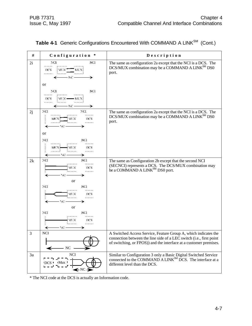| #  | Configuration *                                                                                                                               | Description                                                                                                                                                                                                 |
|----|-----------------------------------------------------------------------------------------------------------------------------------------------|-------------------------------------------------------------------------------------------------------------------------------------------------------------------------------------------------------------|
| 2i | NCI<br>NC1<br><br>DCS<br>МUХ<br>MENI<br>- NC -<br>⊁<br>or<br>NCI<br>NCI<br>DCS<br>$M(X -$<br>- MUNI<br>. 1<br>.<br>- NC -                     | The same as configuration 2a except that the NCI is a DCS. The<br>DCS/MUX combination may be a COMMAND A LINK <sup>SM</sup> DS0<br>port.                                                                    |
| 2j | NCI<br>NCI<br><br>,<br>MUX<br>DCS<br>MU X<br>.<br>- 80<br>or<br>NCI<br>NCI<br><br>DCS<br>MUX.<br>MUX)<br><b>ALL LONG CORPORA</b><br>- NC<br>€ | The same as configuration 2a except that the NCI is a DCS. The<br>DCS/MUX combination may be a COMMAND A LINK <sup>SM</sup> DS0<br>port.                                                                    |
| 2k | NCI<br>NC1<br><br>DCS<br>MUX<br><br><br>or<br>NCI<br>NCI<br><br><br>DCS<br>МŒ<br><br>NC.<br><sub>or</sub><br>NCI<br>NCI.<br><br>,             | The same as Configuration 2b except that the second NCI<br>(SECNCI) represents a DCS. The DCS/MUX combination may<br>be a COMMAND A LINK <sup>SM</sup> DS0 port.                                            |
|    | MUX<br>DCS<br><br><br>- 70 –<br>↞                                                                                                             |                                                                                                                                                                                                             |
| 3  | $\rm NCI$<br>$~\text{NC}$                                                                                                                     | A Switched Access Service, Feature Group A, which indicates the<br>connection between the line side of a LEC switch (i.e., first point<br>of switching, or FPOS)) and the interface at a customer premises. |
| 3a | NCI<br>← NC →                                                                                                                                 | Similar to Configuration 3 only a Basic Digital Switched Service<br>connected to the COMMAND A LINK <sup>SM</sup> DCS. The interface at a<br>different level than the DCS.                                  |

| Table 4-1 Generic Configurations Encountered With COMMAND A LINK <sup>SM</sup> (Cont.) |  |
|----------------------------------------------------------------------------------------|--|
|                                                                                        |  |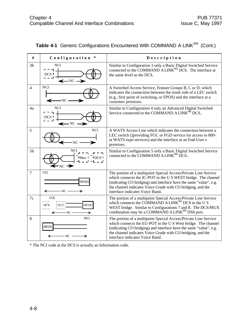| #              | Configuration *                                                   | Description                                                                                                                                                                                                                                                                                              |
|----------------|-------------------------------------------------------------------|----------------------------------------------------------------------------------------------------------------------------------------------------------------------------------------------------------------------------------------------------------------------------------------------------------|
| 3 <sub>b</sub> | <b>NCI</b><br>— ד<br><b>IDCS</b><br>$\leftarrow$ NC $\rightarrow$ | Similar to Configuration 3 only a Basic Digital Switched Service<br>connected to the COMMAND A LINK <sup>SM</sup> DCS. The interface at<br>the same level as the DCS.                                                                                                                                    |
| $\overline{4}$ | <b>NCI</b><br>$_{\rm -NC}$ .                                      | A Switched Access Service, Feature Groups B, C or D, which<br>indicates the connection between the trunk side of a LEC switch<br>(e.g., first point of switching, or FPOS) and the interface at a<br>customer premises.                                                                                  |
| 4a             | <b>NCI</b><br><b>DCS</b> I<br>$\leftarrow$ NC $\rightarrow$       | Similar to Configuration 4 only an Advanced Digital Switched<br>Service connected to the COMMAND A LINK <sup>SM</sup> DCS                                                                                                                                                                                |
| 5              | <b>NCI</b><br>- NC                                                | A WATS Access Line which indicates the connection between a<br>LEC switch () providing FGC or FGD service for access to 800-<br>or WATS-type services) and the interface at an End-User s<br>premises.                                                                                                   |
| 5 <sub>b</sub> | <b>NCI</b><br>$M_{\rm H}$<br>$\cdot$ NC $\rightarrow$             | Similar to Configuration 5 only a Basic Digital Switched Service<br>connected to the COMMAND A LINK <sup>SM</sup> DCS                                                                                                                                                                                    |
| $\overline{7}$ | NCI<br><b>BRDG</b><br>· NC -                                      | The portion of a multipoint Special Access/Private Line Service<br>which connects the IC-POT to the U S WEST bridge. The channel<br>(indicating CO bridging) and interface have the same "value", e.g.<br>the channel indicates Voice Grade with CO bridging, and the<br>interface indicates Voice Band. |
| 7c             | NCI.<br><br><b>BRDG</b><br>DCS<br>MUN<br>- NC -                   | The portion of a multipoint Special Access/Private Line Service<br>which connects the COMMAND A LINK <sup>SM</sup> DCS to the U S<br>WEST bridge. Similar to Configurations 7 and 8. The DCS/MUX<br>combination may be a COMMAND A LINK <sup>SM</sup> DS0 port.                                          |
| 8              | NC1<br>BRDG<br>NC.                                                | The portion of a multipoint Special Access/Private Line Service<br>which connects the EU-POT to the U S West bridge. The channel<br>(indicating CO bridging) and interface have the same "value", e.g.<br>the channel indicates Voice Grade with CO bridging, and the<br>interface indicates Voice Band. |

|  | Table 4-1 Generic Configurations Encountered With COMMAND A LINK <sup>SM</sup> (Cont.) |  |  |
|--|----------------------------------------------------------------------------------------|--|--|
|--|----------------------------------------------------------------------------------------|--|--|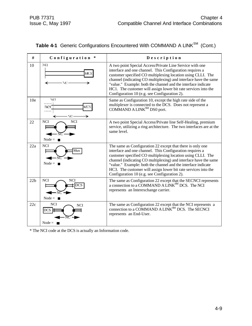| #   | Configuration *                                                    | Description                                                                                                                                                                                                                                                                                                                                                                                                                                  |
|-----|--------------------------------------------------------------------|----------------------------------------------------------------------------------------------------------------------------------------------------------------------------------------------------------------------------------------------------------------------------------------------------------------------------------------------------------------------------------------------------------------------------------------------|
| 10  | NC1<br><b>MUX</b><br>NC.                                           | A two point Special Access/Private Line Service with one<br>interface and one channel. This Configuration requires a<br>customer specified CO multiplexing location using CLLI. The<br>channel (indicating CO multiplexing) and interface have the same<br>"value." Example: both the channel and the interface indicate<br>HC1. The customer will assign lower bit rate services into the<br>Configuration 10 (e.g. see Configuration 2).   |
| 10e | NCI<br>DC <sub>S</sub><br>мтх<br>NC-                               | Same as Configuration 10, except the high rate side of the<br>multiplexer is connected to the DCS. Does not represent a<br>COMMAND A LINK <sup>SM</sup> DS0 port.                                                                                                                                                                                                                                                                            |
| 22  | <b>NCI</b><br><b>NCI</b><br>Node = $\blacksquare$                  | A two point Special Access/Private line Self-Healing, premium<br>service, utilizing a ring architecture. The two interfaces are at the<br>same level.                                                                                                                                                                                                                                                                                        |
| 22a | <b>NCI</b><br>Mux<br>Node = $\blacksquare$                         | The same as Configuration 22 except that there is only one<br>interface and one channel. This Configuration requires a<br>customer specified CO multiplexing location using CLLI. The<br>channel (indicating CO multiplexing) and interface have the same<br>"value." Example: both the channel and the interface indicate<br>HC3. The customer will assign lower bit rate services into the<br>Configuration 10 (e.g. see Configuration 2). |
| 22b | <b>NCI</b><br><b>NCI</b><br><b>DCS</b><br>Node = $\blacksquare$    | The same as Configuration 22 except that the SECNCI represents<br>a connection to a COMMAND A LINK <sup>SM</sup> DCS. The NCI<br>represents an Interexchange carrier.                                                                                                                                                                                                                                                                        |
| 22c | <b>NCI</b><br><b>NCI</b><br>$DCS$ $\vert$<br>Node = $\blacksquare$ | The same as Configuration 22 except that the NCI represents a<br>connection to a COMMAND A LINK <sup>SM</sup> DCS. The SECNCI<br>represents an End-User.                                                                                                                                                                                                                                                                                     |

| Table 4-1 Generic Configurations Encountered With COMMAND A LINK <sup>SM</sup> (Cont.) |  |
|----------------------------------------------------------------------------------------|--|
|                                                                                        |  |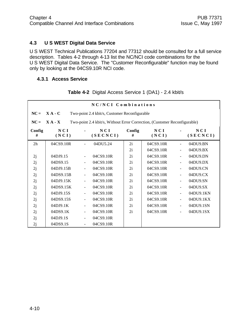#### **4.3 U S WEST Digital Data Service**

U S WEST Technical Publications 77204 and 77312 should be consulted for a full service description. Tables 4-2 through 4-13 list the NC/NCI code combinations for the U S WEST Digital Data Service. The "Customer Reconfigurable" function may be found only by looking at the 04CS9.10R NCI code.

#### **4.3.1 Access Service**

|             |              |    | NC/NCI Combinations                                                       |             |              |                              |                 |
|-------------|--------------|----|---------------------------------------------------------------------------|-------------|--------------|------------------------------|-----------------|
| $NC =$      | $X A - C$    |    | Two-point 2.4 kbit/s, Customer Reconfigurable                             |             |              |                              |                 |
| $NC =$      | $X A - X$    |    | Two-point 2.4 kbit/s, Without Error Correction, (Customer Reconfigurable) |             |              |                              |                 |
| Config<br># | NCI<br>(NCI) |    | NCI<br>(SECNCI)                                                           | Config<br># | NCI<br>(NCI) |                              | NCI<br>(SECNCI) |
| 2h          | 04CS9.10R    |    | 04DU5.24                                                                  | 2i          | 04CS9.10R    |                              | 04DU9.BN        |
|             |              |    |                                                                           | 2i          | 04CS9.10R    | $\blacksquare$               | 04DU9.BX        |
| 2j          | 04DJ9.15     |    | 04CS9.10R                                                                 | 2i          | 04CS9.10R    | $\blacksquare$               | 04DU9.DN        |
| 2j          | 04DS9.15     |    | 04CS9.10R                                                                 | 2i          | 04CS9.10R    | $\frac{1}{2}$                | 04DU9.DX        |
| 2j          | 04DJ9.15B    |    | 04CS9.10R                                                                 | 2i          | 04CS9.10R    | $\blacksquare$               | 04DU9.CN        |
| 2j          | 04DS9.15B    |    | 04CS9.10R                                                                 | 2i          | 04CS9.10R    | $\blacksquare$               | 04DU9.CX        |
| 2j          | 04DJ9.15K    |    | 04CS9.10R                                                                 | 2i          | 04CS9.10R    | $\overline{a}$               | 04DU9.SN        |
| 2j          | 04DS9.15K    |    | 04CS9.10R                                                                 | 2i          | 04CS9.10R    | $\blacksquare$               | 04DU9.SX        |
| 2j          | 04DJ9.15S    |    | 04CS9.10R                                                                 | 2i          | 04CS9.10R    | $\frac{1}{2}$                | 04DU9.1KN       |
| 2j          | 04DS9.15S    |    | 04CS9.10R                                                                 | 2i          | 04CS9.10R    | $\overline{\phantom{a}}$     | 04DU9.1KX       |
| 2j          | 04DJ9.1K     |    | 04CS9.10R                                                                 | 2i          | 04CS9.10R    | $\blacksquare$               | 04DU9.1SN       |
| 2j          | 04DS9.1K     | Ξ. | 04CS9.10R                                                                 | 2i          | 04CS9.10R    | $\qquad \qquad \blacksquare$ | 04DU9.1SX       |
| 2j          | 04DJ9.1S     |    | 04CS9.10R                                                                 |             |              |                              |                 |
| 2j          | 04DS9.1S     |    | 04CS9.10R                                                                 |             |              |                              |                 |

**Table 4-2** Digital Access Service 1 (DA1) - 2.4 kbit/s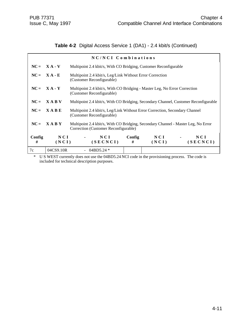# **Table 4-2** Digital Access Service 1 (DA1) - 2.4 kbit/s (Continued)

|             |                | NC/NCI Combinations                                                                                                       |             |              |                                                        |
|-------------|----------------|---------------------------------------------------------------------------------------------------------------------------|-------------|--------------|--------------------------------------------------------|
|             | $NC = X A - V$ | Multipoint 2.4 kbit/s, With CO Bridging, Customer Reconfigurable                                                          |             |              |                                                        |
|             | $NC = X A - E$ | Multipoint 2.4 kbit/s, Leg/Link Without Error Correction<br>(Customer Reconfigurable)                                     |             |              |                                                        |
|             | $NC = X A - Y$ | Multipoint 2.4 kbit/s, With CO Bridging - Master Leg, No Error Correction<br>(Customer Reconfigurable)                    |             |              |                                                        |
| $NC =$      | <b>XABV</b>    | Multipoint 2.4 kbit/s, With CO Bridging, Secondary Channel, Customer Reconfigurable                                       |             |              |                                                        |
| $NC =$      | $X \land B E$  | Multipoint 2.4 kbit/s, Leg/Link Without Error Correction, Secondary Channel<br>(Customer Reconfigurable)                  |             |              |                                                        |
| $NC =$      | <b>XABY</b>    | Multipoint 2.4 kbit/s, With CO Bridging, Secondary Channel - Master Leg, No Error<br>Correction (Customer Reconfigurable) |             |              |                                                        |
| Config<br># | NCI<br>(NCI)   | NCI<br>(SECNCI)                                                                                                           | Config<br># | NCI<br>(NCI) | N C I<br><b>Contract Contract Contract</b><br>(SECNCI) |
| 7c          | 04CS9.10R      | 04BD5.24 $*$                                                                                                              |             |              |                                                        |

\* U S WEST currently does not use the 04BD5.24 NCI code in the provisioning process. The code is included for technical description purposes.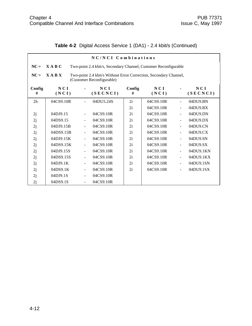|                                                                                       | NC/NCI Combinations                                                                                           |                          |                 |             |              |                |                 |  |  |
|---------------------------------------------------------------------------------------|---------------------------------------------------------------------------------------------------------------|--------------------------|-----------------|-------------|--------------|----------------|-----------------|--|--|
| X A B C<br>$NC =$<br>Two-point 2.4 kbit/s, Secondary Channel, Customer Reconfigurable |                                                                                                               |                          |                 |             |              |                |                 |  |  |
| $NC =$                                                                                | <b>XABX</b><br>Two-point 2.4 kbit/s Without Error Correction, Secondary Channel,<br>(Customer Reconfigurable) |                          |                 |             |              |                |                 |  |  |
| Config<br>#                                                                           | NCI<br>(NCI)                                                                                                  |                          | NCI<br>(SECNCI) | Config<br># | NCI<br>(NCI) |                | NCI<br>(SECNCI) |  |  |
| 2 <sub>h</sub>                                                                        | 04CS9.10R                                                                                                     |                          | 04DU5.24S       | 2i          | 04CS9.10R    | $\blacksquare$ | 04DU9.BN        |  |  |
|                                                                                       |                                                                                                               |                          |                 | 2i          | 04CS9.10R    | $\blacksquare$ | 04DU9.BX        |  |  |
| 2j                                                                                    | 04DJ9.15                                                                                                      | $\blacksquare$           | 04CS9.10R       | 2i          | 04CS9.10R    | $\blacksquare$ | 04DU9.DN        |  |  |
| 2j                                                                                    | 04DS9.15                                                                                                      |                          | 04CS9.10R       | 2i          | 04CS9.10R    | ÷,             | 04DU9.DX        |  |  |
| 2j                                                                                    | 04DJ9.15B                                                                                                     |                          | 04CS9.10R       | 2i          | 04CS9.10R    | $\blacksquare$ | 04DU9.CN        |  |  |
| 2j                                                                                    | 04DS9.15B                                                                                                     |                          | 04CS9.10R       | 2i          | 04CS9.10R    | $\blacksquare$ | 04DU9.CX        |  |  |
| 2j                                                                                    | 04DJ9.15K                                                                                                     | $\blacksquare$           | 04CS9.10R       | 2i          | 04CS9.10R    | $\blacksquare$ | 04DU9.SN        |  |  |
| 2j                                                                                    | 04DS9.15K                                                                                                     | $\overline{\phantom{a}}$ | 04CS9.10R       | 2i          | 04CS9.10R    | ÷,             | 04DU9.SX        |  |  |
| 2j                                                                                    | 04DJ9.15S                                                                                                     | $\blacksquare$           | 04CS9.10R       | 2i          | 04CS9.10R    | $\blacksquare$ | 04DU9.1KN       |  |  |
| 2j                                                                                    | 04DS9.15S                                                                                                     |                          | 04CS9.10R       | 2i          | 04CS9.10R    | $\blacksquare$ | 04DU9.1KX       |  |  |
| 2j                                                                                    | 04DJ9.1K                                                                                                      | $\blacksquare$           | 04CS9.10R       | 2i          | 04CS9.10R    | $\blacksquare$ | 04DU9.1SN       |  |  |
| 2j                                                                                    | 04DS9.1K                                                                                                      | $\blacksquare$           | 04CS9.10R       | 2i          | 04CS9.10R    |                | 04DU9.1SX       |  |  |
| 2j                                                                                    | 04DJ9.1S                                                                                                      |                          | 04CS9.10R       |             |              |                |                 |  |  |
| 2j                                                                                    | 04DS9.1S                                                                                                      | $\blacksquare$           | 04CS9.10R       |             |              |                |                 |  |  |

# **Table 4-2** Digital Access Service 1 (DA1) - 2.4 kbit/s (Continued)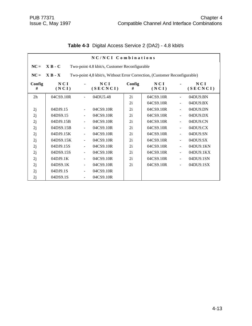|                | NC/NCI Combinations |                          |                                                                           |             |              |                |                 |  |
|----------------|---------------------|--------------------------|---------------------------------------------------------------------------|-------------|--------------|----------------|-----------------|--|
| $NC =$         | $X B - C$           |                          | Two-point 4.8 kbit/s, Customer Reconfigurable                             |             |              |                |                 |  |
| $NC =$         | $X B - X$           |                          | Two-point 4,8 kbit/s, Without Error Correction, (Customer Reconfigurable) |             |              |                |                 |  |
| Config<br>#    | NCI<br>(NCI)        |                          | NCI<br>(SECNCI)                                                           | Config<br># | NCI<br>(NCI) |                | NCI<br>(SECNCI) |  |
| 2 <sub>h</sub> | 04CS9.10R           |                          | 04DU5.48                                                                  | 2i          | 04CS9.10R    |                | 04DU9.BN        |  |
|                |                     |                          |                                                                           | 2i          | 04CS9.10R    |                | 04DU9.BX        |  |
| 2j             | 04DJ9.15            |                          | 04CS9.10R                                                                 | 2i          | 04CS9.10R    | $\blacksquare$ | 04DU9.DN        |  |
| 2j             | 04DS9.15            |                          | 04CS9.10R                                                                 | 2i          | 04CS9.10R    | $\blacksquare$ | 04DU9.DX        |  |
| 2j             | 04DJ9.15B           | ÷                        | 04CS9.10R                                                                 | 2i          | 04CS9.10R    | $\blacksquare$ | 04DU9.CN        |  |
| 2j             | 04DS9.15B           |                          | 04CS9.10R                                                                 | 2i          | 04CS9.10R    | $\blacksquare$ | 04DU9.CX        |  |
| 2j             | 04DJ9.15K           | $\frac{1}{2}$            | 04CS9.10R                                                                 | 2i          | 04CS9.10R    | $\blacksquare$ | 04DU9.SN        |  |
| 2j             | 04DS9.15K           |                          | 04CS9.10R                                                                 | 2i          | 04CS9.10R    | $\blacksquare$ | 04DU9.SX        |  |
| 2j             | 04DJ9.15S           |                          | 04CS9.10R                                                                 | 2i          | 04CS9.10R    | $\blacksquare$ | 04DU9.1KN       |  |
| 2j             | 04DS9.15S           | $\overline{\phantom{0}}$ | 04CS9.10R                                                                 | 2i          | 04CS9.10R    | $\blacksquare$ | 04DU9.1KX       |  |
| 2j             | 04DJ9.1K            | $\overline{\phantom{0}}$ | 04CS9.10R                                                                 | 2i          | 04CS9.10R    |                | 04DU9.1SN       |  |
| 2j             | 04DS9.1K            | ٠                        | 04CS9.10R                                                                 | 2i          | 04CS9.10R    | $\blacksquare$ | 04DU9.1SX       |  |
| 2j             | 04DJ9.1S            |                          | 04CS9.10R                                                                 |             |              |                |                 |  |
| 2j             | 04DS9.1S            | $\overline{\phantom{0}}$ | 04CS9.10R                                                                 |             |              |                |                 |  |

**Table 4-3** Digital Access Service 2 (DA2) - 4.8 kbit/s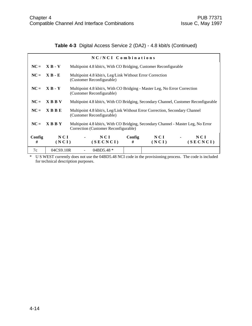# **Table 4-3** Digital Access Service 2 (DA2) - 4.8 kbit/s (Continued)

|             |                | NC/NCI Combinations                                                                                                       |             |              |                                   |
|-------------|----------------|---------------------------------------------------------------------------------------------------------------------------|-------------|--------------|-----------------------------------|
| $NC =$      | $X B - V$      | Multipoint 4.8 kbit/s, With CO Bridging, Customer Reconfigurable                                                          |             |              |                                   |
| $NC =$      | $X B - E$      | Multipoint 4.8 kbit/s, Leg/Link Without Error Correction<br>(Customer Reconfigurable)                                     |             |              |                                   |
|             | $NC = X B - Y$ | Multipoint 4.8 kbit/s, With CO Bridging - Master Leg, No Error Correction<br>(Customer Reconfigurable)                    |             |              |                                   |
| $NC =$      | <b>XBBV</b>    | Multipoint 4.8 kbit/s, With CO Bridging, Secondary Channel, Customer Reconfigurable                                       |             |              |                                   |
| $NC =$      | <b>XBBE</b>    | Multipoint 4.8 kbit/s, Leg/Link Without Error Correction, Secondary Channel<br>(Customer Reconfigurable)                  |             |              |                                   |
| $NC =$      | <b>XBBY</b>    | Multipoint 4.8 kbit/s, With CO Bridging, Secondary Channel - Master Leg, No Error<br>Correction (Customer Reconfigurable) |             |              |                                   |
| Config<br># | NCI<br>(NCI)   | NCI<br>(SECNCI)                                                                                                           | Config<br># | NCI<br>(NCI) | NCI<br>$\blacksquare$<br>(SECNCI) |
| 7c          | 04CS9.10R      | 04BD5.48 $*$                                                                                                              |             |              |                                   |

\* U S WEST currently does not use the 04BD5.48 NCI code in the provisioning process. The code is included for technical description purposes.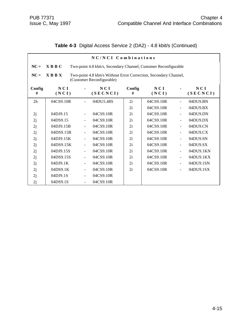|  | Table 4-3 Digital Access Service 2 (DA2) - 4.8 kbit/s (Continued) |  |  |  |  |  |
|--|-------------------------------------------------------------------|--|--|--|--|--|
|--|-------------------------------------------------------------------|--|--|--|--|--|

|             | NC/NCI Combinations                                                                                           |                              |                 |             |              |                |                 |  |
|-------------|---------------------------------------------------------------------------------------------------------------|------------------------------|-----------------|-------------|--------------|----------------|-----------------|--|
| $NC =$      | $X$ B B C<br>Two-point 4.8 kbit/s, Secondary Channel, Customer Reconfigurable                                 |                              |                 |             |              |                |                 |  |
| $NC =$      | $X$ B B $X$<br>Two-point 4.8 kbit/s Without Error Correction, Secondary Channel,<br>(Customer Reconfigurable) |                              |                 |             |              |                |                 |  |
| Config<br># | NCI<br>(NCI)                                                                                                  |                              | NCI<br>(SECNCI) | Config<br># | NCI<br>(NCI) |                | NCI<br>(SECNCI) |  |
| 2h          | 04CS9.10R                                                                                                     | $\blacksquare$               | 04DU5.48S       | 2i          | 04CS9.10R    | $\blacksquare$ | 04DU9.BN        |  |
|             |                                                                                                               |                              |                 | 2i          | 04CS9.10R    |                | 04DU9.BX        |  |
| 2j          | 04DJ9.15                                                                                                      | $\blacksquare$               | 04CS9.10R       | 2i          | 04CS9.10R    | $\blacksquare$ | 04DU9.DN        |  |
| 2j          | 04DS9.15                                                                                                      |                              | 04CS9.10R       | 2i          | 04CS9.10R    | $\blacksquare$ | 04DU9.DX        |  |
| 2j          | 04DJ9.15B                                                                                                     | $\qquad \qquad \blacksquare$ | 04CS9.10R       | 2i          | 04CS9.10R    | $\blacksquare$ | 04DU9.CN        |  |
| 2j          | 04DS9.15B                                                                                                     |                              | 04CS9.10R       | 2i          | 04CS9.10R    | $\blacksquare$ | 04DU9.CX        |  |
| 2j          | 04DJ9.15K                                                                                                     | ÷                            | 04CS9.10R       | 2i          | 04CS9.10R    | $\blacksquare$ | 04DU9.SN        |  |
| 2j          | 04DS9.15K                                                                                                     |                              | 04CS9.10R       | 2i          | 04CS9.10R    | $\blacksquare$ | 04DU9.SX        |  |
| 2j          | 04DJ9.15S                                                                                                     | $\qquad \qquad \blacksquare$ | 04CS9.10R       | 2i          | 04CS9.10R    | $\blacksquare$ | 04DU9.1KN       |  |
| 2j          | 04DS9.15S                                                                                                     |                              | 04CS9.10R       | 2i          | 04CS9.10R    | $\blacksquare$ | 04DU9.1KX       |  |
| 2j          | 04DJ9.1K                                                                                                      | ÷                            | 04CS9.10R       | 2i          | 04CS9.10R    | $\blacksquare$ | 04DU9.1SN       |  |
| 2j          | 04DS9.1K                                                                                                      |                              | 04CS9.10R       | 2i          | 04CS9.10R    |                | 04DU9.1SX       |  |
| 2j          | 04DJ9.1S                                                                                                      | $\qquad \qquad \blacksquare$ | 04CS9.10R       |             |              |                |                 |  |
| 2j          | 04DS9.1S                                                                                                      |                              | 04CS9.10R       |             |              |                |                 |  |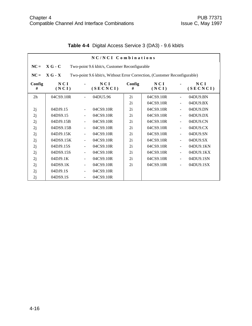|                |                                                            |                          | NC/NCI Combinations                                                       |             |              |                |                   |  |
|----------------|------------------------------------------------------------|--------------------------|---------------------------------------------------------------------------|-------------|--------------|----------------|-------------------|--|
| $NC =$         | $X G - C$<br>Two-point 9.6 kbit/s, Customer Reconfigurable |                          |                                                                           |             |              |                |                   |  |
| $NC =$         | $X G - X$                                                  |                          | Two-point 9.6 kbit/s, Without Error Correction, (Customer Reconfigurable) |             |              |                |                   |  |
| Config<br>#    | NCI<br>(NCI)                                               |                          | NCI<br>(SECNCI)                                                           | Config<br># | NCI<br>(NCI) |                | N C I<br>(SECNCI) |  |
| 2 <sub>h</sub> | 04CS9.10R                                                  |                          | 04DU5.96                                                                  | 2i          | 04CS9.10R    |                | 04DU9.BN          |  |
|                |                                                            |                          |                                                                           | 2i          | 04CS9.10R    | $\blacksquare$ | 04DU9.BX          |  |
| 2j             | 04DJ9.15                                                   |                          | 04CS9.10R                                                                 | 2i          | 04CS9.10R    |                | 04DU9.DN          |  |
| 2j             | 04DS9.15                                                   | $\blacksquare$           | 04CS9.10R                                                                 | 2i          | 04CS9.10R    | $\blacksquare$ | 04DU9.DX          |  |
| 2j             | 04DJ9.15B                                                  |                          | 04CS9.10R                                                                 | 2i          | 04CS9.10R    | $\blacksquare$ | 04DU9.CN          |  |
| 2j             | 04DS9.15B                                                  |                          | 04CS9.10R                                                                 | 2i          | 04CS9.10R    |                | 04DU9.CX          |  |
| 2j             | 04DJ9.15K                                                  |                          | 04CS9.10R                                                                 | 2i          | 04CS9.10R    | $\blacksquare$ | 04DU9.SN          |  |
| 2j             | 04DS9.15K                                                  |                          | 04CS9.10R                                                                 | 2i          | 04CS9.10R    | $\blacksquare$ | 04DU9.SX          |  |
| 2j             | 04DJ9.15S                                                  | $\blacksquare$           | 04CS9.10R                                                                 | 2i          | 04CS9.10R    | $\blacksquare$ | 04DU9.1KN         |  |
| 2j             | 04DS9.15S                                                  | $\blacksquare$           | 04CS9.10R                                                                 | 2i          | 04CS9.10R    | $\blacksquare$ | 04DU9.1KX         |  |
| 2j             | 04DJ9.1K                                                   |                          | 04CS9.10R                                                                 | 2i          | 04CS9.10R    |                | 04DU9.1SN         |  |
| 2j             | 04DS9.1K                                                   | $\overline{\phantom{a}}$ | 04CS9.10R                                                                 | 2i          | 04CS9.10R    | $\blacksquare$ | 04DU9.1SX         |  |
| 2j             | 04DJ9.1S                                                   |                          | 04CS9.10R                                                                 |             |              |                |                   |  |
| 2j             | 04DS9.1S                                                   | $\blacksquare$           | 04CS9.10R                                                                 |             |              |                |                   |  |

# **Table 4-4** Digital Access Service 3 (DA3) - 9.6 kbit/s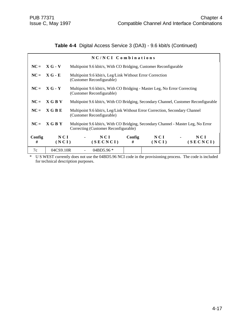## **Table 4-4** Digital Access Service 3 (DA3) - 9.6 kbit/s (Continued)

|             |                | NC/NCI Combinations                                                                                      |             |                  |                                                                                     |
|-------------|----------------|----------------------------------------------------------------------------------------------------------|-------------|------------------|-------------------------------------------------------------------------------------|
|             | $NC = X G - V$ | Multipoint 9.6 kbit/s, With CO Bridging, Customer Reconfigurable                                         |             |                  |                                                                                     |
|             | $NC = XG - E$  | Multipoint 9.6 kbit/s, Leg/Link Without Error Correction<br>(Customer Reconfigurable)                    |             |                  |                                                                                     |
|             | $NC = X G - Y$ | Multipoint 9.6 kbit/s, With CO Bridging - Master Leg, No Error Correcting<br>(Customer Reconfigurable)   |             |                  |                                                                                     |
| $NC =$      | X G B V        |                                                                                                          |             |                  | Multipoint 9.6 kbit/s, With CO Bridging, Secondary Channel, Customer Reconfigurable |
| $NC =$      | X G B E        | Multipoint 9.6 kbit/s, Leg/Link Without Error Correction, Secondary Channel<br>(Customer Reconfigurable) |             |                  |                                                                                     |
| $NC =$      | <b>XGBY</b>    | Correcting (Customer Reconfigurable)                                                                     |             |                  | Multipoint 9.6 kbit/s, With CO Bridging, Secondary Channel - Master Leg, No Error   |
| Config<br># | NCI<br>(NCI)   | NCI<br>(SECNCI)                                                                                          | Config<br># | $NCI$ -<br>(NCI) | N C I<br>(SECNCI)                                                                   |
| 7c          | 04CS9.10R      | 04BD5.96 $*$                                                                                             |             |                  |                                                                                     |

\* U S WEST currently does not use the 04BD5.96 NCI code in the provisioning process. The code is included for technical description purposes.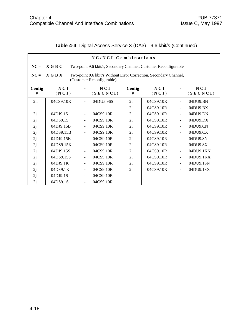|             | NC/NCI Combinations                                                                                           |                          |                 |             |              |                |                 |  |  |  |
|-------------|---------------------------------------------------------------------------------------------------------------|--------------------------|-----------------|-------------|--------------|----------------|-----------------|--|--|--|
| $NC =$      | <b>XGBC</b><br>Two-point 9.6 kbit/s, Secondary Channel, Customer Reconfigurable                               |                          |                 |             |              |                |                 |  |  |  |
| $NC =$      | <b>XGBX</b><br>Two-point 9.6 kbit/s Without Error Correction, Secondary Channel,<br>(Customer Reconfigurable) |                          |                 |             |              |                |                 |  |  |  |
| Config<br># | NCI<br>(NCI)                                                                                                  |                          | NCI<br>(SECNCI) | Config<br># | NCI<br>(NCI) |                | NCI<br>(SECNCI) |  |  |  |
| 2h          | 04CS9.10R                                                                                                     |                          | 04DU5.96S       | 2i          | 04CS9.10R    | ÷              | 04DU9.BN        |  |  |  |
|             |                                                                                                               |                          |                 | 2i          | 04CS9.10R    |                | 04DU9.BX        |  |  |  |
| 2j          | 04DJ9.15                                                                                                      | $\overline{\phantom{a}}$ | 04CS9.10R       | 2i          | 04CS9.10R    | $\blacksquare$ | 04DU9.DN        |  |  |  |
| 2j          | 04DS9.15                                                                                                      |                          | 04CS9.10R       | 2i          | 04CS9.10R    | $\equiv$       | 04DU9.DX        |  |  |  |
| 2j          | 04DJ9.15B                                                                                                     |                          | 04CS9.10R       | 2i          | 04CS9.10R    | $\blacksquare$ | 04DU9.CN        |  |  |  |
| 2j          | 04DS9.15B                                                                                                     |                          | 04CS9.10R       | 2i          | 04CS9.10R    | ÷              | 04DU9.CX        |  |  |  |
| 2j          | 04DJ9.15K                                                                                                     | $\overline{\phantom{a}}$ | 04CS9.10R       | 2i          | 04CS9.10R    | $\blacksquare$ | 04DU9.SN        |  |  |  |
| 2j          | 04DS9.15K                                                                                                     |                          | 04CS9.10R       | 2i          | 04CS9.10R    | ÷              | 04DU9.SX        |  |  |  |
| 2j          | 04DJ9.15S                                                                                                     | $\blacksquare$           | 04CS9.10R       | 2i          | 04CS9.10R    | $\blacksquare$ | 04DU9.1KN       |  |  |  |
| 2j          | 04DS9.15S                                                                                                     |                          | 04CS9.10R       | 2i          | 04CS9.10R    | $\blacksquare$ | 04DU9.1KX       |  |  |  |
| 2j          | 04DJ9.1K                                                                                                      | $\blacksquare$           | 04CS9.10R       | 2i          | 04CS9.10R    | $\blacksquare$ | 04DU9.1SN       |  |  |  |
| 2j          | 04DS9.1K                                                                                                      | $\blacksquare$           | 04CS9.10R       | 2i          | 04CS9.10R    | ÷,             | 04DU9.1SX       |  |  |  |
| 2j          | 04DJ9.1S                                                                                                      |                          | 04CS9.10R       |             |              |                |                 |  |  |  |
| 2j          | 04DS9.1S                                                                                                      | $\blacksquare$           | 04CS9.10R       |             |              |                |                 |  |  |  |

# **Table 4-4** Digital Access Service 3 (DA3) - 9.6 kbit/s (Continued)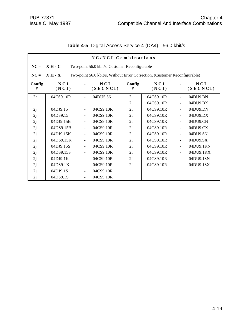|             | NC/NCI Combinations                                                                     |                          |                 |             |              |                |                 |  |  |
|-------------|-----------------------------------------------------------------------------------------|--------------------------|-----------------|-------------|--------------|----------------|-----------------|--|--|
| $NC =$      | $XH-C$<br>Two-point 56.0 kbit/s, Customer Reconfigurable                                |                          |                 |             |              |                |                 |  |  |
| $NC =$      | Two-point 56.0 kbit/s, Without Error Correction, (Customer Reconfigurable)<br>$X H - X$ |                          |                 |             |              |                |                 |  |  |
| Config<br># | NCI<br>(NCI)                                                                            |                          | NCI<br>(SECNCI) | Config<br># | NCI<br>(NCI) |                | NCI<br>(SECNCI) |  |  |
| 2h          | 04CS9.10R                                                                               |                          | 04DU5.56        | 2i          | 04CS9.10R    |                | 04DU9.BN        |  |  |
|             |                                                                                         |                          |                 | 2i          | 04CS9.10R    |                | 04DU9.BX        |  |  |
| 2j          | 04DJ9.15                                                                                | $\blacksquare$           | 04CS9.10R       | 2i          | 04CS9.10R    | $\blacksquare$ | 04DU9.DN        |  |  |
| 2j          | 04DS9.15                                                                                |                          | 04CS9.10R       | 2i          | 04CS9.10R    | ÷,             | 04DU9.DX        |  |  |
| 2j          | 04DJ9.15B                                                                               | $\blacksquare$           | 04CS9.10R       | 2i          | 04CS9.10R    | $\blacksquare$ | 04DU9.CN        |  |  |
| 2j          | 04DS9.15B                                                                               |                          | 04CS9.10R       | 2i          | 04CS9.10R    | ÷,             | 04DU9.CX        |  |  |
| 2j          | 04DJ9.15K                                                                               |                          | 04CS9.10R       | 2i          | 04CS9.10R    | ÷,             | 04DU9.SN        |  |  |
| 2j          | 04DS9.15K                                                                               | $\blacksquare$           | 04CS9.10R       | 2i          | 04CS9.10R    | ÷,             | 04DU9.SX        |  |  |
| 2j          | 04DJ9.15S                                                                               |                          | 04CS9.10R       | 2i          | 04CS9.10R    | ÷,             | 04DU9.1KN       |  |  |
| 2j          | 04DS9.15S                                                                               | $\overline{\phantom{a}}$ | 04CS9.10R       | 2i          | 04CS9.10R    | $\blacksquare$ | 04DU9.1KX       |  |  |
| 2j          | 04DJ9.1K                                                                                | $\blacksquare$           | 04CS9.10R       | 2i          | 04CS9.10R    |                | 04DU9.1SN       |  |  |
| 2j          | 04DS9.1K                                                                                |                          | 04CS9.10R       | 2i          | 04CS9.10R    |                | 04DU9.1SX       |  |  |
| 2j          | 04DJ9.1S                                                                                |                          | 04CS9.10R       |             |              |                |                 |  |  |
| 2j          | 04DS9.1S                                                                                | $\blacksquare$           | 04CS9.10R       |             |              |                |                 |  |  |

# **Table 4-5** Digital Access Service 4 (DA4) - 56.0 kbit/s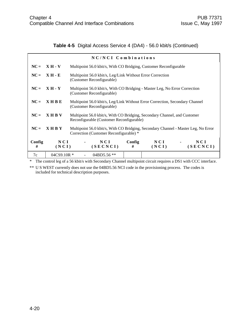# **Table 4-5** Digital Access Service 4 (DA4) - 56.0 kbit/s (Continued)

|             |              | NC/NCI Combinations                                                                                                          |                                                                            |              |                 |  |  |  |
|-------------|--------------|------------------------------------------------------------------------------------------------------------------------------|----------------------------------------------------------------------------|--------------|-----------------|--|--|--|
| $NC =$      | $XH - V$     |                                                                                                                              | Multipoint 56.0 kbit/s, With CO Bridging, Customer Reconfigurable          |              |                 |  |  |  |
| $NC =$      | $X H - E$    | (Customer Reconfigurable)                                                                                                    | Multipoint 56.0 kbit/s, Leg/Link Without Error Correction                  |              |                 |  |  |  |
| $NC =$      | $X H - Y$    | (Customer Reconfigurable)                                                                                                    | Multipoint 56.0 kbit/s, With CO Bridging - Master Leg, No Error Correction |              |                 |  |  |  |
| $NC =$      | <b>XHBE</b>  | Multipoint 56.0 kbit/s, Leg/Link Without Error Correction, Secondary Channel<br>(Customer Reconfigurable)                    |                                                                            |              |                 |  |  |  |
| $NC =$      | <b>XHBV</b>  | Multipoint 56.0 kbit/s, With CO Bridging, Secondary Channel, and Customer<br>Reconfigurable (Customer Reconfigurable)        |                                                                            |              |                 |  |  |  |
| $NC =$      | <b>XHBY</b>  | Multipoint 56.0 kbit/s, With CO Bridging, Secondary Channel - Master Leg, No Error<br>Correction (Customer Reconfigurable) * |                                                                            |              |                 |  |  |  |
| Config<br># | NCI<br>(NCI) | NCI<br>(SECNCI)                                                                                                              | Config<br>#                                                                | NCI<br>(NCI) | NCI<br>(SECNCI) |  |  |  |
| 7c          | 04CS9.10R *  | $04BD5.56$ **                                                                                                                |                                                                            |              |                 |  |  |  |
|             |              | The control leg of a 56 kbit/s with Secondary Channel multipoint circuit requires a DS1 with CCC interface.                  |                                                                            |              |                 |  |  |  |

\*\* U S WEST currently does not use the 04BD5.56 NCI code in the provisioning process. The codes is included for technical description purposes.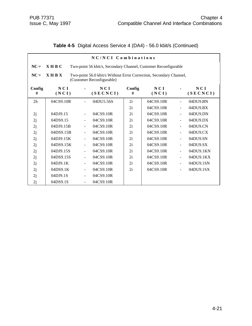|                | NC/NCI Combinations                                                                                            |                          |                                                                 |             |              |                |                 |  |  |
|----------------|----------------------------------------------------------------------------------------------------------------|--------------------------|-----------------------------------------------------------------|-------------|--------------|----------------|-----------------|--|--|
| $NC =$         | $X$ H B C                                                                                                      |                          | Two-point 56 kbit/s, Secondary Channel, Customer Reconfigurable |             |              |                |                 |  |  |
| $NC =$         | $X$ H B $X$<br>Two-point 56.0 kbit/s Without Error Correction, Secondary Channel,<br>(Customer Reconfigurable) |                          |                                                                 |             |              |                |                 |  |  |
| Config<br>#    | <b>NCI</b><br>(NCI)                                                                                            |                          | NCI<br>(SECNCI)                                                 | Config<br># | NCI<br>(NCI) |                | NCI<br>(SECNCI) |  |  |
| 2 <sub>h</sub> | 04CS9.10R                                                                                                      |                          | 04DU5.56S                                                       | 2i          | 04CS9.10R    |                | 04DU9.BN        |  |  |
|                |                                                                                                                |                          |                                                                 | 2i          | 04CS9.10R    | $\blacksquare$ | 04DU9.BX        |  |  |
| 2j             | 04DJ9.15                                                                                                       |                          | 04CS9.10R                                                       | 2i          | 04CS9.10R    | $\overline{a}$ | 04DU9.DN        |  |  |
| 2j             | 04DS9.15                                                                                                       |                          | 04CS9.10R                                                       | 2i          | 04CS9.10R    | $\blacksquare$ | 04DU9.DX        |  |  |
| 2j             | 04DJ9.15B                                                                                                      |                          | 04CS9.10R                                                       | 2i          | 04CS9.10R    | $\blacksquare$ | 04DU9.CN        |  |  |
| 2j             | 04DS9.15B                                                                                                      |                          | 04CS9.10R                                                       | 2i          | 04CS9.10R    | $\blacksquare$ | 04DU9.CX        |  |  |
| 2j             | 04DJ9.15K                                                                                                      |                          | 04CS9.10R                                                       | 2i          | 04CS9.10R    | $\blacksquare$ | 04DU9.SN        |  |  |
| 2j             | 04DS9.15K                                                                                                      | $\blacksquare$           | 04CS9.10R                                                       | 2i          | 04CS9.10R    | $\blacksquare$ | 04DU9.SX        |  |  |
| 2j             | 04DJ9.15S                                                                                                      |                          | 04CS9.10R                                                       | 2i          | 04CS9.10R    | $\frac{1}{2}$  | 04DU9.1KN       |  |  |
| 2j             | 04DS9.15S                                                                                                      |                          | 04CS9.10R                                                       | 2i          | 04CS9.10R    | $\blacksquare$ | 04DU9.1KX       |  |  |
| 2j             | 04DJ9.1K                                                                                                       | $\overline{\phantom{a}}$ | 04CS9.10R                                                       | 2i          | 04CS9.10R    | $\blacksquare$ | 04DU9.1SN       |  |  |
| 2j             | 04DS9.1K                                                                                                       |                          | 04CS9.10R                                                       | 2i          | 04CS9.10R    |                | 04DU9.1SX       |  |  |
| 2j             | 04DJ9.1S                                                                                                       |                          | 04CS9.10R                                                       |             |              |                |                 |  |  |
| 2j             | 04DS9.1S                                                                                                       |                          | 04CS9.10R                                                       |             |              |                |                 |  |  |

## **Table 4-5** Digital Access Service 4 (DA4) - 56.0 kbit/s (Continued)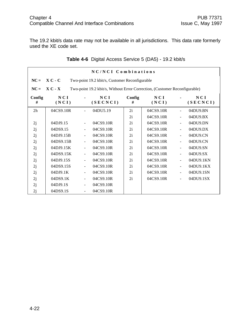The 19.2 kbit/s data rate may not be available in all jurisdictions. This data rate formerly used the XE code set.

|                | NC/NCI Combinations                                                                     |                |                 |             |              |                          |                 |  |  |
|----------------|-----------------------------------------------------------------------------------------|----------------|-----------------|-------------|--------------|--------------------------|-----------------|--|--|
| $NC =$         | $X C - C$<br>Two-point 19.2 kbit/s, Customer Reconfigurable                             |                |                 |             |              |                          |                 |  |  |
| $NC =$         | $X C - X$<br>Two-point 19.2 kbit/s, Without Error Correction, (Customer Reconfigurable) |                |                 |             |              |                          |                 |  |  |
| Config<br>#    | NCI<br>(NCI)                                                                            |                | NCI<br>(SECNCI) | Config<br># | NCI<br>(NCI) |                          | NCI<br>(SECNCI) |  |  |
| 2 <sub>h</sub> | 04CS9.10R                                                                               |                | 04DU5.19        | 2i          | 04CS9.10R    |                          | 04DU9.BN        |  |  |
|                |                                                                                         |                |                 | 2i          | 04CS9.10R    | $\blacksquare$           | 04DU9.BX        |  |  |
| 2j             | 04DJ9.15                                                                                |                | 04CS9.10R       | 2i          | 04CS9.10R    |                          | 04DU9.DN        |  |  |
| 2j             | 04DS9.15                                                                                |                | 04CS9.10R       | 2i          | 04CS9.10R    |                          | 04DU9.DX        |  |  |
| 2j             | 04DJ9.15B                                                                               |                | 04CS9.10R       | 2i          | 04CS9.10R    | $\blacksquare$           | 04DU9.CN        |  |  |
| 2j             | 04DS9.15B                                                                               | $\blacksquare$ | 04CS9.10R       | 2i          | 04CS9.10R    | $\blacksquare$           | 04DU9.CN        |  |  |
| 2j             | 04DJ9.15K                                                                               | ÷              | 04CS9.10R       | 2i          | 04CS9.10R    | $\blacksquare$           | 04DU9.SN        |  |  |
| 2j             | 04DS9.15K                                                                               |                | 04CS9.10R       | 2i          | 04CS9.10R    |                          | 04DU9.SX        |  |  |
| 2j             | 04DJ9.15S                                                                               |                | 04CS9.10R       | 2i          | 04CS9.10R    | $\overline{\phantom{a}}$ | 04DU9.1KN       |  |  |
| 2j             | 04DS9.15S                                                                               |                | 04CS9.10R       | 2i          | 04CS9.10R    |                          | 04DU9.1KX       |  |  |
| 2j             | 04DJ9.1K                                                                                | $\blacksquare$ | 04CS9.10R       | 2i          | 04CS9.10R    | $\blacksquare$           | 04DU9.1SN       |  |  |
| 2j             | 04DS9.1K                                                                                |                | 04CS9.10R       | 2i          | 04CS9.10R    |                          | 04DU9.1SX       |  |  |
| 2j             | 04DJ9.1S                                                                                | $\blacksquare$ | 04CS9.10R       |             |              |                          |                 |  |  |
| 2j             | 04DS9.1S                                                                                |                | 04CS9.10R       |             |              |                          |                 |  |  |

# **Table 4-6** Digital Access Service 5 (DA5) - 19.2 kbit/s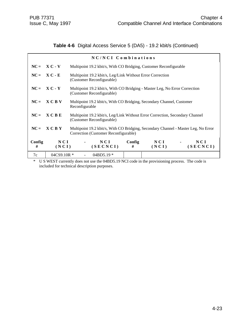# **Table 4-6** Digital Access Service 5 (DA5) - 19.2 kbit/s (Continued)

| NC/NCI Combinations |                  |  |                                                                                                                            |             |              |  |                 |
|---------------------|------------------|--|----------------------------------------------------------------------------------------------------------------------------|-------------|--------------|--|-----------------|
|                     | $NC = X C - V$   |  | Multipoint 19.2 kbit/s, With CO Bridging, Customer Reconfigurable                                                          |             |              |  |                 |
|                     | $NC = X C - E$   |  | Multipoint 19.2 kbit/s, Leg/Link Without Error Correction<br>(Customer Reconfigurable)                                     |             |              |  |                 |
|                     | $NC = X C - Y$   |  | Multipoint 19.2 kbit/s, With CO Bridging - Master Leg, No Error Correction<br>(Customer Reconfigurable)                    |             |              |  |                 |
|                     | $NC = X C B V$   |  | Multipoint 19.2 kbit/s, With CO Bridging, Secondary Channel, Customer<br>Reconfigurable                                    |             |              |  |                 |
| $NC =$              | X C B E          |  | Multipoint 19.2 kbit/s, Leg/Link Without Error Correction, Secondary Channel<br>(Customer Reconfigurable)                  |             |              |  |                 |
| $NC =$              | <b>XCBY</b>      |  | Multipoint 19.2 kbit/s, With CO Bridging, Secondary Channel - Master Leg, No Error<br>Correction (Customer Reconfigurable) |             |              |  |                 |
| Config<br>#         | NCI<br>(NCI)     |  | NCI<br>(SECNCI)                                                                                                            | Config<br># | NCI<br>(NCI) |  | NCI<br>(SECNCI) |
| 7c                  | $04C$ S9.10R $*$ |  | $04BD5.19*$                                                                                                                |             |              |  |                 |

\* U S WEST currently does not use the 04BD5.19 NCI code in the provisioning process. The code is included for technical description purposes.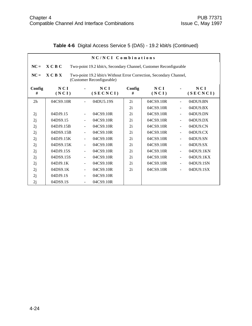|                | NC/NCI Combinations                                                                                        |                          |                                                                   |             |              |                |                 |  |  |  |
|----------------|------------------------------------------------------------------------------------------------------------|--------------------------|-------------------------------------------------------------------|-------------|--------------|----------------|-----------------|--|--|--|
| $NC =$         | X C B C                                                                                                    |                          | Two-point 19.2 kbit/s, Secondary Channel, Customer Reconfigurable |             |              |                |                 |  |  |  |
| $NC =$         | X C B X<br>Two-point 19.2 kbit/s Without Error Correction, Secondary Channel,<br>(Customer Reconfigurable) |                          |                                                                   |             |              |                |                 |  |  |  |
| Config<br>#    | NCI<br>(NCI)                                                                                               |                          | NCI<br>(SECNCI)                                                   | Config<br># | NCI<br>(NCI) |                | NCI<br>(SECNCI) |  |  |  |
| 2 <sub>h</sub> | 04CS9.10R                                                                                                  |                          | 04DU5.19S                                                         | 2i          | 04CS9.10R    | $\blacksquare$ | 04DU9.BN        |  |  |  |
|                |                                                                                                            |                          |                                                                   | 2i          | 04CS9.10R    | $\blacksquare$ | 04DU9.BX        |  |  |  |
| 2j             | 04DJ9.15                                                                                                   | $\blacksquare$           | 04CS9.10R                                                         | 2i          | 04CS9.10R    | $\blacksquare$ | 04DU9.DN        |  |  |  |
| 2j             | 04DS9.15                                                                                                   |                          | 04CS9.10R                                                         | 2i          | 04CS9.10R    | $\blacksquare$ | 04DU9.DX        |  |  |  |
| 2j             | 04DJ9.15B                                                                                                  | $\overline{\phantom{a}}$ | 04CS9.10R                                                         | 2i          | 04CS9.10R    | $\blacksquare$ | 04DU9.CN        |  |  |  |
| 2j             | 04DS9.15B                                                                                                  |                          | 04CS9.10R                                                         | 2i          | 04CS9.10R    | $\blacksquare$ | 04DU9.CX        |  |  |  |
| 2j             | 04DJ9.15K                                                                                                  | $\blacksquare$           | 04CS9.10R                                                         | 2i          | 04CS9.10R    | $\blacksquare$ | 04DU9.SN        |  |  |  |
| 2j             | 04DS9.15K                                                                                                  |                          | 04CS9.10R                                                         | 2i          | 04CS9.10R    | $\blacksquare$ | 04DU9.SX        |  |  |  |
| 2j             | 04DJ9.15S                                                                                                  |                          | 04CS9.10R                                                         | 2i          | 04CS9.10R    | $\blacksquare$ | 04DU9.1KN       |  |  |  |
| 2j             | 04DS9.15S                                                                                                  |                          | 04CS9.10R                                                         | 2i          | 04CS9.10R    | $\blacksquare$ | 04DU9.1KX       |  |  |  |
| 2j             | 04DJ9.1K                                                                                                   | $\blacksquare$           | 04CS9.10R                                                         | 2i          | 04CS9.10R    | $\blacksquare$ | 04DU9.1SN       |  |  |  |
| 2j             | 04DS9.1K                                                                                                   | $\blacksquare$           | 04CS9.10R                                                         | 2i          | 04CS9.10R    | $\overline{a}$ | 04DU9.1SX       |  |  |  |
| 2j             | 04DJ9.1S                                                                                                   |                          | 04CS9.10R                                                         |             |              |                |                 |  |  |  |
| 2j             | 04DS9.1S                                                                                                   | $\blacksquare$           | 04CS9.10R                                                         |             |              |                |                 |  |  |  |

# **Table 4-6** Digital Access Service 5 (DA5) - 19.2 kbit/s (Continued)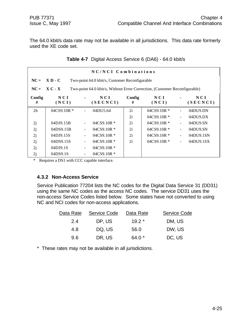The 64.0 kbit/s data rate may not be available in all jurisdictions. This data rate formerly used the XE code set.

|             | NC/NCI Combinations |                                                                            |                   |             |                  |                          |                   |  |  |
|-------------|---------------------|----------------------------------------------------------------------------|-------------------|-------------|------------------|--------------------------|-------------------|--|--|
| $NC =$      | $X D - C$           | Two-point 64.0 kbit/s, Customer Reconfigurable                             |                   |             |                  |                          |                   |  |  |
| $NC =$      | $X C - X$           | Two-point 64.0 kbit/s, Without Error Correction, (Customer Reconfigurable) |                   |             |                  |                          |                   |  |  |
| Config<br># | N C I<br>(NCI)      |                                                                            | N C I<br>(SECNCI) | Config<br># | NCI<br>(NCI)     |                          | N C I<br>(SECNCI) |  |  |
| 2h          | $04C$ S9.10R $*$    |                                                                            | 04DU5.64          | 2i          | $04CS9.10R*$     |                          | 04DU9.DN          |  |  |
|             |                     |                                                                            |                   | 2i          | $04C$ S9.10R $*$ |                          | $04DU9$ . $DX$    |  |  |
| 2j          | 04DJ9.15B           |                                                                            | $04C$ S9.10R $*$  | 2i          | $04C$ S9.10R $*$ | $\overline{\phantom{a}}$ | 04DU9.SN          |  |  |
| 2j          | 04DS9.15B           |                                                                            | $04C$ S9.10R $*$  | 2i          | $04CS9.10R*$     | $\blacksquare$           | 04DU9.SN          |  |  |
| 2j          | 04DJ9.15S           |                                                                            | $04C$ S9.10R $*$  | 2i          | $04C$ S9.10R $*$ | $\blacksquare$           | 04DU9.1SN         |  |  |
| 2j          | 04DS9.15S           |                                                                            | $04C$ S9.10R $*$  | 2i          | $04C$ S9.10R $*$ | $\overline{\phantom{a}}$ | 04DU9.1SX         |  |  |
| 2j          | 04DJ9.1S            |                                                                            | $04CS9.10R*$      |             |                  |                          |                   |  |  |
| 2j          | 04DS9.1S            |                                                                            | $04CS9.10R*$      |             |                  |                          |                   |  |  |

**Table 4-7** Digital Access Service 6 (DA6) - 64.0 kbit/s

\* Requires a DS1 with CCC capable interface.

#### **4.3.2 Non-Access Service**

Service Publication 77204 lists the NC codes for the Digital Data Service 31 (DD31) using the same NC codes as the access NC codes. The service DD31 uses the non-access Service Codes listed below. Some states have not converted to using NC and NCI codes for non-access applications.

| Data Rate | Service Code | Data Rate | <b>Service Code</b> |
|-----------|--------------|-----------|---------------------|
| 2.4       | DP, US       | $19.2*$   | DM, US              |
| 4.8       | DQ, US       | 56.0      | DW, US              |
| 9.6       | DR, US       | 64.0 *    | DC, US              |

\* These rates may not be available in all jurisdictions.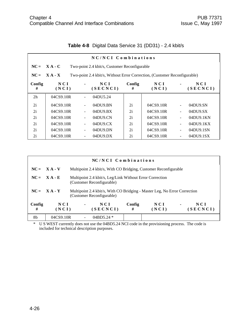|                | NC/NCI Combinations                                        |                          |                                                                           |             |                |    |                 |  |  |  |
|----------------|------------------------------------------------------------|--------------------------|---------------------------------------------------------------------------|-------------|----------------|----|-----------------|--|--|--|
| $NC =$         | $X A - C$<br>Two-point 2.4 kbit/s, Customer Reconfigurable |                          |                                                                           |             |                |    |                 |  |  |  |
| $NC =$         | $X A - X$                                                  |                          | Two-point 2.4 kbit/s, Without Error Correction, (Customer Reconfigurable) |             |                |    |                 |  |  |  |
| Config<br>#    | NCI<br>(NCI)                                               |                          | NCI<br>(SECNCI)                                                           | Config<br># | N C I<br>(NCI) |    | NCI<br>(SECNCI) |  |  |  |
| 2 <sub>h</sub> | 04CS9.10R                                                  |                          | 04DU5.24                                                                  |             |                |    |                 |  |  |  |
| 2i             | 04CS9.10R                                                  | ÷                        | 04DU9.BN                                                                  | 2i          | 04CS9.10R      | L, | 04DU9.SN        |  |  |  |
| 2i             | 04CS9.10R                                                  |                          | 04DU9.BX                                                                  | 2i          | 04CS9.10R      |    | 04DU9.SX        |  |  |  |
| 2i             | 04CS9.10R                                                  | $\overline{\phantom{0}}$ | 04DU9.CN                                                                  | 2i          | 04CS9.10R      |    | 04DU9.1KN       |  |  |  |
| 2i             | 04CS9.10R                                                  | $\overline{\phantom{0}}$ | 04DU9.CX                                                                  | 2i          | 04CS9.10R      | L, | 04DU9.1KX       |  |  |  |
| 2i             | 04CS9.10R                                                  | $\overline{\phantom{0}}$ | 04DU9.DN                                                                  | 2i          | 04CS9.10R      |    | 04DU9.1SN       |  |  |  |
| 2i             | 04CS9.10R                                                  | $\overline{\phantom{0}}$ | $04D$ U $9.DX$                                                            | 2i          | 04CS9.10R      |    | 04DU9.1SX       |  |  |  |

|  | Table 4-8 Digital Data Service 31 (DD31) - 2.4 kbit/s |  |  |  |
|--|-------------------------------------------------------|--|--|--|
|--|-------------------------------------------------------|--|--|--|

| NC/NCI Combinations |                |                |                                                                                                        |             |              |                |                 |  |
|---------------------|----------------|----------------|--------------------------------------------------------------------------------------------------------|-------------|--------------|----------------|-----------------|--|
|                     | $NC = X A - V$ |                | Multipoint 2.4 kbit/s, With CO Bridging, Customer Reconfigurable                                       |             |              |                |                 |  |
|                     | $NC = X A - E$ |                | Multipoint 2.4 kbit/s, Leg/Link Without Error Correction<br>(Customer Reconfigurable)                  |             |              |                |                 |  |
|                     | $NC = X A - Y$ |                | Multipoint 2.4 kbit/s, With CO Bridging - Master Leg, No Error Correction<br>(Customer Reconfigurable) |             |              |                |                 |  |
| Config<br>#         | NCI<br>(NCI)   | $\blacksquare$ | NCI<br>(SECNCI)                                                                                        | Config<br># | NCI<br>(NCI) | $\blacksquare$ | NCI<br>(SECNCI) |  |
| 8b                  | 04CS9.10R      |                | $04BD5.24*$                                                                                            |             |              |                |                 |  |

\* U S WEST currently does not use the 04BD5.24 NCI code in the provisioning process. The code is included for technical description purposes.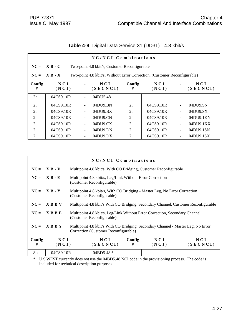| NC/NCI Combinations |                                                                                        |                          |                                   |             |              |    |                   |  |  |
|---------------------|----------------------------------------------------------------------------------------|--------------------------|-----------------------------------|-------------|--------------|----|-------------------|--|--|
| $NC =$              | $X B - C$<br>Two-point 4.8 kbit/s, Customer Reconfigurable                             |                          |                                   |             |              |    |                   |  |  |
| $NC =$              | $X B - X$<br>Two-point 4.8 kbit/s, Without Error Correction, (Customer Reconfigurable) |                          |                                   |             |              |    |                   |  |  |
| Config<br>#         | N C I<br>(NCI)                                                                         |                          | N C I<br>(SECNCI)                 | Config<br># | NCI<br>(NCI) |    | N C I<br>(SECNCI) |  |  |
| 2h                  | 04CS9.10R                                                                              | $\blacksquare$           | 04DU5.48                          |             |              |    |                   |  |  |
| 2i                  | 04CS9.10R                                                                              | $\blacksquare$           | 04DU9.BN                          | 2i          | 04CS9.10R    | ÷, | 04DU9.SN          |  |  |
| 2i                  | 04CS9.10R                                                                              |                          | 04DU9.BX                          | 2i          | 04CS9.10R    | ÷, | 04DU9.SX          |  |  |
| 2i                  | 04CS9.10R                                                                              | $\blacksquare$           | 04DU9.CN                          | 2i          | 04CS9.10R    | ÷, | 04DU9.1KN         |  |  |
| 2i                  | 04CS9.10R                                                                              | $\overline{\phantom{a}}$ | 04D <sub>U</sub> 9 <sub>C</sub> X | 2i          | 04CS9.10R    | ÷, | 04DU9.1KX         |  |  |
| 2i                  | 04CS9.10R                                                                              | $\overline{\phantom{a}}$ | 04DU9.DN                          | 2i          | 04CS9.10R    | ÷, | 04DU9.1SN         |  |  |
| 2i                  | 04CS9.10R                                                                              | $\overline{\phantom{a}}$ | 04DU9.DX                          | 2i          | 04CS9.10R    |    | 04DU9.1SX         |  |  |

# **Table 4-9** Digital Data Service 31 (DD31) - 4.8 kbit/s

|             |                | NC/NCI Combinations                                                                                                      |             |              |  |                   |  |  |
|-------------|----------------|--------------------------------------------------------------------------------------------------------------------------|-------------|--------------|--|-------------------|--|--|
|             | $NC = X B - V$ | Multipoint 4.8 kbit/s, With CO Bridging, Customer Reconfigurable                                                         |             |              |  |                   |  |  |
|             | $NC = X B - E$ | Multipoint 4.8 kbit/s, Leg/Link Without Error Correction<br>(Customer Reconfigurable)                                    |             |              |  |                   |  |  |
|             | $NC = X B - Y$ | Multipoint 4.8 kbit/s, With CO Bridging - Master Leg, No Error Correction<br>(Customer Reconfigurable)                   |             |              |  |                   |  |  |
| $NC =$      | <b>XBBV</b>    | Multipoint 4.8 kbit/s With CO Bridging, Secondary Channel, Customer Reconfigurable                                       |             |              |  |                   |  |  |
| $NC =$      | <b>XBBE</b>    | Multipoint 4.8 kbit/s, Leg/Link Without Error Correction, Secondary Channel<br>(Customer Reconfigurable)                 |             |              |  |                   |  |  |
| $NC =$      | <b>XBBY</b>    | Multipoint 4.8 kbit/s With CO Bridging, Secondary Channel - Master Leg, No Error<br>Correction (Customer Reconfigurable) |             |              |  |                   |  |  |
| Config<br># | NCI<br>(NCI)   | NCI<br>(SECNCI)                                                                                                          | Config<br># | NCI<br>(NCI) |  | N C I<br>(SECNCI) |  |  |
| 8b          | 04CS9.10R      | 04BD5.48 $*$                                                                                                             |             |              |  |                   |  |  |

\* U S WEST currently does not use the 04BD5.48 NCI code in the provisioning process. The code is included for technical description purposes.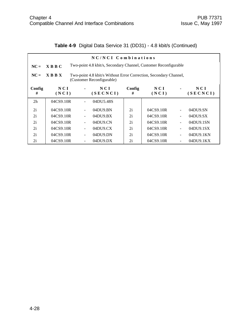|  | Table 4-9 Digital Data Service 31 (DD31) - 4.8 kbit/s (Continued) |  |  |  |  |
|--|-------------------------------------------------------------------|--|--|--|--|
|--|-------------------------------------------------------------------|--|--|--|--|

| NC/NCI Combinations |                                                                                                               |  |                                   |             |              |                          |                 |  |  |
|---------------------|---------------------------------------------------------------------------------------------------------------|--|-----------------------------------|-------------|--------------|--------------------------|-----------------|--|--|
| $NC =$              | Two-point 4.8 kbit/s, Secondary Channel, Customer Reconfigurable<br>$X$ B B C                                 |  |                                   |             |              |                          |                 |  |  |
| $NC =$              | $X$ B B $X$<br>Two-point 4.8 kbit/s Without Error Correction, Secondary Channel,<br>(Customer Reconfigurable) |  |                                   |             |              |                          |                 |  |  |
| Config<br>#         | N C I<br>(NCI)                                                                                                |  | NCI<br>(SECNCI)                   | Config<br># | NCI<br>(NCI) |                          | NCI<br>(SECNCI) |  |  |
| 2 <sub>h</sub>      | 04CS9.10R                                                                                                     |  | 04DU5.48S                         |             |              |                          |                 |  |  |
| 2i                  | 04CS9.10R                                                                                                     |  | 04DU9.BN                          | 2i          | 04CS9.10R    |                          | 04DU9.SN        |  |  |
| 2i                  | 04CS9.10R                                                                                                     |  | 04DU9.BX                          | 2i          | 04CS9.10R    |                          | 04DU9.SX        |  |  |
| 2i                  | 04CS9.10R                                                                                                     |  | 04DU9.CN                          | 2i          | 04CS9.10R    | Ē,                       | 04DU9.1SN       |  |  |
| 2i                  | 04CS9.10R                                                                                                     |  | 04D <sub>U</sub> 9 <sub>C</sub> X | 2i          | 04CS9.10R    | $\overline{\phantom{0}}$ | 04DU9.1SX       |  |  |
| 2i                  | 04CS9.10R                                                                                                     |  | 04DU9.DN                          | 2i          | 04CS9.10R    |                          | 04DU9.1KN       |  |  |
| 2i                  | 04CS9.10R                                                                                                     |  | $04D$ U $9.DX$                    | 2i          | 04CS9.10R    |                          | 04DU9.1KX       |  |  |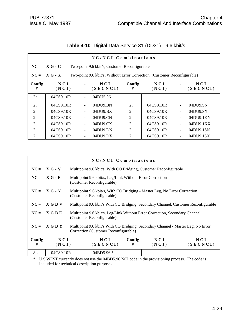| NC/NCI Combinations |                                                                                        |                          |                                   |             |              |    |                   |  |  |
|---------------------|----------------------------------------------------------------------------------------|--------------------------|-----------------------------------|-------------|--------------|----|-------------------|--|--|
| $NC =$              | $XG - C$<br>Two-point 9.6 kbit/s, Customer Reconfigurable                              |                          |                                   |             |              |    |                   |  |  |
| $NC =$              | $X G - X$<br>Two-point 9.6 kbit/s, Without Error Correction, (Customer Reconfigurable) |                          |                                   |             |              |    |                   |  |  |
| Config<br>#         | N C I<br>(NCI)                                                                         |                          | N C I<br>(SECNCI)                 | Config<br># | NCI<br>(NCI) |    | N C I<br>(SECNCI) |  |  |
| 2h                  | 04CS9.10R                                                                              | $\blacksquare$           | 04DU5.96                          |             |              |    |                   |  |  |
| 2i                  | 04CS9.10R                                                                              | $\blacksquare$           | 04DU9.BN                          | 2i          | 04CS9.10R    | ÷, | 04DU9.SN          |  |  |
| 2i                  | 04CS9.10R                                                                              |                          | 04DU9.BX                          | 2i          | 04CS9.10R    | ÷, | 04DU9.SX          |  |  |
| 2i                  | 04CS9.10R                                                                              | $\blacksquare$           | $04D$ U $9$ .CN                   | 2i          | 04CS9.10R    | ÷, | 04DU9.1KN         |  |  |
| 2i                  | 04CS9.10R                                                                              | $\overline{\phantom{a}}$ | 04D <sub>U</sub> 9 <sub>C</sub> X | 2i          | 04CS9.10R    | ÷, | 04DU9.1KX         |  |  |
| 2i                  | 04CS9.10R                                                                              | $\overline{\phantom{a}}$ | 04DU9.DN                          | 2i          | 04CS9.10R    | ÷, | 04DU9.1SN         |  |  |
| 2i                  | 04CS9.10R                                                                              | $\overline{\phantom{a}}$ | 04DU9.DX                          | 2i          | 04CS9.10R    | ÷, | 04DU9.1SX         |  |  |

# **Table 4-10** Digital Data Service 31 (DD31) - 9.6 kbit/s

|             |                | NC/NCI Combinations                                                                                                      |             |              |  |                 |  |  |
|-------------|----------------|--------------------------------------------------------------------------------------------------------------------------|-------------|--------------|--|-----------------|--|--|
|             | $NC = X G - V$ | Multipoint 9.6 kbit/s, With CO Bridging, Customer Reconfigurable                                                         |             |              |  |                 |  |  |
|             | $NC = X G - E$ | Multipoint 9.6 kbit/s, Leg/Link Without Error Correction<br>(Customer Reconfigurable)                                    |             |              |  |                 |  |  |
|             | $NC = X G - Y$ | Multipoint 9.6 kbit/s, With CO Bridging - Master Leg, No Error Correction<br>(Customer Reconfigurable)                   |             |              |  |                 |  |  |
| $NC =$      | X G B V        | Multipoint 9.6 kbit/s With CO Bridging, Secondary Channel, Customer Reconfigurable                                       |             |              |  |                 |  |  |
| $NC =$      | X G B E        | Multipoint 9.6 kbit/s, Leg/Link Without Error Correction, Secondary Channel<br>(Customer Reconfigurable)                 |             |              |  |                 |  |  |
| $NC =$      | <b>XGBY</b>    | Multipoint 9.6 kbit/s With CO Bridging, Secondary Channel - Master Leg, No Error<br>Correction (Customer Reconfigurable) |             |              |  |                 |  |  |
| Config<br># | NCI<br>(NCI)   | NCI<br>(SECNCI)                                                                                                          | Config<br># | NCI<br>(NCI) |  | NCI<br>(SECNCI) |  |  |
| 8b          | 04CS9.10R      | 04BD5.96 $*$                                                                                                             |             |              |  |                 |  |  |

\* U S WEST currently does not use the 04BD5.96 NCI code in the provisioning process. The code is included for technical description purposes.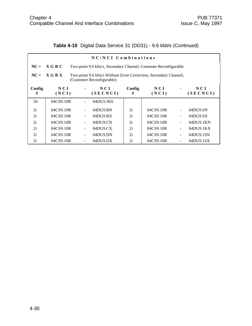# **Table 4-10** Digital Data Service 31 (DD31) - 9.6 kbit/s (Continued)

| NC/NCI Combinations |                                                                                                           |  |                 |             |              |                          |                   |  |  |  |
|---------------------|-----------------------------------------------------------------------------------------------------------|--|-----------------|-------------|--------------|--------------------------|-------------------|--|--|--|
| $NC =$              | X G B C<br>Two-point 9.6 kbit/s, Secondary Channel, Customer Reconfigurable                               |  |                 |             |              |                          |                   |  |  |  |
| $NC =$              | X G B X<br>Two-point 9.6 kbit/s Without Error Correction, Secondary Channel,<br>(Customer Reconfigurable) |  |                 |             |              |                          |                   |  |  |  |
| Config<br>#         | NCI<br>(NCI)                                                                                              |  | NCI<br>(SECNCI) | Config<br># | NCI<br>(NCI) |                          | N C I<br>(SECNCI) |  |  |  |
| 2 <sub>h</sub>      | 04CS9.10R                                                                                                 |  | 04DU5.96S       |             |              |                          |                   |  |  |  |
| 2i                  | 04CS9.10R                                                                                                 |  | 04DU9.BN        | 2i          | 04CS9.10R    |                          | 04DU9.SN          |  |  |  |
| 2i                  | 04CS9.10R                                                                                                 |  | 04DU9.BX        | 2i          | 04CS9.10R    | $\overline{\phantom{a}}$ | 04DU9.SX          |  |  |  |
| 2i                  | 04CS9.10R                                                                                                 |  | 04DU9.CN        | 2i          | 04CS9.10R    | $\ddot{\phantom{1}}$     | 04DU9.1KN         |  |  |  |
| 2i                  | 04CS9.10R                                                                                                 |  | 04DU9.CX        | 2i          | 04CS9.10R    | $\overline{\phantom{a}}$ | 04DU9.1KX         |  |  |  |
| 2i                  | 04CS9.10R                                                                                                 |  | 04DU9.DN        | 2i          | 04CS9.10R    | L                        | 04DU9.1SN         |  |  |  |
| 2i                  | 04CS9.10R                                                                                                 |  | $04D$ U $9.DX$  | 2i          | 04CS9.10R    |                          | 04DU9.1SX         |  |  |  |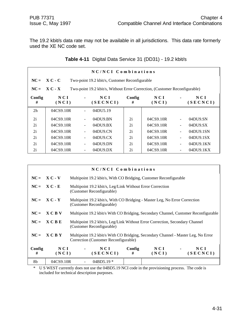The 19.2 kbit/s data rate may not be available in all jurisdictions. This data rate formerly used the XE NC code set.

|                | NC/NCI Combinations |  |                                                                            |             |              |                              |                 |
|----------------|---------------------|--|----------------------------------------------------------------------------|-------------|--------------|------------------------------|-----------------|
| $NC =$         | $X C - C$           |  | Two-point 19.2 kbit/s, Customer Reconfigurable                             |             |              |                              |                 |
| $NC =$         | $X C - X$           |  | Two-point 19.2 kbit/s, Without Error Correction, (Customer Reconfigurable) |             |              |                              |                 |
| Config<br>#    | NCI<br>(NCI)        |  | NCI<br>(SECNCI)                                                            | Config<br># | NCI<br>(NCI) |                              | NCI<br>(SECNCI) |
| 2 <sub>h</sub> | 04CS9.10R           |  | 04DU5.19                                                                   |             |              |                              |                 |
| 2i             | 04CS9.10R           |  | 04DU9.BN                                                                   | 2i          | 04CS9.10R    |                              | 04DU9.SN        |
| 2i             | 04CS9.10R           |  | $04D$ U $9. BX$                                                            | 2i          | 04CS9.10R    |                              | 04DU9.SX        |
| 2i             | 04CS9.10R           |  | 04DU9.CN                                                                   | 2i          | 04CS9.10R    | $\qquad \qquad \blacksquare$ | 04DU9.1SN       |
| 2i             | 04CS9.10R           |  | 04DU9.CX                                                                   | 2i          | 04CS9.10R    | $\blacksquare$               | 04DU9.1SX       |
| 2i             | 04CS9.10R           |  | 04DU9.DN                                                                   | 2i          | 04CS9.10R    | $\qquad \qquad \blacksquare$ | 04DU9.1KN       |
| 2i             | 04CS9.10R           |  | $04DU9$ . $DX$                                                             | 2i          | 04CS9.10R    |                              | 04DU9.1KX       |

|  | Table 4-11 Digital Data Service 31 (DD31) - 19.2 kbit/s |  |  |
|--|---------------------------------------------------------|--|--|
|--|---------------------------------------------------------|--|--|

|             | NC/NCI Combinations |  |                                                                                                           |             |              |                                                                                   |
|-------------|---------------------|--|-----------------------------------------------------------------------------------------------------------|-------------|--------------|-----------------------------------------------------------------------------------|
| $NC =$      | $X C - V$           |  | Multipoint 19.2 kbit/s, With CO Bridging, Customer Reconfigurable                                         |             |              |                                                                                   |
|             | $NC = X C - E$      |  | Multipoint 19.2 kbit/s, Leg/Link Without Error Correction<br>(Customer Reconfigurable)                    |             |              |                                                                                   |
| $NC =$      | $X C - Y$           |  | Multipoint 19.2 kbit/s, With CO Bridging - Master Leg, No Error Correction<br>(Customer Reconfigurable)   |             |              |                                                                                   |
| $NC =$      | <b>XCBV</b>         |  | Multipoint 19.2 kbit/s With CO Bridging, Secondary Channel, Customer Reconfigurable                       |             |              |                                                                                   |
| $NC =$      | <b>XCBE</b>         |  | Multipoint 19.2 kbit/s, Leg/Link Without Error Correction, Secondary Channel<br>(Customer Reconfigurable) |             |              |                                                                                   |
| $NC =$      | <b>XCBY</b>         |  | Correction (Customer Reconfigurable)                                                                      |             |              | Multipoint 19.2 kbit/s With CO Bridging, Secondary Channel - Master Leg, No Error |
| Config<br># | NCI<br>(NCI)        |  | NCI<br>(SECNCI)                                                                                           | Config<br># | NCI<br>(NCI) | N C I<br>(SECNCI)                                                                 |
| 8b          | 04CS9.10R           |  | $04BD5.19*$                                                                                               |             |              |                                                                                   |

\* U S WEST currently does not use the 04BD5.19 NCI code in the provisioning process. The code is included for technical description purposes.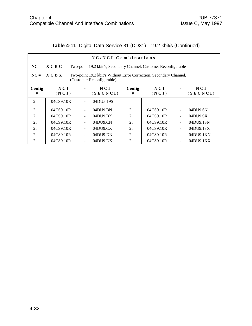|  | Table 4-11 Digital Data Service 31 (DD31) - 19.2 kbit/s (Continued) |  |  |  |
|--|---------------------------------------------------------------------|--|--|--|
|--|---------------------------------------------------------------------|--|--|--|

|                | NC/NCI Combinations                                                                                        |                |                                                                   |             |              |                          |                   |
|----------------|------------------------------------------------------------------------------------------------------------|----------------|-------------------------------------------------------------------|-------------|--------------|--------------------------|-------------------|
| $NC =$         | $X \cap B \cap C$                                                                                          |                | Two-point 19.2 kbit/s, Secondary Channel, Customer Reconfigurable |             |              |                          |                   |
| $NC =$         | X C B X<br>Two-point 19.2 kbit/s Without Error Correction, Secondary Channel,<br>(Customer Reconfigurable) |                |                                                                   |             |              |                          |                   |
| Config<br>#    | N C I<br>(NCI)                                                                                             | $\blacksquare$ | NCI<br>(SECNCI)                                                   | Config<br># | NCI<br>(NCI) |                          | N C I<br>(SECNCI) |
| 2 <sub>h</sub> | 04CS9.10R                                                                                                  |                | 04DU5.19S                                                         |             |              |                          |                   |
| 2i             | 04CS9.10R                                                                                                  |                | 04DU9.BN                                                          | 2i          | 04CS9.10R    |                          | 04DU9.SN          |
| 2i             | 04CS9.10R                                                                                                  |                | $04$ DU $9. BX$                                                   | 2i          | 04CS9.10R    | $\ddot{\phantom{1}}$     | 04DU9.SX          |
| 2i             | 04CS9.10R                                                                                                  |                | $04D$ U $9$ .CN                                                   | 2i          | 04CS9.10R    | $\overline{\phantom{a}}$ | 04DU9.1SN         |
| 2i             | 04CS9.10R                                                                                                  |                | 04DU9.CX                                                          | 2i          | 04CS9.10R    | $\ddot{\phantom{1}}$     | 04DU9.1SX         |
| 2i             | 04CS9.10R                                                                                                  |                | 04DU9.DN                                                          | 2i          | 04CS9.10R    | L                        | 04DU9.1KN         |
| 2i             | 04CS9.10R                                                                                                  |                | $04D$ U $9.DX$                                                    | 2i          | 04CS9.10R    |                          | 04DU9.1KX         |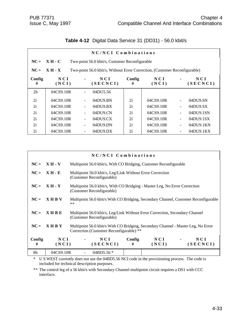|                | NC/NCI Combinations |                          |                                                                            |             |                |                              |                   |
|----------------|---------------------|--------------------------|----------------------------------------------------------------------------|-------------|----------------|------------------------------|-------------------|
| $NC =$         | $XH-C$              |                          | Two-point 56.0 kbit/s, Customer Reconfigurable                             |             |                |                              |                   |
| $NC =$         | $XH - X$            |                          | Two-point 56.0 kbit/s, Without Error Correction, (Customer Reconfigurable) |             |                |                              |                   |
| Config<br>#    | NCI<br>(NCI)        | $\blacksquare$           | N C I<br>(SECNCI)                                                          | Config<br># | N C I<br>(NCI) | ۰                            | N C I<br>(SECNCI) |
| 2 <sub>h</sub> | 04CS9.10R           |                          | 04DU5.56                                                                   |             |                |                              |                   |
| 2i             | 04CS9.10R           | $\blacksquare$           | 04DU9.BN                                                                   | 2i          | 04CS9.10R      | ÷,                           | 04DU9.SN          |
| 2i             | 04CS9.10R           | $\overline{\phantom{a}}$ | 04DU9.BX                                                                   | 2i          | 04CS9.10R      | $\qquad \qquad \blacksquare$ | 04DU9.SX          |
| 2i             | 04CS9.10R           |                          | $04DU9$ CN                                                                 | 2i          | 04CS9.10R      | ÷,                           | 04DU9.1SN         |
| 2i             | 04CS9.10R           | $\blacksquare$           | 04D <sub>U</sub> 9 <sub>C</sub> X                                          | 2i          | 04CS9.10R      | ÷,                           | 04DU9.1SX         |
| 2i             | 04CS9.10R           | $\overline{\phantom{a}}$ | 04DU9.DN                                                                   | 2i          | 04CS9.10R      | $\overline{\phantom{0}}$     | 04DU9.1KN         |
| 2i             | 04CS9.10R           |                          | $04DU9$ .DX                                                                | 2i          | 04CS9.10R      |                              | 04DU9.1KX         |

## **Table 4-12** Digital Data Service 31 (DD31) - 56.0 kbit/s

|             |               | NC/NCI Combinations                                                                                                          |                                                                                     |              |                   |  |
|-------------|---------------|------------------------------------------------------------------------------------------------------------------------------|-------------------------------------------------------------------------------------|--------------|-------------------|--|
| $NC =$      | $XH - V$      | Multipoint 56.0 kbit/s, With CO Bridging, Customer Reconfigurable                                                            |                                                                                     |              |                   |  |
| $NC =$      | $XH - E$      | Multipoint 56.0 kbit/s, Leg/Link Without Error Correction<br>(Customer Reconfigurable)                                       |                                                                                     |              |                   |  |
| $NC =$      | <b>XH - Y</b> | (Customer Reconfigurable)                                                                                                    | Multipoint 56.0 kbit/s, With CO Bridging - Master Leg, No Error Correction          |              |                   |  |
| $NC =$      | <b>XHBV</b>   | $***$                                                                                                                        | Multipoint 56.0 kbit/s With CO Bridging, Secondary Channel, Customer Reconfigurable |              |                   |  |
| $NC =$      | X H B E       | Multipoint 56.0 kbit/s, Leg/Link Without Error Correction, Secondary Channel<br>(Customer Reconfigurable)                    |                                                                                     |              |                   |  |
| $NC =$      | <b>XHBY</b>   | Multipoint 56.0 kbit/s With CO Bridging, Secondary Channel - Master Leg, No Error<br>Correction (Customer Reconfigurable) ** |                                                                                     |              |                   |  |
| Config<br># | NCI<br>(NCI)  | NCI<br>(SECNCI)                                                                                                              | Config<br>#                                                                         | NCI<br>(NCI) | N C I<br>(SECNCI) |  |
| 8b          | 04CS9.10R     | 04BD5.56 *                                                                                                                   |                                                                                     |              |                   |  |

\* U S WEST currently does not use the 04BD5.56 NCI code in the provisioning process. The code is included for technical description purposes.

\*\* The control leg of a 56 kbit/s with Secondary Channel multipoint circuit requires a DS1 with CCC interface.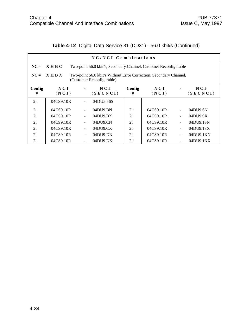## **Table 4-12** Digital Data Service 31 (DD31) - 56.0 kbit/s (Continued)

|                | NC/NCI Combinations |                                                                                                 |                                                                   |             |              |                          |                   |  |
|----------------|---------------------|-------------------------------------------------------------------------------------------------|-------------------------------------------------------------------|-------------|--------------|--------------------------|-------------------|--|
| $NC =$         | X H B C             |                                                                                                 | Two-point 56.0 kbit/s, Secondary Channel, Customer Reconfigurable |             |              |                          |                   |  |
| $NC =$         | <b>XHRX</b>         | Two-point 56.0 kbit/s Without Error Correction, Secondary Channel,<br>(Customer Reconfigurable) |                                                                   |             |              |                          |                   |  |
| Config<br>#    | N C I<br>(NCI)      |                                                                                                 | N C I<br>(SECNCI)                                                 | Config<br># | NCI<br>(NCI) |                          | N C I<br>(SECNCI) |  |
| 2 <sub>h</sub> | 04CS9.10R           |                                                                                                 | 04DU5.56S                                                         |             |              |                          |                   |  |
| 2i             | 04CS9.10R           |                                                                                                 | 04DU9.BN                                                          | 2i          | 04CS9.10R    |                          | 04DU9.SN          |  |
| 2i             | 04CS9.10R           |                                                                                                 | 04DU9.BX                                                          | 2i          | 04CS9.10R    | $\overline{\phantom{0}}$ | 04DU9.SX          |  |
| 2i             | 04CS9.10R           | $\overline{\phantom{0}}$                                                                        | $04D$ U $9$ .CN                                                   | 2i          | 04CS9.10R    | ÷,                       | 04DU9.1SN         |  |
| 2i             | 04CS9.10R           |                                                                                                 | 04D <sub>U</sub> 9 <sub>C</sub> X                                 | 2i          | 04CS9.10R    | $\overline{\phantom{0}}$ | 04DU9.1SX         |  |
| 2i             | 04CS9.10R           |                                                                                                 | 04DU9.DN                                                          | 2i          | 04CS9.10R    |                          | 04DU9.1KN         |  |
| 2i             | 04CS9.10R           |                                                                                                 | $04D$ U $9.DX$                                                    | 2i          | 04CS9.10R    |                          | 04DU9.1KX         |  |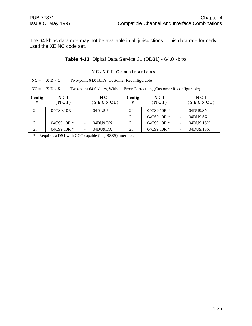The 64 kbit/s data rate may not be available in all jurisdictions. This data rate formerly used the XE NC code set.

|  | Table 4-13 Digital Data Service 31 (DD31) - 64.0 kbit/s |  |  |
|--|---------------------------------------------------------|--|--|
|--|---------------------------------------------------------|--|--|

|                | NC/NCI Combinations                                              |                |                                                                            |             |                  |                          |                   |
|----------------|------------------------------------------------------------------|----------------|----------------------------------------------------------------------------|-------------|------------------|--------------------------|-------------------|
|                | $NC = X D - C$<br>Two-point 64.0 kbit/s, Customer Reconfigurable |                |                                                                            |             |                  |                          |                   |
| $NC =$         | $X D - X$                                                        |                | Two-point 64.0 kbit/s, Without Error Correction, (Customer Reconfigurable) |             |                  |                          |                   |
| Config<br>#    | N C I<br>(NCI)                                                   | $\blacksquare$ | NCI<br>(SECNCI)                                                            | Config<br># | NCI<br>(NCI)     | $\blacksquare$           | N C I<br>(SECNCI) |
| 2 <sub>h</sub> | 04CS9.10R                                                        |                | 04DU5.64                                                                   | 2i          | $04C$ S9.10R $*$ |                          | 04DU9.SN          |
|                |                                                                  |                |                                                                            | 2i          | $04CS9.10R$ *    | $\overline{\phantom{0}}$ | 04DU9.SX          |
| 2i             | $04C$ S9.10R $*$                                                 |                | 04DU9.DN                                                                   | 2i          | $04C$ S9.10R $*$ | $\overline{\phantom{0}}$ | 04DU9.1SN         |
| 2i             | $04C$ S9.10R $*$                                                 |                | $04D$ U $9.DX$                                                             | 2i          | $04C$ S9.10R $*$ |                          | 04DU9.1SX         |

\* Requires a DS1 with CCC capable (i.e., B8ZS) interface.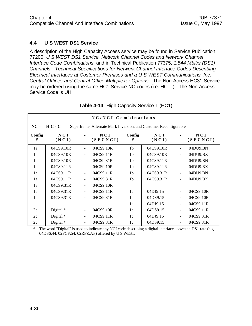#### **4.4 U S WEST DS1 Service**

A description of the High Capacity Access service may be found in Service Publication 77200, *U S WEST DS1 Service, Network Channel Codes and Network Channel Interface Code Combinations,* and in Technical Publication 77375, *1.544 Mbit/s (DS1) Channels - Technical Specifications for Network Channel Interface Codes Describing Electrical Interfaces at Customer Premises and a U S WEST Communications, Inc. Central Offices and Central Office Multiplexer Options.* The Non-Access HC31 Service may be ordered using the same HC1 Service NC codes (i.e. HC\_\_). The Non-Access Service Code is UH.

|             | NC/NCI Combinations |                          |                                                                   |                |              |                          |                 |
|-------------|---------------------|--------------------------|-------------------------------------------------------------------|----------------|--------------|--------------------------|-----------------|
| $NC =$      | $H C - C$           |                          | Superframe, Alternate Mark Inversion, and Customer Reconfigurable |                |              |                          |                 |
| Config<br># | NCI<br>(NCI)        |                          | NCI<br>(SECNCI)                                                   | Config<br>#    | NCI<br>(NCI) |                          | NCI<br>(SECNCI) |
| 1a          | 04CS9.10R           |                          | 04CS9.10R                                                         | 1 <sub>b</sub> | 04CS9.10R    |                          | 04DU9.BN        |
| 1a          | 04CS9.10R           |                          | 04CS9.11R                                                         | 1b             | 04CS9.10R    | $\blacksquare$           | 04DU9.BX        |
| 1a          | 04CS9.10R           |                          | 04CS9.31R                                                         | 1 <sub>b</sub> | 04CS9.11R    | $\blacksquare$           | 04DU9.BN        |
| 1a          | 04CS9.11R           |                          | 04CS9.10R                                                         | 1 <sub>b</sub> | 04CS9.11R    | $\blacksquare$           | 04DU9.BX        |
| 1a          | 04CS9.11R           | $\blacksquare$           | 04CS9.11R                                                         | 1 <sub>b</sub> | 04CS9.31R    | $\blacksquare$           | 04DU9.BN        |
| 1a          | 04CS9.11R           | $\blacksquare$           | 04CS9.31R                                                         | 1 <sub>b</sub> | 04CS9.31R    | ÷,                       | 04DU9.BX        |
| 1a          | 04CS9.31R           | $\blacksquare$           | 04CS9.10R                                                         |                |              |                          |                 |
| 1a          | 04CS9.31R           | $\blacksquare$           | 04CS9.11R                                                         | 1c             | 04DJ9.15     | $\overline{\phantom{a}}$ | 04CS9.10R       |
| 1a          | 04CS9.31R           | $\blacksquare$           | 04CS9.31R                                                         | 1c             | 04DS9.15     | $\blacksquare$           | 04CS9.10R       |
|             |                     |                          |                                                                   | 1c             | 04DJ9.15     | $\blacksquare$           | 04CS9.11R       |
| 2c          | Digital *           | $\overline{\phantom{a}}$ | 04CS9.10R                                                         | 1c             | 04DS9.15     | $\blacksquare$           | 04CS9.11R       |
| 2c          | Digital $*$         | $\blacksquare$           | 04CS9.11R                                                         | 1c             | 04DJ9.15     | $\blacksquare$           | 04CS9.31R       |
| 2c          | Digital *           | $\blacksquare$           | 04CS9.31R                                                         | 1c             | 04DS9.15     | $\overline{\phantom{a}}$ | 04CS9.31R       |

**Table 4-14** High Capacity Service 1 (HC1)

\* The word "Digital" is used to indicate any NCI code describing a digital interface above the DS1 rate (e.g. 04DS6.44, 02FCF.54, 02RFZ.AF) offered by U S WEST.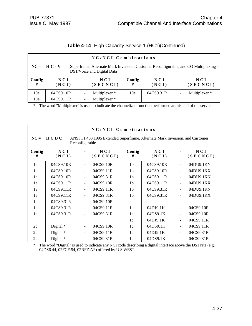|  |  |  | Table 4-14 High Capacity Service 1 (HC1)(Continued) |
|--|--|--|-----------------------------------------------------|
|--|--|--|-----------------------------------------------------|

|                 | NC/NCI Combinations                                                                                                                  |                |                 |             |              |                          |                          |  |  |  |
|-----------------|--------------------------------------------------------------------------------------------------------------------------------------|----------------|-----------------|-------------|--------------|--------------------------|--------------------------|--|--|--|
|                 | $NC = H C - V$<br>Superframe, Alternate Mark Inversion, Customer Reconfigurable, and CO Multiplexing -<br>DS1/Voice and Digital Data |                |                 |             |              |                          |                          |  |  |  |
| Config<br>#     | NCI<br>(NCI)                                                                                                                         | $\blacksquare$ | NCI<br>(SECNCI) | Config<br># | NCI<br>(NCI) | $\blacksquare$           | NCI<br>(SECNCI)          |  |  |  |
| 10 <sub>e</sub> | 04CS9.10R                                                                                                                            |                | Multiplexer *   | 10e         | 04CS9.31R    | $\overline{\phantom{a}}$ | Multiplexer <sup>*</sup> |  |  |  |
| 10 <sub>e</sub> | 04CS9.11R                                                                                                                            |                | Multiplexer *   |             |              |                          |                          |  |  |  |

|             | NC/NCI Combinations |                              |                                                                              |                |                |                          |                 |  |  |
|-------------|---------------------|------------------------------|------------------------------------------------------------------------------|----------------|----------------|--------------------------|-----------------|--|--|
| $NC =$      | H C D C             | Reconfigurable               | ANSI T1.403.1995 Extended Superframe, Alternate Mark Inversion, and Customer |                |                |                          |                 |  |  |
| Config<br># | NCI<br>(NCI)        |                              | NCI<br>(SECNCI)                                                              | Config<br>#    | N C I<br>(NCI) |                          | NCI<br>(SECNCI) |  |  |
| 1a          | 04CS9.10R           |                              | 04CS9.10R                                                                    | 1 <sub>b</sub> | 04CS9.10R      |                          | 04DU9.1KN       |  |  |
| 1a          | 04CS9.10R           |                              | 04CS9.11R                                                                    | 1 <sub>b</sub> | 04CS9.10R      |                          | 04DU9.1KX       |  |  |
| 1a          | 04CS9.10R           | $\blacksquare$               | 04CS9.31R                                                                    | 1 <sub>b</sub> | 04CS9.11R      | $\blacksquare$           | 04DU9.1KN       |  |  |
| 1a          | 04CS9.11R           | $\blacksquare$               | 04CS9.10R                                                                    | 1 <sub>b</sub> | 04CS9.11R      | $\blacksquare$           | 04DU9.1KX       |  |  |
| 1a          | 04CS9.11R           | $\blacksquare$               | 04CS9.11R                                                                    | 1 <sub>b</sub> | 04CS9.31R      | $\blacksquare$           | 04DU9.1KN       |  |  |
| 1a          | 04CS9.11R           |                              | 04CS9.31R                                                                    | 1 <sub>b</sub> | 04CS9.31R      |                          | 04DU9.1KX       |  |  |
| 1a          | 04CS9.31R           | $\qquad \qquad \blacksquare$ | 04CS9.10R                                                                    |                |                |                          |                 |  |  |
| 1a          | 04CS9.31R           |                              | 04CS9.11R                                                                    | 1c             | 04DJ9.1K       |                          | 04CS9.10R       |  |  |
| 1a          | 04CS9.31R           |                              | 04CS9.31R                                                                    | 1c             | 04DS9.1K       | $\blacksquare$           | 04CS9.10R       |  |  |
|             |                     |                              |                                                                              | 1c             | 04DJ9.1K       | $\blacksquare$           | 04CS9.11R       |  |  |
| 2c          | Digital *           |                              | 04CS9.10R                                                                    | 1c             | 04DS9.1K       | $\blacksquare$           | 04CS9.11R       |  |  |
| 2c          | Digital *           | $\overline{\phantom{a}}$     | 04CS9.11R                                                                    | 1c             | 04DJ9.1K       | $\blacksquare$           | 04CS9.31R       |  |  |
| 2c          | Digital *           | $\overline{\phantom{a}}$     | 04CS9.31R                                                                    | 1c             | 04DS9.1K       | $\overline{\phantom{a}}$ | 04CS9.31R       |  |  |

\* The word "Digital" is used to indicate any NCI code describing a digital interface above the DS1 rate (e.g. 04DS6.44, 02FCF.54, 02RFZ.AF) offered by U S WEST.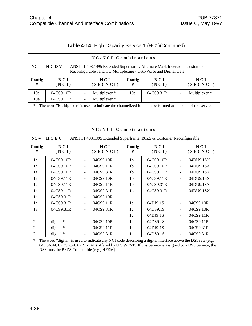| Table 4-14 High Capacity Service 1 (HC1)(Continued) |  |  |  |  |  |  |
|-----------------------------------------------------|--|--|--|--|--|--|
|-----------------------------------------------------|--|--|--|--|--|--|

|                 | NC/NCI Combinations                                                                                                                                           |                |                 |             |              |                |                          |  |  |
|-----------------|---------------------------------------------------------------------------------------------------------------------------------------------------------------|----------------|-----------------|-------------|--------------|----------------|--------------------------|--|--|
|                 | $NC = HC D V$<br>ANSI T1.403.1995 Extended Superframe, Alternate Mark Inversion, Customer<br>Reconfigurable, and CO Multiplexing - DS1/Voice and Digital Data |                |                 |             |              |                |                          |  |  |
| Config<br>#     | N C I<br>(NCI)                                                                                                                                                | $\blacksquare$ | NCI<br>(SECNCI) | Config<br># | NCI<br>(NCI) | $\blacksquare$ | N C I<br>(SECNCI)        |  |  |
| 10 <sub>e</sub> | 04CS9.10R                                                                                                                                                     |                | Multiplexer *   | 10e         | 04CS9.31R    |                | Multiplexer <sup>*</sup> |  |  |
| 10 <sub>e</sub> | 04CS9.11R                                                                                                                                                     |                | Multiplexer *   |             |              |                |                          |  |  |

|             | NC/NCI Combinations |                          |                                                                      |                |              |                          |                 |  |  |
|-------------|---------------------|--------------------------|----------------------------------------------------------------------|----------------|--------------|--------------------------|-----------------|--|--|
| $NC =$      | HCEC                |                          | ANSI T1.403.1995 Extended Superframe, B8ZS & Customer Reconfigurable |                |              |                          |                 |  |  |
| Config<br># | NCI<br>(NCI)        |                          | N C I<br>(SECNCI)                                                    | Config<br>#    | NCI<br>(NCI) |                          | NCI<br>(SECNCI) |  |  |
| 1a          | 04CS9.10R           | $\blacksquare$           | 04CS9.10R                                                            | 1 <sub>b</sub> | 04CS9.10R    | $\overline{a}$           | 04DU9.1SN       |  |  |
| 1a          | 04CS9.10R           |                          | 04CS9.11R                                                            | 1 <sub>b</sub> | 04CS9.10R    | $\frac{1}{2}$            | 04DU9.1SX       |  |  |
| 1a          | 04CS9.10R           | $\blacksquare$           | 04CS9.31R                                                            | 1 <sub>b</sub> | 04CS9.11R    | $\frac{1}{2}$            | 04DU9.1SN       |  |  |
| 1a          | 04CS9.11R           | $\blacksquare$           | 04CS9.10R                                                            | 1 <sub>b</sub> | 04CS9.11R    | $\blacksquare$           | 04DU9.1SX       |  |  |
| 1a          | 04CS9.11R           | $\blacksquare$           | 04CS9.11R                                                            | 1 <sub>b</sub> | 04CS9.31R    | $\frac{1}{2}$            | 04DU9.1SN       |  |  |
| 1a          | 04CS9.11R           | $\blacksquare$           | 04CS9.31R                                                            | 1 <sub>b</sub> | 04CS9.31R    | $\blacksquare$           | 04DU9.1SX       |  |  |
| 1a          | 04CS9.31R           | $\blacksquare$           | 04CS9.10R                                                            |                |              |                          |                 |  |  |
| 1a          | 04CS9.31R           | $\blacksquare$           | 04CS9.11R                                                            | 1c             | 04DJ9.1S     | $\overline{\phantom{a}}$ | 04CS9.10R       |  |  |
| 1a          | 04CS9.31R           | $\blacksquare$           | 04CS9.31R                                                            | 1c             | 04DS9.1S     | $\frac{1}{2}$            | 04CS9.10R       |  |  |
|             |                     |                          |                                                                      | 1c             | 04DJ9.1S     | $\frac{1}{2}$            | 04CS9.11R       |  |  |
| 2c          | digital $*$         | $\blacksquare$           | 04CS9.10R                                                            | 1c             | 04DS9.1S     | $\overline{\phantom{a}}$ | 04CS9.11R       |  |  |
| 2c          | digital *           | $\blacksquare$           | 04CS9.11R                                                            | 1c             | 04DJ9.1S     | $\overline{\phantom{a}}$ | 04CS9.31R       |  |  |
| 2c          | digital *           | $\overline{\phantom{a}}$ | 04CS9.31R                                                            | 1c             | 04DS9.1S     | $\frac{1}{2}$            | 04CS9.31R       |  |  |

\* The word "digital" is used to indicate any NCI code describing a digital interface above the DS1 rate (e.g. 04DS6.44, 02FCF.54, 02RFZ.AF) offered by U S WEST. If this Service is assigned to a DS3 Service, the DS3 must be B8ZS Compatible (e.g., HFZM).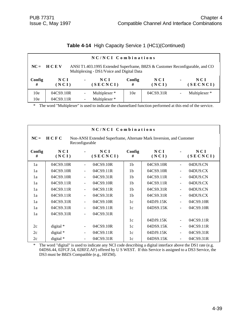|  |  |  | Table 4-14 High Capacity Service 1 (HC1)(Continued) |
|--|--|--|-----------------------------------------------------|
|--|--|--|-----------------------------------------------------|

|                 | NC/NCI Combinations                                                                                                                    |                          |                 |             |              |                |                 |  |  |  |
|-----------------|----------------------------------------------------------------------------------------------------------------------------------------|--------------------------|-----------------|-------------|--------------|----------------|-----------------|--|--|--|
|                 | $NC = HC$<br>ANSI T1.403.1995 Extended Superframe, B8ZS & Customer Reconfigurable, and CO<br>Multiplexing - DS1/Voice and Digital Data |                          |                 |             |              |                |                 |  |  |  |
| Config<br>#     | N C I<br>(NCI)                                                                                                                         | $\blacksquare$           | NCI<br>(SECNCI) | Config<br># | NCI<br>(NCI) | $\blacksquare$ | NCI<br>(SECNCI) |  |  |  |
| 10 <sub>e</sub> | 04CS9.10R                                                                                                                              | -                        | Multiplexer *   | 10e         | 04CS9.31R    |                | Multiplexer *   |  |  |  |
| 10 <sub>e</sub> | 04CS9.11R                                                                                                                              | $\overline{\phantom{0}}$ | Multiplexer *   |             |              |                |                 |  |  |  |

|             | NC/NCI Combinations                                                                            |                              |                 |                |                |                          |                 |  |  |
|-------------|------------------------------------------------------------------------------------------------|------------------------------|-----------------|----------------|----------------|--------------------------|-----------------|--|--|
| $NC =$      | HCFC<br>Non-ANSI Extended Superframe, Alternate Mark Inversion, and Customer<br>Reconfigurable |                              |                 |                |                |                          |                 |  |  |
| Config<br># | N C I<br>(NCI)                                                                                 |                              | NCI<br>(SECNCI) | Config<br>#    | N C I<br>(NCI) |                          | NCI<br>(SECNCI) |  |  |
| 1a          | 04CS9.10R                                                                                      | $\qquad \qquad \blacksquare$ | 04CS9.10R       | 1 <sub>b</sub> | 04CS9.10R      | ÷,                       | 04DU9.CN        |  |  |
| 1a          | 04CS9.10R                                                                                      | ÷,                           | 04CS9.11R       | 1 <sub>b</sub> | 04CS9.10R      | ÷,                       | 04DU9.CX        |  |  |
| 1a          | 04CS9.10R                                                                                      | $\qquad \qquad \blacksquare$ | 04CS9.31R       | 1 <sub>b</sub> | 04CS9.11R      | $\frac{1}{2}$            | 04DU9.CN        |  |  |
| 1a          | 04CS9.11R                                                                                      |                              | 04CS9.10R       | 1 <sub>b</sub> | 04CS9.11R      | $\ddot{\phantom{1}}$     | 04DU9.CX        |  |  |
| 1a          | 04CS9.11R                                                                                      |                              | 04CS9.11R       | 1 <sub>b</sub> | 04CS9.31R      | $\ddot{\phantom{1}}$     | 04DU9.CN        |  |  |
| 1a          | 04CS9.11R                                                                                      |                              | 04CS9.31R       | 1 <sub>b</sub> | 04CS9.31R      | $\ddot{\phantom{1}}$     | 04DU9.CX        |  |  |
| 1a          | 04CS9.31R                                                                                      |                              | 04CS9.10R       | 1c             | 04DJ9.15K      | $\overline{a}$           | 04CS9.10R       |  |  |
| 1a          | 04CS9.31R                                                                                      |                              | 04CS9.11R       | 1c             | 04DS9.15K      | ÷,                       | 04CS9.10R       |  |  |
| 1a          | 04CS9.31R                                                                                      | $\overline{\phantom{0}}$     | 04CS9.31R       |                |                |                          |                 |  |  |
|             |                                                                                                |                              |                 | 1c             | 04DJ9.15K      | ÷,                       | 04CS9.11R       |  |  |
| 2c          | digital *                                                                                      | $\overline{\phantom{a}}$     | 04CS9.10R       | 1c             | 04DS9.15K      | $\overline{\phantom{a}}$ | 04CS9.11R       |  |  |
| 2c          | $digital*$                                                                                     | ۰                            | 04CS9.11R       | 1c             | 04DJ9.15K      | ÷,                       | 04CS9.31R       |  |  |
| 2c          | digital $*$                                                                                    | $\overline{\phantom{a}}$     | 04CS9.31R       | 1c             | 04DS9.15K      | $\overline{\phantom{0}}$ | 04CS9.31R       |  |  |

\* The word "digital" is used to indicate any NCI code describing a digital interface above the DS1 rate (e.g. 04DS6.44, 02FCF.54, 02RFZ.AF) offered by U S WEST. If this Service is assigned to a DS3 Service, the DS3 must be B8ZS Compatible (e.g., HFZM).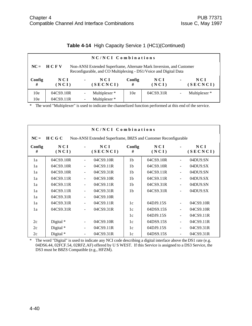|  |  | Table 4-14 High Capacity Service 1 (HC1)(Continued) |  |  |
|--|--|-----------------------------------------------------|--|--|
|--|--|-----------------------------------------------------|--|--|

|                 | NC/NCI Combinations                                                                                                                                   |                |                 |             |              |                |                          |  |  |
|-----------------|-------------------------------------------------------------------------------------------------------------------------------------------------------|----------------|-----------------|-------------|--------------|----------------|--------------------------|--|--|
|                 | $NC = HC$<br>Non-ANSI Extended Superframe, Alternate Mark Inversion, and Customer<br>Reconfigurable, and CO Multiplexing - DS1/Voice and Digital Data |                |                 |             |              |                |                          |  |  |
| Config<br>#     | N C I<br>(NCI)                                                                                                                                        | $\blacksquare$ | NCI<br>(SECNCI) | Config<br># | NCI<br>(NCI) | $\blacksquare$ | NCI<br>(SECNCI)          |  |  |
| 10 <sub>e</sub> | 04CS9.10R                                                                                                                                             |                | Multiplexer *   | 10e         | 04CS9.31R    |                | Multiplexer <sup>*</sup> |  |  |
| 10e             | 04CS9.11R                                                                                                                                             |                | Multiplexer *   |             |              |                |                          |  |  |

|             | NC/NCI Combinations                                                       |                          |                 |                |                |                          |                   |  |  |
|-------------|---------------------------------------------------------------------------|--------------------------|-----------------|----------------|----------------|--------------------------|-------------------|--|--|
| $NC =$      | H C G C<br>Non-ANSI Extended Superframe, B8ZS and Customer Reconfigurable |                          |                 |                |                |                          |                   |  |  |
| Config<br># | NCI<br>(NCI)                                                              |                          | NCI<br>(SECNCI) | Config<br>#    | N C I<br>(NCI) |                          | N C I<br>(SECNCI) |  |  |
| 1a          | 04CS9.10R                                                                 |                          | 04CS9.10R       | 1 <sub>b</sub> | 04CS9.10R      | $\frac{1}{2}$            | 04DU9.SN          |  |  |
| 1a          | 04CS9.10R                                                                 |                          | 04CS9.11R       | 1 <sub>b</sub> | 04CS9.10R      | $\overline{\phantom{a}}$ | 04DU9.SX          |  |  |
| 1a          | 04CS9.10R                                                                 |                          | 04CS9.31R       | 1 <sub>b</sub> | 04CS9.11R      | $\frac{1}{2}$            | 04DU9.SN          |  |  |
| 1a          | 04CS9.11R                                                                 | $\overline{\phantom{0}}$ | 04CS9.10R       | 1 <sub>b</sub> | 04CS9.11R      | $\blacksquare$           | 04DU9.SX          |  |  |
| 1a          | 04CS9.11R                                                                 | $\blacksquare$           | 04CS9.11R       | 1 <sub>b</sub> | 04CS9.31R      | $\blacksquare$           | 04DU9.SN          |  |  |
| 1a          | 04CS9.11R                                                                 | $\overline{\phantom{a}}$ | 04CS9.31R       | 1 <sub>b</sub> | 04CS9.31R      | $\blacksquare$           | 04DU9.SX          |  |  |
| 1a          | 04CS9.31R                                                                 | $\overline{\phantom{a}}$ | 04CS9.10R       |                |                |                          |                   |  |  |
| 1a          | 04CS9.31R                                                                 | $\blacksquare$           | 04CS9.11R       | 1c             | 04DJ9.15S      | $\blacksquare$           | 04CS9.10R         |  |  |
| 1a          | 04CS9.31R                                                                 | $\overline{\phantom{a}}$ | 04CS9.31R       | 1c             | 04DS9.15S      | $\blacksquare$           | 04CS9.10R         |  |  |
|             |                                                                           |                          |                 | 1c             | 04DJ9.15S      | $\blacksquare$           | 04CS9.11R         |  |  |
| 2c          | Digital *                                                                 | $\blacksquare$           | 04CS9.10R       | 1c             | 04DS9.15S      | $\blacksquare$           | 04CS9.11R         |  |  |
| 2c          | Digital *                                                                 | $\blacksquare$           | 04CS9.11R       | 1c             | 04DJ9.15S      | $\overline{\phantom{a}}$ | 04CS9.31R         |  |  |
| 2c          | Digital *                                                                 | $\blacksquare$           | 04CS9.31R       | 1c             | 04DS9.15S      | $\overline{\phantom{a}}$ | 04CS9.31R         |  |  |

\* The word "Digital" is used to indicate any NCI code describing a digital interface above the DS1 rate (e.g. 04DS6.44, 02FCF.54, 02RFZ.AF) offered by U S WEST. If this Service is assigned to a DS3 Service, the DS3 must be B8ZS Compatible (e.g., HFZM).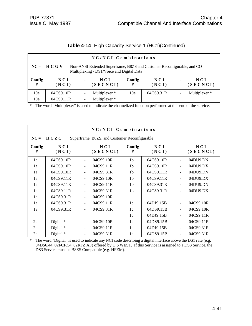|  |  | Table 4-14 High Capacity Service 1 (HC1)(Continued) |  |  |
|--|--|-----------------------------------------------------|--|--|
|--|--|-----------------------------------------------------|--|--|

| NC/NCI Combinations |                                                                                                                                      |                |                 |             |                |                |                          |  |  |
|---------------------|--------------------------------------------------------------------------------------------------------------------------------------|----------------|-----------------|-------------|----------------|----------------|--------------------------|--|--|
|                     | $NC = HC G V$<br>Non-ANSI Extended Superframe, B8ZS and Customer Reconfigurable, and CO<br>Multiplexing - DS1/Voice and Digital Data |                |                 |             |                |                |                          |  |  |
| Config<br>#         | NCI<br>(NCI)                                                                                                                         | $\blacksquare$ | NCI<br>(SECNCI) | Config<br># | N C I<br>(NCI) | $\blacksquare$ | NCI<br>(SECNCI)          |  |  |
| 10 <sub>e</sub>     | 04CS9.10R                                                                                                                            |                | Multiplexer *   | 10e         | 04CS9.31R      | $\blacksquare$ | Multiplexer <sup>*</sup> |  |  |
| 10e                 | 04CS9.11R                                                                                                                            |                | Multiplexer *   |             |                |                |                          |  |  |

|             | NC/NCI Combinations                                   |                |                 |                |              |                          |                 |  |  |
|-------------|-------------------------------------------------------|----------------|-----------------|----------------|--------------|--------------------------|-----------------|--|--|
| $NC =$      | HCZC<br>Superframe, B8ZS, and Customer Reconfigurable |                |                 |                |              |                          |                 |  |  |
| Config<br># | NCI<br>(NCI)                                          |                | NCI<br>(SECNCI) | Config<br>#    | NCI<br>(NCI) |                          | NCI<br>(SECNCI) |  |  |
| 1a          | 04CS9.10R                                             |                | 04CS9.10R       | 1 <sub>b</sub> | 04CS9.10R    | -                        | 04DU9.DN        |  |  |
| 1a          | 04CS9.10R                                             |                | 04CS9.11R       | 1 <sub>b</sub> | 04CS9.10R    | $\ddot{\phantom{1}}$     | 04DU9.DX        |  |  |
| 1a          | 04CS9.10R                                             |                | 04CS9.31R       | 1 <sub>b</sub> | 04CS9.11R    | $\frac{1}{2}$            | 04DU9.DN        |  |  |
| 1a          | 04CS9.11R                                             |                | 04CS9.10R       | 1 <sub>b</sub> | 04CS9.11R    | $\overline{a}$           | 04DU9.DX        |  |  |
| 1a          | 04CS9.11R                                             | $\blacksquare$ | 04CS9.11R       | 1 <sub>b</sub> | 04CS9.31R    | $\overline{a}$           | 04DU9.DN        |  |  |
| 1a          | 04CS9.11R                                             | $\blacksquare$ | 04CS9.31R       | 1 <sub>b</sub> | 04CS9.31R    | $\overline{a}$           | 04DU9.DX        |  |  |
| 1a          | 04CS9.31R                                             | $\blacksquare$ | 04CS9.10R       |                |              |                          |                 |  |  |
| 1a          | 04CS9.31R                                             | $\blacksquare$ | 04CS9.11R       | 1c             | 04DJ9.15B    | $\frac{1}{2}$            | 04CS9.10R       |  |  |
| 1a          | 04CS9.31R                                             | $\blacksquare$ | 04CS9.31R       | 1c             | 04DS9.15B    | $\overline{\phantom{a}}$ | 04CS9.10R       |  |  |
|             |                                                       |                |                 | 1c             | 04DJ9.15B    | $\overline{\phantom{a}}$ | 04CS9.11R       |  |  |
| 2c          | Digital *                                             | $\blacksquare$ | 04CS9.10R       | 1c             | 04DS9.15B    | $\blacksquare$           | 04CS9.11R       |  |  |
| 2c          | Digital *                                             | $\blacksquare$ | 04CS9.11R       | 1c             | 04DJ9.15B    | $\frac{1}{2}$            | 04CS9.31R       |  |  |
| 2c          | Digital *                                             | $\blacksquare$ | 04CS9.31R       | 1c             | 04DS9.15B    | $\frac{1}{2}$            | 04CS9.31R       |  |  |

\* The word "Digital" is used to indicate any NCI code describing a digital interface above the DS1 rate (e.g. 04DS6.44, 02FCF.54, 02RFZ.AF) offered by U S WEST. If this Service is assigned to a DS3 Service, the DS3 Service must be B8ZS Compatible (e.g. HFZM).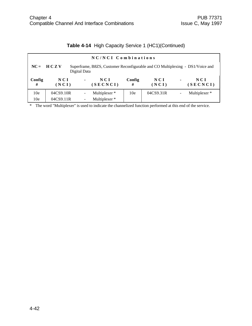| NC/NCI Combinations |                                                                                                                |                |                   |                 |              |                |                 |  |  |
|---------------------|----------------------------------------------------------------------------------------------------------------|----------------|-------------------|-----------------|--------------|----------------|-----------------|--|--|
|                     | $NC = HC Z V$<br>Superframe, B8ZS, Customer Reconfigurable and CO Multiplexing - DS1/Voice and<br>Digital Data |                |                   |                 |              |                |                 |  |  |
| Config<br>#         | NCI<br>(NCI)                                                                                                   | $\blacksquare$ | N C I<br>(SECNCI) | Config<br>#     | NCI<br>(NCI) | $\blacksquare$ | NCI<br>(SECNCI) |  |  |
| 10 <sub>e</sub>     | 04CS9.10R                                                                                                      |                | Multiplexer *     | 10 <sub>e</sub> | 04CS9.31R    | ۰              | Multiplexer*    |  |  |
| 10 <sub>e</sub>     | 04CS9.11R                                                                                                      |                | Multiplexer *     |                 |              |                |                 |  |  |

## **Table 4-14** High Capacity Service 1 (HC1)(Continued)

\* The word "Multiplexer" is used to indicate the channelized function performed at this end of the service.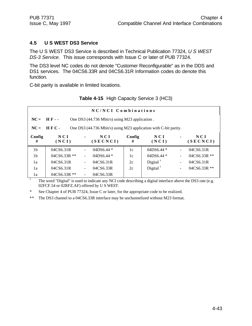## **4.5 U S WEST DS3 Service**

The U S WEST DS3 Service is described in Technical Publication 77324, *U S WEST DS-3 Service.* This issue corresponds with Issue C or later of PUB 77324.

The DS3 level NC codes do not denote "Customer Reconfigurable" as in the DDS and DS1 services. The 04CS6.33R and 04CS6.31R Information codes do denote this function.

C-bit parity is available in limited locations.

|                |                                                                |                                                                  | NC/NCI Combinations |             |                      |                          |                   |  |
|----------------|----------------------------------------------------------------|------------------------------------------------------------------|---------------------|-------------|----------------------|--------------------------|-------------------|--|
| $NC =$         | <b>HF</b> --<br>One DS3 (44.736 Mbit/s) using M23 application. |                                                                  |                     |             |                      |                          |                   |  |
| $NC =$         | $HFC -$                                                        | One DS3 (44.736 Mbit/s) using M23 application with C-bit parity. |                     |             |                      |                          |                   |  |
| Config<br>#    | NCI<br>(NCI)                                                   | $\blacksquare$                                                   | N C I<br>(SECNCI)   | Config<br># | NCI<br>(NCI)         | $\blacksquare$           | N C I<br>(SECNCI) |  |
| 1 <sub>b</sub> | 04CS6.31R                                                      |                                                                  | $04DS6.44*$         | 1c          | $04DS6.44*$          | ÷                        | 04CS6.31R         |  |
| 1 <sub>b</sub> | $04CS6.33R$ **                                                 | $\overline{\phantom{a}}$                                         | $04DS6.44*$         | 1c          | 04DS6.44 *           |                          | $04CS6.33R$ **    |  |
| 1a             | 04CS6.31R                                                      | $\overline{\phantom{0}}$                                         | 04CS6.31R           | 2c          | Digital $^{\dagger}$ | ٠                        | 04CS6.31R         |  |
| 1a             | 04CS6.31R                                                      | $\overline{\phantom{0}}$                                         | 04CS6.33R           | 2c          | Digital $†$          | $\overline{\phantom{a}}$ | $04CS6.33R$ **    |  |
| 1a             | $04CS6.33R$ **                                                 | $\overline{\phantom{a}}$                                         | 04CS6.33R           |             |                      |                          |                   |  |

**Table 4-15** High Capacity Service 3 (HC3)

† The word "Digital" is used to indicate any NCI code describing a digital interface above the DS3 rate (e.g. 02FCF.54 or 02RFZ.AF) offered by U S WEST.

\* See Chapter 4 of PUB 77324, Issue C or later, for the appropriate code to be realized.

\*\* The DS3 channel to a 04CS6.33R interface may be unchannelized without M23 format.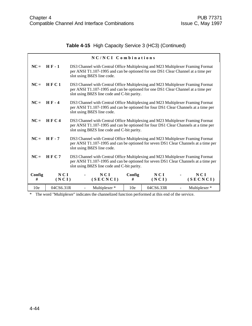## **Table 4-15** High Capacity Service 3 (HC3) (Continued)

|                 |               |                                                                                                                                                                                                                       | NC/NCI Combinations                                                                                                                                                                                                  |                 |              |  |                 |  |  |
|-----------------|---------------|-----------------------------------------------------------------------------------------------------------------------------------------------------------------------------------------------------------------------|----------------------------------------------------------------------------------------------------------------------------------------------------------------------------------------------------------------------|-----------------|--------------|--|-----------------|--|--|
|                 | $NC = HF - 1$ |                                                                                                                                                                                                                       | DS3 Channel with Central Office Multiplexing and M23 Multiplexer Framing Format<br>per ANSI T1.107-1995 and can be optioned for one DS1 Clear Channel at a time per<br>slot using B8ZS line code.                    |                 |              |  |                 |  |  |
| $NC =$          | HFC1          |                                                                                                                                                                                                                       | DS3 Channel with Central Office Multiplexing and M23 Multiplexer Framing Format<br>per ANSI T1.107-1995 and can be optioned for one DS1 Clear Channel at a time per<br>slot using B8ZS line code and C-bit parity.   |                 |              |  |                 |  |  |
| $NC =$          | $H F - 4$     |                                                                                                                                                                                                                       | DS3 Channel with Central Office Multiplexing and M23 Multiplexer Framing Format<br>per ANSI T1.107-1995 and can be optioned for four DS1 Clear Channels at a time per<br>slot using B8ZS line code.                  |                 |              |  |                 |  |  |
| $NC =$          | HFC4          |                                                                                                                                                                                                                       | DS3 Channel with Central Office Multiplexing and M23 Multiplexer Framing Format<br>per ANSI T1.107-1995 and can be optioned for four DS1 Clear Channels at a time per<br>slot using B8ZS line code and C-bit parity. |                 |              |  |                 |  |  |
| $NC =$          | <b>HF-7</b>   |                                                                                                                                                                                                                       | DS3 Channel with Central Office Multiplexing and M23 Multiplexer Framing Format<br>per ANSI T1.107-1995 and can be optioned for seven DS1 Clear Channels at a time per<br>slot using B8ZS line code.                 |                 |              |  |                 |  |  |
| $NC =$          | HFC7          | DS3 Channel with Central Office Multiplexing and M23 Multiplexer Framing Format<br>per ANSI T1.107-1995 and can be optioned for seven DS1 Clear Channels at a time per<br>slot using B8ZS line code and C-bit parity. |                                                                                                                                                                                                                      |                 |              |  |                 |  |  |
| Config<br>#     | NCI<br>(NCI)  |                                                                                                                                                                                                                       | NCI<br>(SECNCI)                                                                                                                                                                                                      | Config<br>#     | NCI<br>(NCI) |  | NCI<br>(SECNCI) |  |  |
| 10 <sub>e</sub> | 04CS6.31R     |                                                                                                                                                                                                                       | Multiplexer *                                                                                                                                                                                                        | 10 <sub>e</sub> | 04CS6.33R    |  | Multiplexer *   |  |  |

\* The word "Multiplexer" indicates the channelized function performed at this end of the service.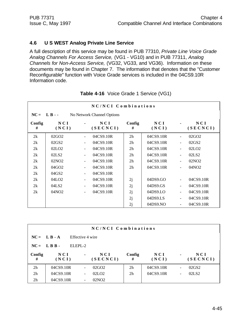#### **4.6 U S WEST Analog Private Line Service**

A full description of this service may be found in PUB 77310, *Private Line Voice Grade Analog Channels For Access Service,* (VG1 - VG10) and in PUB 77311, *Analog Channels for Non-Access Service,* (VG32, VG33, and VG36). Information on these documents may be found in Chapter 7. The information that denotes that the "Customer Reconfigurable" function with Voice Grade services is included in the 04CS9.10R Information code.

|             | NC/NCI Combinations |                          |                            |                |                     |                      |                   |  |  |
|-------------|---------------------|--------------------------|----------------------------|----------------|---------------------|----------------------|-------------------|--|--|
|             | $NC = L B -$        |                          | No Network Channel Options |                |                     |                      |                   |  |  |
| Config<br># | NCI<br>(NCI)        |                          | N C I<br>(SECNCI)          | Config<br>#    | NCI<br>(NCI)        |                      | N C I<br>(SECNCI) |  |  |
| 2k          | 02GO <sub>2</sub>   |                          | 04CS9.10R                  | 2 <sub>h</sub> | 04CS9.10R           | $\ddot{\phantom{1}}$ | 02GO <sub>2</sub> |  |  |
| 2k          | 02GS2               |                          | 04CS9.10R                  | 2 <sub>h</sub> | 04CS9.10R           |                      | 02GS2             |  |  |
| 2k          | 02LO2               | $\blacksquare$           | 04CS9.10R                  | 2 <sub>h</sub> | 04CS9.10R           | $\blacksquare$       | 02LO2             |  |  |
| 2k          | 02LS <sub>2</sub>   |                          | 04CS9.10R                  | 2 <sub>h</sub> | 04CS9.10R           |                      | 02LS <sub>2</sub> |  |  |
| 2k          | 02NO <sub>2</sub>   |                          | 04CS9.10R                  | 2 <sub>h</sub> | 04CS9.10R           |                      | 02NO <sub>2</sub> |  |  |
| 2k          | 04GO2               | $\overline{\phantom{a}}$ | 04CS9.10R                  | 2h             | 04CS9.10R           | $\frac{1}{2}$        | 04NO <sub>2</sub> |  |  |
| 2k          | 04GS2               | $\overline{\phantom{a}}$ | 04CS9.10R                  |                |                     |                      |                   |  |  |
| 2k          | 04LO <sub>2</sub>   |                          | 04CS9.10R                  | 2j             | 04DS9.GO            | $\overline{a}$       | 04CS9.10R         |  |  |
| 2k          | 04LS2               |                          | 04CS9.10R                  | 2j             | 04DS9.GS            | $\blacksquare$       | 04CS9.10R         |  |  |
| 2k          | 04NO <sub>2</sub>   | $\blacksquare$           | 04CS9.10R                  | 2j             | 04DS9.LO            | $\blacksquare$       | 04CS9.10R         |  |  |
|             |                     |                          |                            | 2j             | 04DS9 <sub>LS</sub> | $\frac{1}{2}$        | 04CS9.10R         |  |  |
|             |                     |                          |                            | 2j             | 04DS9.NO            |                      | 04CS9.10R         |  |  |

| Table 4-16 Voice Grade 1 Service (VG1) |  |  |
|----------------------------------------|--|--|
|----------------------------------------|--|--|

| NC/NCI Combinations |                |                |                   |                |              |                          |                   |  |
|---------------------|----------------|----------------|-------------------|----------------|--------------|--------------------------|-------------------|--|
|                     | $NC = L B - A$ |                | Effective 4 wire  |                |              |                          |                   |  |
|                     | $NC = LBR$ .   | ELEPL-2        |                   |                |              |                          |                   |  |
| Config<br>#         | NCI<br>(NCI)   | $\blacksquare$ | NCI<br>(SECNCI)   | Config<br>#    | NCI<br>(NCI) | $\blacksquare$           | N C I<br>(SECNCI) |  |
| 2 <sub>h</sub>      | 04CS9.10R      | $\blacksquare$ | 02GO <sub>2</sub> | 2 <sub>h</sub> | 04CS9.10R    | $\blacksquare$           | 02GS2             |  |
| 2 <sub>h</sub>      | 04CS9.10R      | ۰              | 02LO2             | 2 <sub>h</sub> | 04CS9.10R    | $\overline{\phantom{a}}$ | 02LS <sub>2</sub> |  |
| 2 <sub>h</sub>      | 04CS9.10R      |                | 02NO <sub>2</sub> |                |              |                          |                   |  |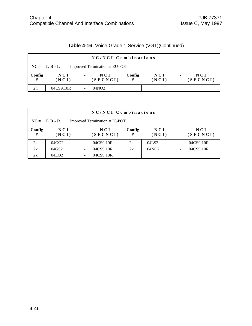|  |  |  |  | Table 4-16 Voice Grade 1 Service (VG1)(Continued) |
|--|--|--|--|---------------------------------------------------|
|--|--|--|--|---------------------------------------------------|

|                | NC/NCI Combinations                              |                                   |             |                |                                     |  |  |  |  |
|----------------|--------------------------------------------------|-----------------------------------|-------------|----------------|-------------------------------------|--|--|--|--|
|                | Improved Termination at EU-POT<br>$NC = L B - L$ |                                   |             |                |                                     |  |  |  |  |
| Config<br>#    | NCI<br>(NCI)                                     | NCI<br>$\blacksquare$<br>(SECNCI) | Config<br># | N C I<br>(NCI) | N C I<br>$\blacksquare$<br>(SECNCI) |  |  |  |  |
| 2 <sub>h</sub> | 04CS9.10R                                        | 04NO2                             |             |                |                                     |  |  |  |  |

|             | NC/NCI Combinations  |   |                                |             |              |                          |                 |  |
|-------------|----------------------|---|--------------------------------|-------------|--------------|--------------------------|-----------------|--|
|             | $NC = L B - R$       |   | Improved Termination at IC-POT |             |              |                          |                 |  |
| Config<br># | NCI<br>(NCI)         | ٠ | N C I<br>(SECNCI)              | Config<br># | NCI<br>(NCI) | $\blacksquare$           | NCI<br>(SECNCI) |  |
| 2k          | $04$ GO <sub>2</sub> |   | 04CS9.10R                      | 2k          | 04LS2        | $\overline{\phantom{a}}$ | 04CS9.10R       |  |
| 2k          | 04GS2                |   | 04CS9.10R                      | 2k          | 04NO2        | $\overline{\phantom{a}}$ | 04CS9.10R       |  |
| 2k          | 04LO <sub>2</sub>    |   | 04CS9.10R                      |             |              |                          |                 |  |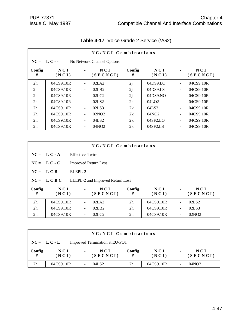|                | NC/NCI Combinations |                          |                               |             |                   |                          |                 |  |  |  |  |
|----------------|---------------------|--------------------------|-------------------------------|-------------|-------------------|--------------------------|-----------------|--|--|--|--|
| $NC = LC -$    |                     |                          | No Network Channel Options    |             |                   |                          |                 |  |  |  |  |
| Config<br>#    | NCI<br>(NCI)        |                          | N C I<br>(SECNCI)             | Config<br># | NCI<br>(NCI)      |                          | NCI<br>(SECNCI) |  |  |  |  |
| 2 <sub>h</sub> | 04CS9.10R           |                          | 02LA2                         | 2j          | 04DS9.LO          | $\overline{\phantom{a}}$ | 04CS9.10R       |  |  |  |  |
| 2 <sub>h</sub> | 04CS9.10R           | $\overline{\phantom{a}}$ | 02LB2                         | 2j          | 04DS9.LS          | $\overline{\phantom{a}}$ | 04CS9.10R       |  |  |  |  |
| 2 <sub>h</sub> | 04CS9.10R           | $\overline{\phantom{a}}$ | 02 <sub>L</sub> <sub>C2</sub> | 2j          | 04DS9.NO          | $\overline{\phantom{a}}$ | 04CS9.10R       |  |  |  |  |
| 2 <sub>h</sub> | 04CS9.10R           | $\overline{\phantom{a}}$ | 02LS <sub>2</sub>             | 2k          | 04LO2             | $\overline{\phantom{a}}$ | 04CS9.10R       |  |  |  |  |
| 2 <sub>h</sub> | 04CS9.10R           |                          | 02LS3                         | 2k          | 04LS2             | $\overline{\phantom{a}}$ | 04CS9.10R       |  |  |  |  |
| 2 <sub>h</sub> | 04CS9.10R           | $\overline{\phantom{a}}$ | 02NO2                         | 2k          | 04NO <sub>2</sub> | $\blacksquare$           | 04CS9.10R       |  |  |  |  |
| 2 <sub>h</sub> | 04CS9.10R           | $\overline{\phantom{a}}$ | 04LS2                         | 2k          | 04SF2.LO          | $\overline{\phantom{a}}$ | 04CS9.10R       |  |  |  |  |
| 2 <sub>h</sub> | 04CS9.10R           |                          | 04NO <sub>2</sub>             | 2k          | 04SF2.LS          |                          | 04CS9.10R       |  |  |  |  |

# **Table 4-17** Voice Grade 2 Service (VG2)

| NC/NCI Combinations |                |                             |                                  |                |              |                          |                   |
|---------------------|----------------|-----------------------------|----------------------------------|----------------|--------------|--------------------------|-------------------|
|                     | $NC = L C - A$ | Effective 4 wire            |                                  |                |              |                          |                   |
|                     | $NC = L C - C$ | <b>Improved Return Loss</b> |                                  |                |              |                          |                   |
|                     | $NC = LCB$ .   | ELEPL-2                     |                                  |                |              |                          |                   |
| $NC =$              | L C B C        |                             | ELEPL-2 and Improved Return Loss |                |              |                          |                   |
| Config<br>#         | NCI<br>(NCI)   | $\blacksquare$              | N C I<br>(SECNCI)                | Config<br>#    | NCI<br>(NCI) | $\blacksquare$           | NCI<br>(SECNCI)   |
| 2h                  | 04CS9.10R      |                             | 02LA2                            | 2 <sub>h</sub> | 04CS9.10R    | $\blacksquare$           | 02LS <sub>2</sub> |
| 2 <sub>h</sub>      | 04CS9.10R      |                             | 02LB2                            | 2 <sub>h</sub> | 04CS9.10R    | $\overline{\phantom{a}}$ | 02LS3             |
| 2 <sub>h</sub>      | 04CS9.10R      |                             | 02LC2                            | 2 <sub>h</sub> | 04CS9.10R    |                          | 02NO <sub>2</sub> |

|             | NC/NCI Combinations                              |                                   |                |                |                |                 |  |  |  |
|-------------|--------------------------------------------------|-----------------------------------|----------------|----------------|----------------|-----------------|--|--|--|
|             | Improved Termination at EU-POT<br>$NC = L C - L$ |                                   |                |                |                |                 |  |  |  |
| Config<br># | N C I<br>(NCI)                                   | NCI<br>$\blacksquare$<br>(SECNCI) | Config<br>#    | N C I<br>(NCI) | $\blacksquare$ | NCI<br>(SECNCI) |  |  |  |
| 2h          | 04CS9.10R                                        | 04LS2                             | 2 <sub>h</sub> | 04CS9.10R      |                | 04NO2           |  |  |  |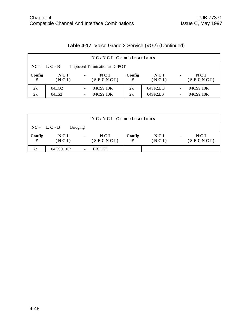|             | NC/NCI Combinations |                |                                |             |                          |                              |                 |  |  |
|-------------|---------------------|----------------|--------------------------------|-------------|--------------------------|------------------------------|-----------------|--|--|
|             | $NC = L C - R$      |                | Improved Termination at IC-POT |             |                          |                              |                 |  |  |
| Config<br># | NCI<br>(NCI)        | $\blacksquare$ | NCI<br>(SECNCI)                | Config<br># | N C I<br>(NCI)           | $\blacksquare$               | NCI<br>(SECNCI) |  |  |
| 2k          | 04LO <sub>2</sub>   |                | 04CS9.10R                      | 2k          | $04$ SF <sub>2</sub> .LO | $\qquad \qquad \blacksquare$ | 04CS9.10R       |  |  |
| 2k          | 04LS2               |                | 04CS9.10R                      | 2k          | 04SF2.LS                 | $\qquad \qquad \blacksquare$ | 04CS9.10R       |  |  |

# **Table 4-17** Voice Grade 2 Service (VG2) (Continued)

| NC/NCI Combinations |                |                 |                   |             |              |                                     |  |  |
|---------------------|----------------|-----------------|-------------------|-------------|--------------|-------------------------------------|--|--|
|                     | $NC = L C - B$ | <b>Bridging</b> |                   |             |              |                                     |  |  |
| Config<br>#         | N C I<br>(NCI) | $\blacksquare$  | N C I<br>(SECNCI) | Config<br># | NCI<br>(NCI) | N C I<br>$\blacksquare$<br>(SECNCI) |  |  |
| 7c                  | 04CS9.10R      |                 | <b>BRIDGE</b>     |             |              |                                     |  |  |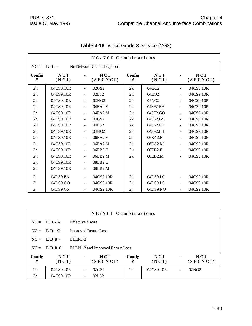|                |              |                          | NC/NCI Combinations        |             |                      |                          |                 |
|----------------|--------------|--------------------------|----------------------------|-------------|----------------------|--------------------------|-----------------|
| $NC =$         | $LD -$       |                          | No Network Channel Options |             |                      |                          |                 |
| Config<br>#    | NCI<br>(NCI) |                          | NCI<br>(SECNCI)            | Config<br># | NCI<br>(NCI)         |                          | NCI<br>(SECNCI) |
| 2 <sub>h</sub> | 04CS9.10R    |                          | 02GS2                      | 2k          | $04$ GO <sub>2</sub> |                          | 04CS9.10R       |
| 2 <sub>h</sub> | 04CS9.10R    |                          | 02LS2                      | 2k          | 04LO <sub>2</sub>    | $\blacksquare$           | 04CS9.10R       |
| 2 <sub>h</sub> | 04CS9.10R    | $\blacksquare$           | 02NO2                      | 2k          | 04NO2                | $\tilde{\phantom{a}}$    | 04CS9.10R       |
| 2 <sub>h</sub> | 04CS9.10R    | $\blacksquare$           | 04EA2.E                    | 2k          | 04SF2.EA             | $\overline{a}$           | 04CS9.10R       |
| 2 <sub>h</sub> | 04CS9.10R    |                          | 04EA2.M                    | 2k          | 04SF2.GO             | $\blacksquare$           | 04CS9.10R       |
| 2 <sub>h</sub> | 04CS9.10R    |                          | 04GS2                      | 2k          | 04SF2.GS             | $\tilde{\phantom{a}}$    | 04CS9.10R       |
| 2 <sub>h</sub> | 04CS9.10R    | $\blacksquare$           | 04LS2                      | 2k          | 04SF2.LO             | $\tilde{\phantom{a}}$    | 04CS9.10R       |
| 2 <sub>h</sub> | 04CS9.10R    | ÷,                       | 04NO <sub>2</sub>          | 2k          | 04SF2.LS             | $\blacksquare$           | 04CS9.10R       |
| 2 <sub>h</sub> | 04CS9.10R    |                          | 06EA2.E                    | 2k          | 06EA2.E              | $\blacksquare$           | 04CS9.10R       |
| 2h             | 04CS9.10R    | $\overline{\phantom{a}}$ | 06EA2.M                    | 2k          | 06EA2.M              | $\blacksquare$           | 04CS9.10R       |
| 2 <sub>h</sub> | 04CS9.10R    |                          | 06EB2.E                    | 2k          | 08EB2.E              |                          | 04CS9.10R       |
| 2 <sub>h</sub> | 04CS9.10R    |                          | 06EB2.M                    | 2k          | 08EB2.M              | $\blacksquare$           | 04CS9.10R       |
| 2 <sub>h</sub> | 04CS9.10R    | $\overline{\phantom{a}}$ | 08EB2.E                    |             |                      |                          |                 |
| 2 <sub>h</sub> | 04CS9.10R    |                          | 08EB2.M                    |             |                      |                          |                 |
| 2j             | 04DS9.EA     | $\overline{\phantom{a}}$ | 04CS9.10R                  | 2j          | 04DS9.LO             | $\blacksquare$           | 04CS9.10R       |
| 2j             | 04DS9.GO     | $\blacksquare$           | 04CS9.10R                  | 2j          | 04DS9.LS             | $\overline{\phantom{a}}$ | 04CS9.10R       |
| 2j             | 04DS9.GS     |                          | 04CS9.10R                  | 2j          | 04DS9.NO             |                          | 04CS9.10R       |

## **Table 4-18** Voice Grade 3 Service (VG3)

| NC/NCI Combinations |                |                             |                                  |                |              |                |                   |  |
|---------------------|----------------|-----------------------------|----------------------------------|----------------|--------------|----------------|-------------------|--|
|                     | $NC = L D - A$ | Effective 4 wire            |                                  |                |              |                |                   |  |
|                     | $NC = L D - C$ | <b>Improved Return Loss</b> |                                  |                |              |                |                   |  |
|                     | $NC = LDR$ .   | $ELEPI - 2$                 |                                  |                |              |                |                   |  |
|                     | $NC = LDBC$    |                             | ELEPL-2 and Improved Return Loss |                |              |                |                   |  |
| Config<br>#         | NCI<br>(NCI)   | $\blacksquare$              | NCI<br>(SECNCI)                  | Config<br>#    | NCI<br>(NCI) | $\blacksquare$ | NCI<br>(SECNCI)   |  |
| 2h                  | 04CS9.10R      |                             | 02GS2                            | 2 <sub>h</sub> | 04CS9.10R    |                | 02NO <sub>2</sub> |  |
| 2h                  | 04CS9.10R      |                             | 02LS <sub>2</sub>                |                |              |                |                   |  |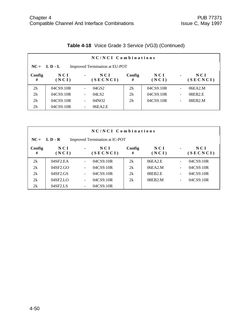|                | NC/NCI Combinations                              |                          |                   |                |              |                          |                   |  |  |  |
|----------------|--------------------------------------------------|--------------------------|-------------------|----------------|--------------|--------------------------|-------------------|--|--|--|
|                | $NC = L D - L$<br>Improved Termination at EU-POT |                          |                   |                |              |                          |                   |  |  |  |
| Config<br>#    | N C I<br>(NCI)                                   | $\blacksquare$           | N C I<br>(SECNCI) | Config<br>#    | NCI<br>(NCI) | $\blacksquare$           | N C I<br>(SECNCI) |  |  |  |
| 2 <sub>h</sub> | 04CS9.10R                                        | $\overline{\phantom{a}}$ | 04GS2             | 2 <sub>h</sub> | 04CS9.10R    | $\overline{\phantom{a}}$ | 06EA2.M           |  |  |  |
| 2 <sub>h</sub> | 04CS9.10R                                        | $\overline{\phantom{a}}$ | 04LS2             | 2 <sub>h</sub> | 04CS9.10R    | $\overline{a}$           | 08EB2.E           |  |  |  |
| 2 <sub>h</sub> | 04CS9.10R                                        | $\overline{\phantom{a}}$ | 04NO2             | 2 <sub>h</sub> | 04CS9.10R    | $\overline{\phantom{a}}$ | 08EB2.M           |  |  |  |
| 2 <sub>h</sub> | 04CS9.10R                                        | $\overline{\phantom{a}}$ | 06EA2.E           |                |              |                          |                   |  |  |  |

# **Table 4-18** Voice Grade 3 Service (VG3) (Continued)

|             | NC/NCI Combinations                              |                          |                 |             |                      |                          |                   |  |  |
|-------------|--------------------------------------------------|--------------------------|-----------------|-------------|----------------------|--------------------------|-------------------|--|--|
|             | $NC = L D - R$<br>Improved Termination at IC-POT |                          |                 |             |                      |                          |                   |  |  |
| Config<br># | NCI<br>(NCI)                                     | $\blacksquare$           | NCI<br>(SECNCI) | Config<br># | NCI<br>(NCI)         | $\blacksquare$           | N C I<br>(SECNCI) |  |  |
| 2k          | 04SF2.EA                                         |                          | 04CS9.10R       | 2k          | 06EA2.E              | L                        | 04CS9.10R         |  |  |
| 2k          | 04SF2.GO                                         |                          | 04CS9.10R       | 2k          | 06EA2.M              | $\overline{\phantom{0}}$ | 04CS9.10R         |  |  |
| 2k          | 04SF2.GS                                         |                          | 04CS9.10R       | 2k          | 08EB <sub>2</sub> .E | $\overline{\phantom{0}}$ | 04CS9.10R         |  |  |
| 2k          | $04$ SF <sub>2</sub> .LO                         | $\overline{\phantom{0}}$ | 04CS9.10R       | 2k          | 08EB2.M              | $\overline{\phantom{0}}$ | 04CS9.10R         |  |  |
| 2k          | 04SF2.LS                                         | $\overline{\phantom{0}}$ | 04CS9.10R       |             |                      |                          |                   |  |  |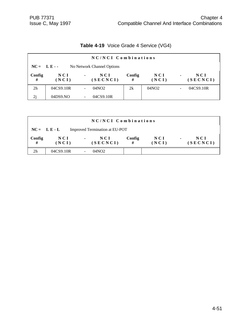|  | Table 4-19 Voice Grade 4 Service (VG4) |  |
|--|----------------------------------------|--|
|--|----------------------------------------|--|

|                | NC/NCI Combinations |                                   |             |              |                |                   |  |  |  |
|----------------|---------------------|-----------------------------------|-------------|--------------|----------------|-------------------|--|--|--|
|                | $NC = LE -$         | No Network Channel Options        |             |              |                |                   |  |  |  |
| Config<br>#    | NCI<br>(NCI)        | NCI<br>$\blacksquare$<br>(SECNCI) | Config<br># | NCI<br>(NCI) | $\blacksquare$ | N C I<br>(SECNCI) |  |  |  |
| 2 <sub>h</sub> | 04CS9.10R           | 04NO2                             | 2k          | 04NO2        |                | 04CS9.10R         |  |  |  |
| 2j             | 04DS9.NO            | 04CS9.10R                         |             |              |                |                   |  |  |  |

|                | NC/NCI Combinations                             |                                          |             |                |                                   |  |  |  |  |
|----------------|-------------------------------------------------|------------------------------------------|-------------|----------------|-----------------------------------|--|--|--|--|
|                | $NC = LE - L$<br>Improved Termination at EU-POT |                                          |             |                |                                   |  |  |  |  |
| Config<br>#    | N C I<br>(NCI)                                  | <b>NCI</b><br>$\blacksquare$<br>(SECNCI) | Config<br># | N C I<br>(NCI) | NCI<br>$\blacksquare$<br>(SECNCI) |  |  |  |  |
| 2 <sub>h</sub> | 04CS9.10R                                       | 04NO <sub>2</sub>                        |             |                |                                   |  |  |  |  |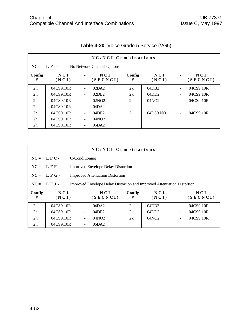|                | NC/NCI Combinations |                          |                            |             |              |                          |                 |  |  |  |
|----------------|---------------------|--------------------------|----------------------------|-------------|--------------|--------------------------|-----------------|--|--|--|
| $NC = LF -$    |                     |                          | No Network Channel Options |             |              |                          |                 |  |  |  |
| Config<br>#    | N C I<br>(NCI)      | $\blacksquare$           | NCI<br>(SECNCI)            | Config<br># | NCI<br>(NCI) | $\blacksquare$           | NCI<br>(SECNCI) |  |  |  |
| 2 <sub>h</sub> | 04CS9.10R           | $\blacksquare$           | 02DA2                      | 2k          | 04DB2        | $\blacksquare$           | 04CS9.10R       |  |  |  |
| 2 <sub>h</sub> | 04CS9.10R           | $\overline{\phantom{a}}$ | 02DE2                      | 2k          | 04DD2        | $\blacksquare$           | 04CS9.10R       |  |  |  |
| 2 <sub>h</sub> | 04CS9.10R           | $\overline{\phantom{a}}$ | 02NO2                      | 2k          | 04NO2        | $\blacksquare$           | 04CS9.10R       |  |  |  |
| 2 <sub>h</sub> | 04CS9.10R           | $\overline{\phantom{a}}$ | 04DA2                      |             |              |                          |                 |  |  |  |
| 2 <sub>h</sub> | 04CS9.10R           | $\overline{\phantom{a}}$ | 04DE2                      | 2j          | 04DS9.NO     | $\overline{\phantom{0}}$ | 04CS9.10R       |  |  |  |
| 2 <sub>h</sub> | 04CS9.10R           | $\overline{\phantom{a}}$ | 04NO2                      |             |              |                          |                 |  |  |  |
| 2 <sub>h</sub> | 04CS9.10R           | $\overline{\phantom{a}}$ | 06DA2                      |             |              |                          |                 |  |  |  |

# **Table 4-20** Voice Grade 5 Service (VG5)

|                | NC/NCI Combinations                                                                    |                |                                           |             |              |                |                 |
|----------------|----------------------------------------------------------------------------------------|----------------|-------------------------------------------|-------------|--------------|----------------|-----------------|
|                | $NC = LFC -$                                                                           | C-Conditioning |                                           |             |              |                |                 |
| $NC =$         | LFF-                                                                                   |                | <b>Improved Envelope Delay Distortion</b> |             |              |                |                 |
| $NC =$         | LFG-                                                                                   |                | <b>Improved Attenuation Distortion</b>    |             |              |                |                 |
|                | $NC = LFJ -$<br>Improved Envelope Delay Distortion and Improved Attenuation Distortion |                |                                           |             |              |                |                 |
| Config<br>#    | N C I<br>(NCI)                                                                         | $\blacksquare$ | NCI<br>(SECNCI)                           | Config<br># | NCI<br>(NCI) | $\blacksquare$ | NCI<br>(SECNCI) |
| 2 <sub>h</sub> | 04CS9.10R                                                                              |                | 04DA2                                     | 2k          | 04DB2        | $\overline{a}$ | 04CS9.10R       |
| 2 <sub>h</sub> | 04CS9.10R                                                                              |                | 04DE2                                     | 2k          | 04DD2        | $\sim$         | 04CS9.10R       |
| 2 <sub>h</sub> | 04CS9.10R                                                                              |                | 04NO2                                     | 2k          | 04NO2        | $\blacksquare$ | 04CS9.10R       |
| 2 <sub>h</sub> | 04CS9.10R                                                                              |                | 06DA2                                     |             |              |                |                 |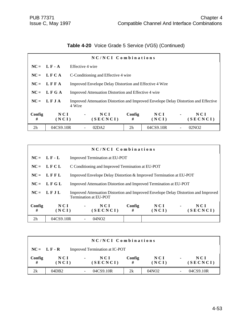# **Table 4-20** Voice Grade 5 Service (VG5) (Continued)

|                | NC/NCI Combinations |                                                                                                |                                                         |              |                |                   |
|----------------|---------------------|------------------------------------------------------------------------------------------------|---------------------------------------------------------|--------------|----------------|-------------------|
|                | $NC = LF - A$       | Effective 4 wire                                                                               |                                                         |              |                |                   |
|                | $NC = LFCA$         | C-Conditioning and Effective 4 wire                                                            |                                                         |              |                |                   |
|                | $NC = LFFA$         |                                                                                                | Improved Envelope Delay Distortion and Effective 4 Wire |              |                |                   |
|                | $NC = LFGA$         | Improved Attenuation Distortion and Effective 4 wire                                           |                                                         |              |                |                   |
|                | $NC = LFA$          | Improved Attenuation Distortion and Improved Envelope Delay Distortion and Effective<br>4 Wire |                                                         |              |                |                   |
| Config<br>#    | NCI<br>(NCI)        | NCI<br>$\blacksquare$<br>(SECNCI)                                                              | Config<br>#                                             | NCI<br>(NCI) | $\blacksquare$ | N C I<br>(SECNCI) |
| 2 <sub>h</sub> | 04CS9.10R           | 02DA2                                                                                          | 2 <sub>h</sub>                                          | 04CS9.10R    |                | 02NO <sub>2</sub> |

|                | NC/NCI Combinations |                                                   |                                                                     |             |                                                                    |                |                                                                                     |
|----------------|---------------------|---------------------------------------------------|---------------------------------------------------------------------|-------------|--------------------------------------------------------------------|----------------|-------------------------------------------------------------------------------------|
|                | $NC = LF - L$       | Improved Termination at EU-POT                    |                                                                     |             |                                                                    |                |                                                                                     |
| $NC =$         | L F C L             | C Conditioning and Improved Termination at EU-POT |                                                                     |             |                                                                    |                |                                                                                     |
|                | $NC = LFFL$         |                                                   | Improved Envelope Delay Distortion & Improved Termination at EU-POT |             |                                                                    |                |                                                                                     |
|                | $NC = LFGL$         |                                                   |                                                                     |             | Improved Attenuation Distortion and Improved Termination at EU-POT |                |                                                                                     |
|                | $NC = LFJL$         | Termination at EU-POT                             |                                                                     |             |                                                                    |                | Improved Attenuation Distortion and Improved Envelope Delay Distortion and Improved |
| Config<br>#    | NCI<br>(NCI)        | $\blacksquare$                                    | NCI<br>(SECNCI)                                                     | Config<br># | NCI<br>(NCI)                                                       | $\blacksquare$ | NCI<br>(SECNCI)                                                                     |
| 2 <sub>h</sub> | 04CS9.10R           |                                                   | 04NO2                                                               |             |                                                                    |                |                                                                                     |

|             | NC/NCI Combinations                              |                |                   |             |                |                |                   |
|-------------|--------------------------------------------------|----------------|-------------------|-------------|----------------|----------------|-------------------|
|             | Improved Termination at IC-POT<br>$NC = L F - R$ |                |                   |             |                |                |                   |
| Config<br># | N C I<br>(NCI)                                   | $\blacksquare$ | N C I<br>(SECNCI) | Config<br># | N C I<br>(NCI) | $\blacksquare$ | N C I<br>(SECNCI) |
| 2k          | 04DB2                                            |                | 04CS9.10R         | 2k          | 04NO2          | -              | 04CS9.10R         |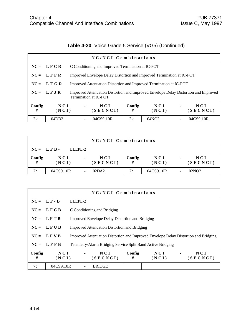## **Table 4-20** Voice Grade 5 Service (VG5) (Continued)

|             | NC/NCI Combinations |                                                                                                              |                                                                       |              |                |                   |
|-------------|---------------------|--------------------------------------------------------------------------------------------------------------|-----------------------------------------------------------------------|--------------|----------------|-------------------|
|             | $NC = LFCR$         |                                                                                                              | C Conditioning and Improved Termination at IC-POT                     |              |                |                   |
|             | $NC = LFFR$         |                                                                                                              | Improved Envelope Delay Distortion and Improved Termination at IC-POT |              |                |                   |
| $NC =$      | LFGR                |                                                                                                              | Improved Attenuation Distortion and Improved Termination at IC-POT    |              |                |                   |
|             | $NC = LFJR$         | Improved Attenuation Distortion and Improved Envelope Delay Distortion and Improved<br>Termination at IC-POT |                                                                       |              |                |                   |
| Config<br># | N C I<br>(NCI)      | NCI<br>$\blacksquare$<br>(SECNCI)                                                                            | Config<br>#                                                           | NCI<br>(NCI) | $\blacksquare$ | N C I<br>(SECNCI) |
| 2k          | 04DB2               | 04CS9.10R                                                                                                    | 2k                                                                    | 04NO2        |                | 04CS9.10R         |

|                | NC/NCI Combinations |                |                 |                |                |                |                   |
|----------------|---------------------|----------------|-----------------|----------------|----------------|----------------|-------------------|
| $NC = LFB$ .   |                     | ELEPL-2        |                 |                |                |                |                   |
| Config<br>#    | N C I<br>(NCI)      | $\blacksquare$ | NCI<br>(SECNCI) | Config<br>#    | N C I<br>(NCI) | $\blacksquare$ | N C I<br>(SECNCI) |
| 2 <sub>h</sub> | 04CS9.10R           |                | 02DA2           | 2 <sub>h</sub> | 04CS9.10R      | ۰              | 02NO2             |

|             | NC/NCI Combinations |                                                             |                                                                                     |  |  |  |
|-------------|---------------------|-------------------------------------------------------------|-------------------------------------------------------------------------------------|--|--|--|
|             | $NC = L F - B$      | ELEPL-2                                                     |                                                                                     |  |  |  |
|             | $NC = LFCB$         | C Conditioning and Bridging                                 |                                                                                     |  |  |  |
|             | $NC = LFTB$         |                                                             | <b>Improved Envelope Delay Distortion and Bridging</b>                              |  |  |  |
|             | $NC = LFUB$         |                                                             | <b>Improved Attenuation Distortion and Bridging</b>                                 |  |  |  |
| $NC =$      | <b>LFVB</b>         |                                                             | Improved Attenuation Distortion and Improved Envelope Delay Distortion and Bridging |  |  |  |
| $NC =$      | LFFB                | Telemetry/Alarm Bridging Service Split Band Active Bridging |                                                                                     |  |  |  |
| Config<br># | NCI<br>(NCI)        | Config<br>NCI<br>$\blacksquare$<br>(SECNCI)<br>#            | NCI<br>NCI<br>$\blacksquare$<br>(NCI)<br>(SECNCI)                                   |  |  |  |
| 7c          | 04CS9.10R           | <b>BRIDGE</b>                                               |                                                                                     |  |  |  |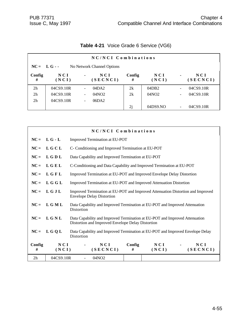|                | NC/NCI Combinations                        |                          |                   |             |              |                          |                   |  |  |  |
|----------------|--------------------------------------------|--------------------------|-------------------|-------------|--------------|--------------------------|-------------------|--|--|--|
|                | $NC = L G -$<br>No Network Channel Options |                          |                   |             |              |                          |                   |  |  |  |
| Config<br>#    | NCI<br>(NCI)                               | $\blacksquare$           | N C I<br>(SECNCI) | Config<br># | NCI<br>(NCI) | $\blacksquare$           | N C I<br>(SECNCI) |  |  |  |
| 2 <sub>h</sub> | 04CS9.10R                                  | $\overline{\phantom{a}}$ | 04DA2             | 2k          | 04DB2        | $\overline{\phantom{a}}$ | 04CS9.10R         |  |  |  |
| 2 <sub>h</sub> | 04CS9.10R                                  | $\overline{\phantom{a}}$ | 04NO <sub>2</sub> | 2k          | 04NO2        | $\overline{\phantom{a}}$ | 04CS9.10R         |  |  |  |
| 2 <sub>h</sub> | 04CS9.10R                                  | $\overline{\phantom{a}}$ | 06DA2             |             |              |                          |                   |  |  |  |
|                |                                            |                          |                   | 2j          | 04DS9.NO     | $\blacksquare$           | 04CS9.10R         |  |  |  |

# **Table 4-21** Voice Grade 6 Service (VG6)

|                | NC/NCI Combinations |                                                                                                                                  |  |  |  |
|----------------|---------------------|----------------------------------------------------------------------------------------------------------------------------------|--|--|--|
| $NC =$         | $L G - L$           | Improved Termination at EU-POT                                                                                                   |  |  |  |
| $NC =$         | LGCL                | C- Conditioning and Improved Termination at EU-POT                                                                               |  |  |  |
| $NC =$         | LGDL                | Data Capability and Improved Termination at EU-POT                                                                               |  |  |  |
| $NC =$         | LGEL                | C-Conditioning and Data Capability and Improved Termination at EU-POT                                                            |  |  |  |
| $NC =$         | LGFL                | Improved Termination at EU-POT and Improved Envelope Delay Distortion                                                            |  |  |  |
| $NC =$         | L G G L             | Improved Termination at EU-POT and Improved Attenuation Distortion                                                               |  |  |  |
| $NC =$         | LGJL                | Improved Termination at EU-POT and Improved Attenuation Distortion and Improved<br><b>Envelope Delay Distortion</b>              |  |  |  |
| $NC =$         | LGML                | Data Capability and Improved Termination at EU-POT and Improved Attenuation<br>Distortion                                        |  |  |  |
| $NC =$         | LGNL                | Data Capability and Improved Termination at EU-POT and Improved Attenuation<br>Distortion and Improved Envelope Delay Distortion |  |  |  |
| $NC =$         | L G Q L             | Data Capability and Improved Termination at EU-POT and Improved Envelope Delay<br>Distortion                                     |  |  |  |
| Config<br>#    | NCI<br>(NCI)        | NCI<br>Config<br>NCI<br>NCI<br>(SECNCI)<br>(SECNCI)<br>(NCI)<br>#                                                                |  |  |  |
| 2 <sub>h</sub> | 04CS9.10R           | 04NO <sub>2</sub>                                                                                                                |  |  |  |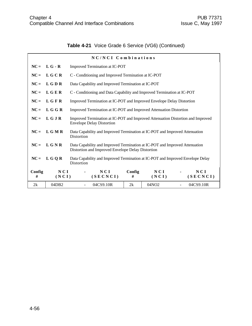|  | Table 4-21 Voice Grade 6 Service (VG6) (Continued) |  |  |
|--|----------------------------------------------------|--|--|
|--|----------------------------------------------------|--|--|

|             |                | NC/NCI Combinations                                                                          |                                                                                                                                  |              |  |                 |  |
|-------------|----------------|----------------------------------------------------------------------------------------------|----------------------------------------------------------------------------------------------------------------------------------|--------------|--|-----------------|--|
|             | $NC = L G - R$ | Improved Termination at IC-POT                                                               |                                                                                                                                  |              |  |                 |  |
| $NC =$      | LGCR           | C - Conditioning and Improved Termination at IC-POT                                          |                                                                                                                                  |              |  |                 |  |
| $NC =$      | L G D R        | Data Capability and Improved Termination at IC-POT                                           |                                                                                                                                  |              |  |                 |  |
| $NC =$      | LGER           | C - Conditioning and Data Capability and Improved Termination at IC-POT                      |                                                                                                                                  |              |  |                 |  |
| $NC =$      | LGFR           | Improved Termination at IC-POT and Improved Envelope Delay Distortion                        |                                                                                                                                  |              |  |                 |  |
|             | $NC = L G G R$ |                                                                                              | Improved Termination at IC-POT and Improved Attenuation Distortion                                                               |              |  |                 |  |
| $NC =$      | LGJR           | <b>Envelope Delay Distortion</b>                                                             | Improved Termination at IC-POT and Improved Attenuation Distortion and Improved                                                  |              |  |                 |  |
| $NC =$      | L G M R        | Data Capability and Improved Termination at IC-POT and Improved Attenuation<br>Distortion    |                                                                                                                                  |              |  |                 |  |
| $NC =$      | LGNR           |                                                                                              | Data Capability and Improved Termination at IC-POT and Improved Attenuation<br>Distortion and Improved Envelope Delay Distortion |              |  |                 |  |
| $NC =$      | L G Q R        | Data Capability and Improved Termination at IC-POT and Improved Envelope Delay<br>Distortion |                                                                                                                                  |              |  |                 |  |
| Config<br># | NCI<br>(NCI)   | NCI<br>(SECNCI)                                                                              | Config<br>#                                                                                                                      | NCI<br>(NCI) |  | NCI<br>(SECNCI) |  |
| 2k          | 04DB2          | 04CS9.10R                                                                                    | 2k                                                                                                                               | 04NO2        |  | 04CS9.10R       |  |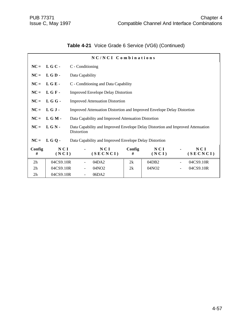|  | Table 4-21 Voice Grade 6 Service (VG6) (Continued) |  |
|--|----------------------------------------------------|--|
|--|----------------------------------------------------|--|

|                | NC/NCI Combinations |                 |                                                                                 |             |                   |                              |                 |  |
|----------------|---------------------|-----------------|---------------------------------------------------------------------------------|-------------|-------------------|------------------------------|-----------------|--|
| $NC =$         | LGC-                |                 | C - Conditioning                                                                |             |                   |                              |                 |  |
| $NC =$         | LGD-                | Data Capability |                                                                                 |             |                   |                              |                 |  |
| $NC =$         | LGE-                |                 | C - Conditioning and Data Capability                                            |             |                   |                              |                 |  |
| $NC =$         | LGF-                |                 | <b>Improved Envelope Delay Distortion</b>                                       |             |                   |                              |                 |  |
| $NC =$         | LGG-                |                 | <b>Improved Attenuation Distortion</b>                                          |             |                   |                              |                 |  |
| $NC =$         | LGJ-                |                 | Improved Attenuation Distortion and Improved Envelope Delay Distortion          |             |                   |                              |                 |  |
| $NC =$         | L G M -             |                 | Data Capability and Improved Attenuation Distortion                             |             |                   |                              |                 |  |
| $NC =$         | LGN-                | Distortion      | Data Capability and Improved Envelope Delay Distortion and Improved Attenuation |             |                   |                              |                 |  |
| $NC =$         | LGO-                |                 | Data Capability and Improved Envelope Delay Distortion                          |             |                   |                              |                 |  |
| Config<br>#    | NCI<br>(NCI)        |                 | NCI<br>(SECNCI)                                                                 | Config<br># | NCI<br>(NCI)      |                              | NCI<br>(SECNCI) |  |
| 2h             | 04CS9.10R           |                 | 04DA2                                                                           | 2k          | 04DB <sub>2</sub> |                              | 04CS9.10R       |  |
| 2 <sub>h</sub> | 04CS9.10R           |                 | 04NO <sub>2</sub>                                                               | 2k          | 04NO <sub>2</sub> | $\qquad \qquad \blacksquare$ | 04CS9.10R       |  |
| 2 <sub>h</sub> | 04CS9.10R           |                 | 06DA2                                                                           |             |                   |                              |                 |  |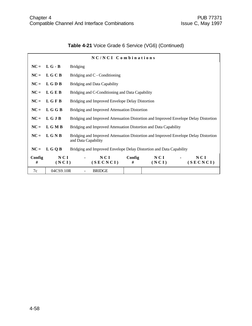| NC/NCI Combinations |                |                                                                                                            |  |  |  |  |  |  |
|---------------------|----------------|------------------------------------------------------------------------------------------------------------|--|--|--|--|--|--|
|                     | $NC = L G - B$ | <b>Bridging</b>                                                                                            |  |  |  |  |  |  |
|                     | $NC = L G C B$ | Bridging and C - Conditioning                                                                              |  |  |  |  |  |  |
|                     | $NC = LGDB$    | <b>Bridging and Data Capability</b>                                                                        |  |  |  |  |  |  |
| $NC =$              | LGEB           | Bridging and C-Conditioning and Data Capability                                                            |  |  |  |  |  |  |
|                     | $NC = L G F B$ | Bridging and Improved Envelope Delay Distortion                                                            |  |  |  |  |  |  |
|                     | $NC = L G G B$ | Bridging and Improved Attenuation Distortion                                                               |  |  |  |  |  |  |
|                     | $NC = L G J B$ | Bridging and Improved Attenuation Distortion and Improved Envelope Delay Distortion                        |  |  |  |  |  |  |
|                     | $NC = L G M B$ | Bridging and Improved Attenuation Distortion and Data Capability                                           |  |  |  |  |  |  |
|                     | $NC = L G N B$ | Bridging and Improved Attenuation Distortion and Improved Envelope Delay Distortion<br>and Data Capability |  |  |  |  |  |  |
| $NC =$              | L G Q B        | Bridging and Improved Envelope Delay Distortion and Data Capability                                        |  |  |  |  |  |  |
| Config<br>#         | NCI<br>(NCI)   | NCI<br>Config<br>NCI<br>NCI<br>(SECNCI)<br>(SECNCI)<br>(NCI)<br>#                                          |  |  |  |  |  |  |
| 7c                  | 04CS9.10R      | <b>BRIDGE</b>                                                                                              |  |  |  |  |  |  |

# **Table 4-21** Voice Grade 6 Service (VG6) (Continued)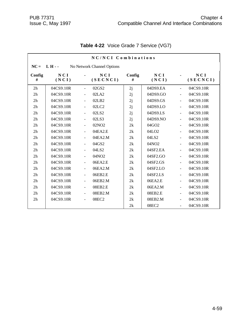|                | NC/NCI Combinations |                              |                            |             |                   |                          |                 |  |  |
|----------------|---------------------|------------------------------|----------------------------|-------------|-------------------|--------------------------|-----------------|--|--|
| $NC =$         | $L H -$             |                              | No Network Channel Options |             |                   |                          |                 |  |  |
| Config<br>#    | <b>NCI</b><br>(NCI) |                              | NCI<br>(SECNCI)            | Config<br># | NCI<br>(NCI)      |                          | NCI<br>(SECNCI) |  |  |
| 2h             | 04CS9.10R           | $\overline{\phantom{a}}$     | 02GS2                      | 2j          | 04DS9.EA          | $\blacksquare$           | 04CS9.10R       |  |  |
| 2 <sub>h</sub> | 04CS9.10R           | ÷,                           | 02LA2                      | 2j          | 04DS9.GO          | $\tilde{\phantom{a}}$    | 04CS9.10R       |  |  |
| 2h             | 04CS9.10R           | ÷.                           | 02LB2                      | 2j          | 04DS9.GS          | $\overline{a}$           | 04CS9.10R       |  |  |
| 2h             | 04CS9.10R           | ÷                            | 02LC2                      | 2j          | 04DS9.LO          | $\blacksquare$           | 04CS9.10R       |  |  |
| 2h             | 04CS9.10R           | $\qquad \qquad \blacksquare$ | 02LS2                      | 2j          | 04DS9.LS          | $\blacksquare$           | 04CS9.10R       |  |  |
| 2h             | 04CS9.10R           | $\blacksquare$               | 02LS3                      | 2j          | 04DS9.NO          | $\overline{a}$           | 04CS9.10R       |  |  |
| 2h             | 04CS9.10R           |                              | 02NO2                      | 2k          | 04GO2             | $\overline{a}$           | 04CS9.10R       |  |  |
| 2h             | 04CS9.10R           |                              | 04EA2.E                    | 2k          | 04LO <sub>2</sub> |                          | 04CS9.10R       |  |  |
| 2 <sub>h</sub> | 04CS9.10R           |                              | 04EA2.M                    | 2k          | 04LS2             | $\overline{a}$           | 04CS9.10R       |  |  |
| 2 <sub>h</sub> | 04CS9.10R           | $\blacksquare$               | 04GS2                      | 2k          | 04NO <sub>2</sub> | $\blacksquare$           | 04CS9.10R       |  |  |
| 2 <sub>h</sub> | 04CS9.10R           | ÷                            | 04LS2                      | 2k          | 04SF2.EA          | ä,                       | 04CS9.10R       |  |  |
| 2h             | 04CS9.10R           | ÷,                           | 04NO <sub>2</sub>          | 2k          | 04SF2.GO          | $\blacksquare$           | 04CS9.10R       |  |  |
| 2 <sub>h</sub> | 04CS9.10R           | ÷                            | 06EA2.E                    | 2k          | 04SF2.GS          | $\overline{a}$           | 04CS9.10R       |  |  |
| 2h             | 04CS9.10R           | $\blacksquare$               | 06EA2.M                    | 2k          | 04SF2.LO          | $\mathbf{r}$             | 04CS9.10R       |  |  |
| 2 <sub>h</sub> | 04CS9.10R           | ÷                            | 06EB2.E                    | 2k          | 04SF2.LS          | $\blacksquare$           | 04CS9.10R       |  |  |
| 2h             | 04CS9.10R           | ÷.                           | 06EB2.M                    | 2k          | 06EA2.E           | $\blacksquare$           | 04CS9.10R       |  |  |
| 2h             | 04CS9.10R           | $\blacksquare$               | 08EB2.E                    | 2k          | 06EA2.M           | $\blacksquare$           | 04CS9.10R       |  |  |
| 2 <sub>h</sub> | 04CS9.10R           | $\blacksquare$               | 08EB2.M                    | 2k          | 08EB2.E           | $\overline{\phantom{a}}$ | 04CS9.10R       |  |  |
| 2 <sub>h</sub> | 04CS9.10R           | ÷                            | 08EC2                      | 2k          | 08EB2.M           | $\overline{\phantom{a}}$ | 04CS9.10R       |  |  |
|                |                     |                              |                            | 2k          | 08EC2             | $\blacksquare$           | 04CS9.10R       |  |  |

## **Table 4-22** Voice Grade 7 Service (VG7)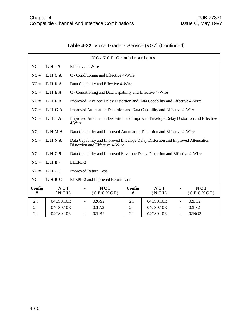|  | Table 4-22 Voice Grade 7 Service (VG7) (Continued) |  |  |  |  |
|--|----------------------------------------------------|--|--|--|--|
|--|----------------------------------------------------|--|--|--|--|

|             | NC/NCI Combinations |                             |                                                                                                                    |                |              |               |                   |  |
|-------------|---------------------|-----------------------------|--------------------------------------------------------------------------------------------------------------------|----------------|--------------|---------------|-------------------|--|
| $NC =$      | $L H - A$           |                             | <b>Effective 4-Wire</b>                                                                                            |                |              |               |                   |  |
| $NC =$      | LHCA                |                             | C - Conditioning and Effective 4-Wire                                                                              |                |              |               |                   |  |
| $NC =$      | <b>LHDA</b>         |                             | Data Capability and Effective 4-Wire                                                                               |                |              |               |                   |  |
| $NC =$      | LHEA                |                             | C - Conditioning and Data Capability and Effective 4-Wire                                                          |                |              |               |                   |  |
| $NC =$      | LHFA                |                             | Improved Envelope Delay Distortion and Data Capability and Effective 4-Wire                                        |                |              |               |                   |  |
| $NC =$      | LHGA                |                             | Improved Attenuation Distortion and Data Capability and Effective 4-Wire                                           |                |              |               |                   |  |
| $NC =$      | LHJA                | 4 Wire                      | Improved Attenuation Distortion and Improved Envelope Delay Distortion and Effective                               |                |              |               |                   |  |
| $NC =$      | <b>LHMA</b>         |                             | Data Capability and Improved Attenuation Distortion and Effective 4-Wire                                           |                |              |               |                   |  |
| $NC =$      | LHNA                |                             | Data Capability and Improved Envelope Delay Distortion and Improved Attenuation<br>Distortion and Effective 4-Wire |                |              |               |                   |  |
| $NC =$      | LHCS                |                             | Data Capability and Improved Envelope Delay Distortion and Effective 4-Wire                                        |                |              |               |                   |  |
| $NC =$      | LHB-                | ELEPL-2                     |                                                                                                                    |                |              |               |                   |  |
| $NC =$      | $L H - C$           | <b>Improved Return Loss</b> |                                                                                                                    |                |              |               |                   |  |
| $NC =$      | LHBC                |                             | ELEPL-2 and Improved Return Loss                                                                                   |                |              |               |                   |  |
| Config<br># | NCI<br>(NCI)        |                             | NCI<br>(SECNCI)                                                                                                    | Config<br>#    | NCI<br>(NCI) |               | NCI<br>(SECNCI)   |  |
| 2h          | 04CS9.10R           |                             | 02GS2                                                                                                              | 2h             | 04CS9.10R    | $\frac{1}{2}$ | 02LC2             |  |
| 2h          | 04CS9.10R           |                             | 02LA2                                                                                                              | 2 <sub>h</sub> | 04CS9.10R    |               | 02LS2             |  |
| 2h          | 04CS9.10R           | $\overline{\phantom{0}}$    | 02LB2                                                                                                              | 2 <sub>h</sub> | 04CS9.10R    |               | 02NO <sub>2</sub> |  |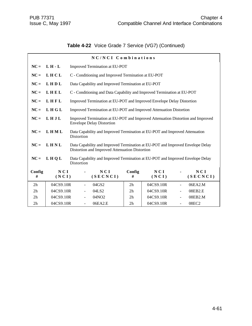# **Table 4-22** Voice Grade 7 Service (VG7) (Continued)

|                | NC/NCI Combinations |                |                                                                                                                                  |                |              |                |                 |  |
|----------------|---------------------|----------------|----------------------------------------------------------------------------------------------------------------------------------|----------------|--------------|----------------|-----------------|--|
| $NC =$         | $L H - L$           |                | <b>Improved Termination at EU-POT</b>                                                                                            |                |              |                |                 |  |
| $NC =$         | LHCL                |                | C - Conditioning and Improved Termination at EU-POT                                                                              |                |              |                |                 |  |
| $NC =$         | LHDL                |                | Data Capability and Improved Termination at EU-POT                                                                               |                |              |                |                 |  |
| $NC =$         | LHEL                |                | C - Conditioning and Data Capability and Improved Termination at EU-POT                                                          |                |              |                |                 |  |
| $NC =$         | LHFL                |                | Improved Termination at EU-POT and Improved Envelope Delay Distortion                                                            |                |              |                |                 |  |
| $NC =$         | LHGL                |                | Improved Termination at EU-POT and Improved Attenuation Distortion                                                               |                |              |                |                 |  |
| $NC =$         | LHJL                |                | Improved Termination at EU-POT and Improved Attenuation Distortion and Improved<br><b>Envelope Delay Distortion</b>              |                |              |                |                 |  |
| $NC =$         | LHML                | Distortion     | Data Capability and Improved Termination at EU-POT and Improved Attenuation                                                      |                |              |                |                 |  |
| $NC =$         | LHNL                |                | Data Capability and Improved Termination at EU-POT and Improved Envelope Delay<br>Distortion and Improved Attenuation Distortion |                |              |                |                 |  |
| $NC =$         | LHQL                | Distortion     | Data Capability and Improved Termination at EU-POT and Improved Envelope Delay                                                   |                |              |                |                 |  |
| Config<br>#    | NCI<br>(NCI)        |                | NCI<br>(SECNCI)                                                                                                                  | Config<br>#    | NCI<br>(NCI) |                | NCI<br>(SECNCI) |  |
| 2h             | 04CS9.10R           |                | 04GS2                                                                                                                            | 2h             | 04CS9.10R    |                | 06EA2.M         |  |
| 2 <sub>h</sub> | 04CS9.10R           |                | 04LS2                                                                                                                            | 2 <sub>h</sub> | 04CS9.10R    |                | 08EB2.E         |  |
| 2 <sub>h</sub> | 04CS9.10R           |                | 04NO <sub>2</sub>                                                                                                                | 2 <sub>h</sub> | 04CS9.10R    | ÷,             | 08EB2.M         |  |
| 2h             | 04CS9.10R           | $\blacksquare$ | 06EA2.E                                                                                                                          | 2h             | 04CS9.10R    | $\overline{a}$ | 08EC2           |  |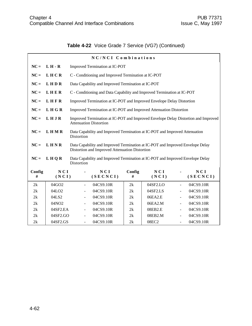# **Table 4-22** Voice Grade 7 Service (VG7) (Continued)

| NC/NCI Combinations |                   |                |                                                                                                                                  |             |              |                |                 |  |  |
|---------------------|-------------------|----------------|----------------------------------------------------------------------------------------------------------------------------------|-------------|--------------|----------------|-----------------|--|--|
| $NC =$              | $L H - R$         |                | Improved Termination at IC-POT                                                                                                   |             |              |                |                 |  |  |
| $NC =$              | LHCR              |                | C - Conditioning and Improved Termination at IC-POT                                                                              |             |              |                |                 |  |  |
| $NC =$              | LHDR              |                | Data Capability and Improved Termination at IC-POT                                                                               |             |              |                |                 |  |  |
| $NC =$              | LHER              |                | C - Conditioning and Data Capability and Improved Termination at IC-POT                                                          |             |              |                |                 |  |  |
| $NC =$              | LHFR              |                | Improved Termination at IC-POT and Improved Envelope Delay Distortion                                                            |             |              |                |                 |  |  |
| $NC =$              | <b>LHGR</b>       |                | Improved Termination at IC-POT and Improved Attenuation Distortion                                                               |             |              |                |                 |  |  |
| $NC =$              | LHJR              |                | Improved Termination at IC-POT and Improved Envelope Delay Distortion and Improved<br><b>Attenuation Distortion</b>              |             |              |                |                 |  |  |
| $NC =$              | <b>LHMR</b>       | Distortion     | Data Capability and Improved Termination at IC-POT and Improved Attenuation                                                      |             |              |                |                 |  |  |
| $NC =$              | LHNR              |                | Data Capability and Improved Termination at IC-POT and Improved Envelope Delay<br>Distortion and Improved Attenuation Distortion |             |              |                |                 |  |  |
| $NC =$              | LHOR              | Distortion     | Data Capability and Improved Termination at IC-POT and Improved Envelope Delay                                                   |             |              |                |                 |  |  |
| Config<br>#         | NCI<br>(NCI)      | ۰              | NCI<br>(SECNCI)                                                                                                                  | Config<br># | NCI<br>(NCI) |                | NCI<br>(SECNCI) |  |  |
| 2k                  | 04GO2             |                | 04CS9.10R                                                                                                                        | 2k          | 04SF2.LO     | ÷.             | 04CS9.10R       |  |  |
| 2k                  | 04LO <sub>2</sub> |                | 04CS9.10R                                                                                                                        | 2k          | 04SF2.LS     |                | 04CS9.10R       |  |  |
| 2k                  | 04LS2             | $\blacksquare$ | 04CS9.10R                                                                                                                        | 2k          | 06EA2.E      | $\blacksquare$ | 04CS9.10R       |  |  |
| 2k                  | 04NO <sub>2</sub> |                | 04CS9.10R                                                                                                                        | 2k          | 06EA2.M      |                | 04CS9.10R       |  |  |
| 2k                  | 04SF2.EA          |                | 04CS9.10R                                                                                                                        | 2k          | 08EB2.E      |                | 04CS9.10R       |  |  |
| 2k                  | 04SF2.GO          | ÷              | 04CS9.10R                                                                                                                        | 2k          | 08EB2.M      |                | 04CS9.10R       |  |  |
| 2k                  | 04SF2.GS          |                | 04CS9.10R                                                                                                                        | 2k          | 08EC2        |                | 04CS9.10R       |  |  |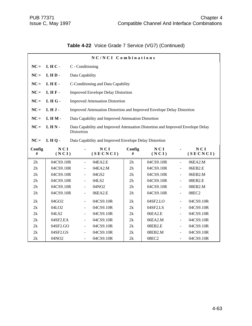|  | Table 4-22 Voice Grade 7 Service (VG7) (Continued) |  |  |  |
|--|----------------------------------------------------|--|--|--|
|--|----------------------------------------------------|--|--|--|

|             |                   |                          | NC/NCI Combinations                                                             |             |              |                              |                 |  |  |
|-------------|-------------------|--------------------------|---------------------------------------------------------------------------------|-------------|--------------|------------------------------|-----------------|--|--|
| $NC =$      | LHC-              |                          | C - Conditioning                                                                |             |              |                              |                 |  |  |
| $NC =$      | LHD-              |                          | Data Capability                                                                 |             |              |                              |                 |  |  |
| $NC =$      | LHE-              |                          | C-Conditioning and Data Capability                                              |             |              |                              |                 |  |  |
| $NC =$      | LHF-              |                          | <b>Improved Envelope Delay Distortion</b>                                       |             |              |                              |                 |  |  |
|             | LHG-              |                          |                                                                                 |             |              |                              |                 |  |  |
| $NC =$      |                   |                          | <b>Improved Attenuation Distortion</b>                                          |             |              |                              |                 |  |  |
| $NC =$      | LHJ-              |                          | Improved Attenuation Distortion and Improved Envelope Delay Distortion          |             |              |                              |                 |  |  |
| $NC =$      | LHM-              |                          | Data Capability and Improved Attenuation Distortion                             |             |              |                              |                 |  |  |
| $NC =$      | LHN-              |                          | Data Capability and Improved Attenuation Distortion and Improved Envelope Delay |             |              |                              |                 |  |  |
|             |                   | Distortion               |                                                                                 |             |              |                              |                 |  |  |
| $NC =$      | LHQ-              |                          | Data Capability and Improved Envelope Delay Distortion                          |             |              |                              |                 |  |  |
|             |                   |                          |                                                                                 |             |              |                              |                 |  |  |
| Config<br># | NCI<br>(NCI)      | ۰                        | NCI<br>(SECNCI)                                                                 | Config<br># | NCI<br>(NCI) | $\qquad \qquad \blacksquare$ | NCI<br>(SECNCI) |  |  |
| 2h          | 04CS9.10R         | $\blacksquare$           | 04EA2.E                                                                         | 2h          | 04CS9.10R    | $\blacksquare$               | 06EA2.M         |  |  |
| 2h          | 04CS9.10R         | $\blacksquare$           | 04EA2.M                                                                         | 2h          | 04CS9.10R    | $\Box$                       | 06EB2.E         |  |  |
| 2h          | 04CS9.10R         | $\blacksquare$           | 04GS2                                                                           | 2h          | 04CS9.10R    | $\blacksquare$               | 06EB2.M         |  |  |
| 2h          | 04CS9.10R         | $\blacksquare$           | 04LS2                                                                           | 2h          | 04CS9.10R    | $\overline{\phantom{a}}$     | 08EB2.E         |  |  |
| 2h          | 04CS9.10R         | $\blacksquare$           | 04NO2                                                                           | 2h          | 04CS9.10R    | ä,                           | 08EB2.M         |  |  |
| 2h          | 04CS9.10R         | $\overline{\phantom{a}}$ | 06EA2.E                                                                         | 2h          | 04CS9.10R    | $\blacksquare$               | 08EC2           |  |  |
| 2k          | 04GO2             | $\overline{\phantom{a}}$ | 04CS9.10R                                                                       | 2k          | 04SF2.LO     | $\equiv$                     | 04CS9.10R       |  |  |
| 2k          | 04LO <sub>2</sub> | $\blacksquare$           | 04CS9.10R                                                                       | 2k          | 04SF2.LS     | $\overline{a}$               | 04CS9.10R       |  |  |
| 2k          | 04LS2             | $\overline{\phantom{a}}$ | 04CS9.10R                                                                       | 2k          | 06EA2.E      | ä,                           | 04CS9.10R       |  |  |
| 2k          | 04SF2.EA          | $\blacksquare$           | 04CS9.10R                                                                       | 2k          | 06EA2.M      | $\equiv$                     | 04CS9.10R       |  |  |
| 2k          | 04SF2.GO          | $\blacksquare$           | 04CS9.10R                                                                       | 2k          | 08EB2.E      | $\blacksquare$               | 04CS9.10R       |  |  |
| 2k          | 04SF2.GS          | $\frac{1}{2}$            | 04CS9.10R                                                                       | 2k          | 08EB2.M      | $\overline{\phantom{a}}$     | 04CS9.10R       |  |  |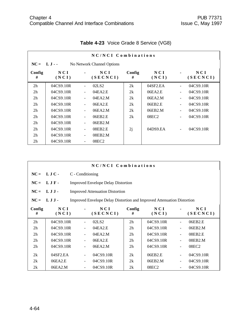|                | NC/NCI Combinations                       |                |                   |             |              |                          |                   |  |  |  |  |
|----------------|-------------------------------------------|----------------|-------------------|-------------|--------------|--------------------------|-------------------|--|--|--|--|
|                | $NC = LJ -$<br>No Network Channel Options |                |                   |             |              |                          |                   |  |  |  |  |
| Config<br>#    | NCI<br>(NCI)                              |                | N C I<br>(SECNCI) | Config<br># | NCI<br>(NCI) |                          | N C I<br>(SECNCI) |  |  |  |  |
| 2 <sub>h</sub> | 04CS9.10R                                 |                | 02LS <sub>2</sub> | 2k          | 04SF2.EA     |                          | 04CS9.10R         |  |  |  |  |
| 2 <sub>h</sub> | 04CS9.10R                                 | $\blacksquare$ | 04EA2.E           | 2k          | 06EA2.E      | $\blacksquare$           | 04CS9.10R         |  |  |  |  |
| 2 <sub>h</sub> | 04CS9.10R                                 | $\blacksquare$ | 04EA2.M           | 2k          | 06EA2.M      | $\blacksquare$           | 04CS9.10R         |  |  |  |  |
| 2 <sub>h</sub> | 04CS9.10R                                 | $\blacksquare$ | 06EA2.E           | 2k          | 06EB2.E      | $\blacksquare$           | 04CS9.10R         |  |  |  |  |
| 2 <sub>h</sub> | 04CS9.10R                                 |                | 06EA2.M           | 2k          | 06EB2.M      | $\ddot{\phantom{1}}$     | 04CS9.10R         |  |  |  |  |
| 2 <sub>h</sub> | 04CS9.10R                                 | $\blacksquare$ | 06EB2.E           | 2k          | 08EC2        |                          | 04CS9.10R         |  |  |  |  |
| 2 <sub>h</sub> | 04CS9.10R                                 |                | 06EB2.M           |             |              |                          |                   |  |  |  |  |
| 2 <sub>h</sub> | 04CS9.10R                                 | $\blacksquare$ | 08EB2.E           | 2j          | 04DS9.EA     | $\overline{\phantom{a}}$ | 04CS9.10R         |  |  |  |  |
| 2 <sub>h</sub> | 04CS9.10R                                 |                | 08EB2.M           |             |              |                          |                   |  |  |  |  |
| 2 <sub>h</sub> | 04CS9.10R                                 |                | 08EC2             |             |              |                          |                   |  |  |  |  |

## **Table 4-23** Voice Grade 8 Service (VG8)

|                | NC/NCI Combinations |                                           |                                                                               |                |              |                          |                 |  |  |
|----------------|---------------------|-------------------------------------------|-------------------------------------------------------------------------------|----------------|--------------|--------------------------|-----------------|--|--|
| $NC =$         | LJC-                | C - Conditioning                          |                                                                               |                |              |                          |                 |  |  |
| $NC =$         | LJF-                | <b>Improved Envelope Delay Distortion</b> |                                                                               |                |              |                          |                 |  |  |
| $NC =$         | LJJ                 |                                           | <b>Improved Attenuation Distortion</b>                                        |                |              |                          |                 |  |  |
| $NC =$         | L J J -             |                                           | <b>Improved Envelope Delay Distortion and Improved Attenuation Distortion</b> |                |              |                          |                 |  |  |
| Config<br>#    | NCI<br>(NCI)        |                                           | NCI<br>(SECNCI)                                                               | Config<br>#    | NCI<br>(NCI) |                          | NCI<br>(SECNCI) |  |  |
| 2 <sub>h</sub> | 04CS9.10R           |                                           | 02LS <sub>2</sub>                                                             | 2h             | 04CS9.10R    |                          | 06EB2.E         |  |  |
| 2 <sub>h</sub> | 04CS9.10R           | $\overline{\phantom{a}}$                  | 04EA2.E                                                                       | 2 <sub>h</sub> | 04CS9.10R    | $\blacksquare$           | 06EB2.M         |  |  |
| 2h             | 04CS9.10R           |                                           | 04EA2.M                                                                       | 2 <sub>h</sub> | 04CS9.10R    | $\blacksquare$           | 08EB2.E         |  |  |
| 2 <sub>h</sub> | 04CS9.10R           |                                           | 06EA2.E                                                                       | 2 <sub>h</sub> | 04CS9.10R    | $\blacksquare$           | 08EB2.M         |  |  |
| 2 <sub>h</sub> | 04CS9.10R           |                                           | 06EA2.M                                                                       | 2 <sub>h</sub> | 04CS9.10R    | $\blacksquare$           | 08EC2           |  |  |
| 2k             | 04SF2.EA            |                                           | 04CS9.10R                                                                     | 2k             | 06EB2.E      |                          | 04CS9.10R       |  |  |
| 2k             | 06EA2.E             |                                           | 04CS9.10R                                                                     | 2k             | 06EB2.M      | $\overline{\phantom{a}}$ | 04CS9.10R       |  |  |
| 2k             | 06EA2.M             | ۰                                         | 04CS9.10R                                                                     | 2k             | 08EC2        |                          | 04CS9.10R       |  |  |

 $\Gamma$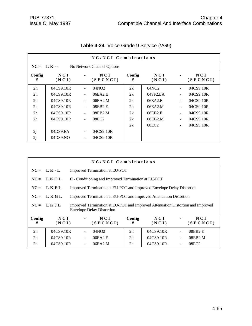|                | NC/NCI Combinations |                          |                            |             |                          |                          |                   |  |  |  |
|----------------|---------------------|--------------------------|----------------------------|-------------|--------------------------|--------------------------|-------------------|--|--|--|
| $NC = LK -$    |                     |                          | No Network Channel Options |             |                          |                          |                   |  |  |  |
| Config<br>#    | NCI<br>(NCI)        |                          | NCI<br>(SECNCI)            | Config<br># | NCI<br>(NCI)             |                          | N C I<br>(SECNCI) |  |  |  |
| 2 <sub>h</sub> | 04CS9.10R           | $\blacksquare$           | 04NO <sub>2</sub>          | 2k          | 04NO2                    | $\blacksquare$           | 04CS9.10R         |  |  |  |
| 2 <sub>h</sub> | 04CS9.10R           |                          | 06EA2.E                    | 2k          | $04$ SF <sub>2</sub> .EA | $\blacksquare$           | 04CS9.10R         |  |  |  |
| 2 <sub>h</sub> | 04CS9.10R           |                          | 06EA2.M                    | 2k          | 06EA2.E                  | ÷,                       | 04CS9.10R         |  |  |  |
| 2 <sub>h</sub> | 04CS9.10R           |                          | 08EB2.E                    | 2k          | 06EA2.M                  | $\blacksquare$           | 04CS9.10R         |  |  |  |
| 2 <sub>h</sub> | 04CS9.10R           | $\blacksquare$           | 08EB2.M                    | 2k          | 08EB2.E                  | $\blacksquare$           | 04CS9.10R         |  |  |  |
| 2 <sub>h</sub> | 04CS9.10R           | $\overline{\phantom{a}}$ | 08EC2                      | 2k          | 08EB2.M                  | $\blacksquare$           | 04CS9.10R         |  |  |  |
|                |                     |                          |                            | 2k          | 08EC <sub>2</sub>        | $\overline{\phantom{0}}$ | 04CS9.10R         |  |  |  |
| 2j             | 04DS9.EA            | $\overline{\phantom{a}}$ | 04CS9.10R                  |             |                          |                          |                   |  |  |  |
| 2j             | 04DS9.NO            |                          | 04CS9.10R                  |             |                          |                          |                   |  |  |  |

# **Table 4-24** Voice Grade 9 Service (VG9)

| NC/NCI Combinations |              |                                                                                                                     |                   |                |              |  |                   |
|---------------------|--------------|---------------------------------------------------------------------------------------------------------------------|-------------------|----------------|--------------|--|-------------------|
| $NC =$              | $L K - L$    | Improved Termination at EU-POT                                                                                      |                   |                |              |  |                   |
| $NC =$              | LKCL         | C - Conditioning and Improved Termination at EU-POT                                                                 |                   |                |              |  |                   |
| $NC =$              | LKFL         | Improved Termination at EU-POT and Improved Envelope Delay Distortion                                               |                   |                |              |  |                   |
| $NC =$              | LKGL         | Improved Termination at EU-POT and Improved Attenuation Distortion                                                  |                   |                |              |  |                   |
| $NC =$              | LKJL         | Improved Termination at EU-POT and Improved Attenuation Distortion and Improved<br><b>Envelope Delay Distortion</b> |                   |                |              |  |                   |
| Config<br>#         | NCI<br>(NCI) |                                                                                                                     | N C I<br>(SECNCI) | Config<br>#    | NCI<br>(NCI) |  | NCI<br>(SECNCI)   |
| 2 <sub>h</sub>      | 04CS9.10R    |                                                                                                                     | 04NO <sub>2</sub> | 2 <sub>h</sub> | 04CS9.10R    |  | 08EB2.E           |
| 2 <sub>h</sub>      | 04CS9.10R    |                                                                                                                     | 06EA2.E           | 2 <sub>h</sub> | 04CS9.10R    |  | 08EB2.M           |
| 2 <sub>h</sub>      | 04CS9.10R    |                                                                                                                     | 06EA2.M           | 2 <sub>h</sub> | 04CS9.10R    |  | 08EC <sub>2</sub> |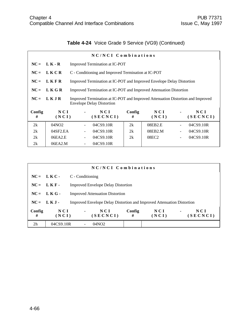# **Table 4-24** Voice Grade 9 Service (VG9) (Continued)

| NC/NCI Combinations |                |                                                                                                                     |                 |             |              |                |                 |
|---------------------|----------------|---------------------------------------------------------------------------------------------------------------------|-----------------|-------------|--------------|----------------|-----------------|
|                     | $NC = LK - R$  | Improved Termination at IC-POT                                                                                      |                 |             |              |                |                 |
| $NC =$              | LKCR           | C - Conditioning and Improved Termination at IC-POT                                                                 |                 |             |              |                |                 |
| $NC =$              | LKFR           | Improved Termination at IC-POT and Improved Envelope Delay Distortion                                               |                 |             |              |                |                 |
|                     | $NC = LKGR$    | Improved Termination at IC-POT and Improved Attenuation Distortion                                                  |                 |             |              |                |                 |
| $NC =$              | LKJR           | Improved Termination at IC-POT and Improved Attenuation Distortion and Improved<br><b>Envelope Delay Distortion</b> |                 |             |              |                |                 |
| Config<br>#         | N C I<br>(NCI) |                                                                                                                     | NCI<br>(SECNCI) | Config<br># | NCI<br>(NCI) |                | NCI<br>(SECNCI) |
| 2k                  | 04NO2          |                                                                                                                     | 04CS9.10R       | 2k          | 08EB2.E      |                | 04CS9.10R       |
| 2k                  | $04$ SF2.EA    |                                                                                                                     | 04CS9.10R       | 2k          | 08EB2.M      | $\blacksquare$ | 04CS9.10R       |
| 2k                  | 06EA2.E        |                                                                                                                     | 04CS9.10R       | 2k          | 08EC2        |                | 04CS9.10R       |
| 2k                  | 06EA2.M        |                                                                                                                     | 04CS9.10R       |             |              |                |                 |

| NC/NCI Combinations |              |                                                                               |             |              |                                     |  |  |
|---------------------|--------------|-------------------------------------------------------------------------------|-------------|--------------|-------------------------------------|--|--|
|                     | $NC = LKC$   | C - Conditioning                                                              |             |              |                                     |  |  |
|                     | $NC = LKF -$ | <b>Improved Envelope Delay Distortion</b>                                     |             |              |                                     |  |  |
|                     | $NC = LKG$   | <b>Improved Attenuation Distortion</b>                                        |             |              |                                     |  |  |
|                     | $NC = L K J$ | <b>Improved Envelope Delay Distortion and Improved Attenuation Distortion</b> |             |              |                                     |  |  |
| Config<br>#         | NCI<br>(NCI) | NCI<br>$\blacksquare$<br>(SECNCI)                                             | Config<br># | NCI<br>(NCI) | N C I<br>$\blacksquare$<br>(SECNCI) |  |  |
| 2 <sub>h</sub>      | 04CS9.10R    | 04NO <sub>2</sub>                                                             |             |              |                                     |  |  |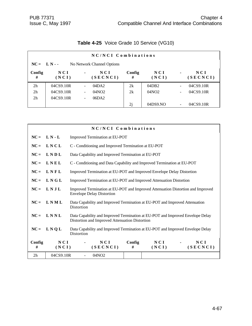|                | NC/NCI Combinations |                          |                            |             |              |                          |                   |  |  |
|----------------|---------------------|--------------------------|----------------------------|-------------|--------------|--------------------------|-------------------|--|--|
|                | $NC = L N -$        |                          | No Network Channel Options |             |              |                          |                   |  |  |
| Config<br>#    | NCI<br>(NCI)        | $\blacksquare$           | NCI<br>(SECNCI)            | Config<br># | NCI<br>(NCI) | $\blacksquare$           | N C I<br>(SECNCI) |  |  |
| 2 <sub>h</sub> | 04CS9.10R           | $\overline{\phantom{0}}$ | 04DA2                      | 2k          | 04DB2        | $\overline{\phantom{0}}$ | 04CS9.10R         |  |  |
| 2 <sub>h</sub> | 04CS9.10R           | $\overline{\phantom{0}}$ | 04NO <sub>2</sub>          | 2k          | 04NO2        | $\overline{\phantom{a}}$ | 04CS9.10R         |  |  |
| 2 <sub>h</sub> | 04CS9.10R           | -                        | 06DA2                      |             |              |                          |                   |  |  |
|                |                     |                          |                            | 2j          | 04DS9.NO     | $\qquad \qquad -$        | 04CS9.10R         |  |  |

## **Table 4-25** Voice Grade 10 Service (VG10)

|             |              | NC/NCI Combinations                                                                                                              |  |  |  |  |  |
|-------------|--------------|----------------------------------------------------------------------------------------------------------------------------------|--|--|--|--|--|
| $NC =$      | $L N - L$    | Improved Termination at EU-POT                                                                                                   |  |  |  |  |  |
| $NC =$      | LNCL         | C - Conditioning and Improved Termination at EU-POT                                                                              |  |  |  |  |  |
| $NC =$      | LNDL         | Data Capability and Improved Termination at EU-POT                                                                               |  |  |  |  |  |
| $NC =$      | LNEL         | C - Conditioning and Data Capability and Improved Termination at EU-POT                                                          |  |  |  |  |  |
| $NC =$      | LNFL         | Improved Termination at EU-POT and Improved Envelope Delay Distortion                                                            |  |  |  |  |  |
| $NC =$      | LNGL         | Improved Termination at EU-POT and Improved Attenuation Distortion                                                               |  |  |  |  |  |
| $NC =$      | <b>LNJL</b>  | Improved Termination at EU-POT and Improved Attenuation Distortion and Improved<br><b>Envelope Delay Distortion</b>              |  |  |  |  |  |
| $NC =$      | LNML         | Data Capability and Improved Termination at EU-POT and Improved Attenuation<br>Distortion                                        |  |  |  |  |  |
| $NC =$      | LNNL         | Data Capability and Improved Termination at EU-POT and Improved Envelope Delay<br>Distortion and Improved Attenuation Distortion |  |  |  |  |  |
| $NC =$      | LNQL         | Data Capability and Improved Termination at EU-POT and Improved Envelope Delay<br>Distortion                                     |  |  |  |  |  |
| Config<br># | NCI<br>(NCI) | NCI<br>Config<br>N C I<br>NCI<br>(SECNCI)<br>(SECNCI)<br>#<br>(NCI)                                                              |  |  |  |  |  |
| 2h          | 04CS9.10R    | 04NO <sub>2</sub>                                                                                                                |  |  |  |  |  |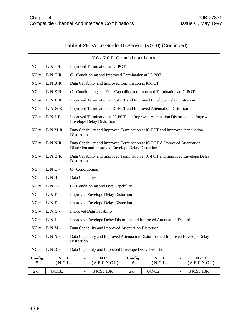# **Table 4-25** Voice Grade 10 Service (VG10) (Continued)

|             |              | NC/NCI Combinations                                                                                                            |                                                     |              |                            |  |  |
|-------------|--------------|--------------------------------------------------------------------------------------------------------------------------------|-----------------------------------------------------|--------------|----------------------------|--|--|
| $NC =$      | $L N - R$    | Improved Termination at IC-POT                                                                                                 |                                                     |              |                            |  |  |
| $NC =$      | <b>LNCR</b>  |                                                                                                                                | C - Conditioning and Improved Termination at IC-POT |              |                            |  |  |
| $NC =$      | <b>LNDR</b>  | Data Capability and Improved Termination at IC-POT                                                                             |                                                     |              |                            |  |  |
| $NC =$      | LNER         | C - Conditioning and Data Capability and Improved Termination at IC-POT                                                        |                                                     |              |                            |  |  |
| $NC =$      | LNFR         | Improved Termination at IC-POT and Improved Envelope Delay Distortion                                                          |                                                     |              |                            |  |  |
| $NC =$      | LNGR         | Improved Termination at IC-POT and Improved Attenuation Distortion                                                             |                                                     |              |                            |  |  |
| $NC =$      | LNJR         | Improved Termination at IC-POT and Improved Attenuation Distortion and Improved<br><b>Envelope Delay Distortion</b>            |                                                     |              |                            |  |  |
| $NC =$      | <b>LNMR</b>  | Data Capability and Improved Termination at IC-POT and Improved Attenuation<br>Distortion                                      |                                                     |              |                            |  |  |
| $NC =$      | LNNR         | Data Capability and Improved Termination at IC-POT & Improved Attenuation<br>Distortion and Improved Envelope Delay Distortion |                                                     |              |                            |  |  |
| $NC =$      | LNQR         | Data Capability and Improved Termination at IC-POT and Improved Envelope Delay<br>Distortion                                   |                                                     |              |                            |  |  |
| $NC =$      | LNC-         | C - Conditioning                                                                                                               |                                                     |              |                            |  |  |
| $NC =$      | LND-         | Data Capability                                                                                                                |                                                     |              |                            |  |  |
| $NC =$      | LNE-         | C - Conditioning and Data Capability                                                                                           |                                                     |              |                            |  |  |
| $NC =$      | LNF-         | <b>Improved Envelope Delay Distortion</b>                                                                                      |                                                     |              |                            |  |  |
| $NC =$      | LNF-         | <b>Improved Envelope Delay Distortion</b>                                                                                      |                                                     |              |                            |  |  |
| $NC =$      | LNG-         | <b>Improved Data Capability</b>                                                                                                |                                                     |              |                            |  |  |
| $NC =$      | LNJ-         | Improved Envelope Delay Distortion and Improved Attenuation Distortion                                                         |                                                     |              |                            |  |  |
| $NC =$      | $LMN -$      | Data Capability and Improved Attenuation Distortion                                                                            |                                                     |              |                            |  |  |
| $NC =$      | LNN-         | Data Capability and Improved Attenuation Distortion and Improved Envelope Delay<br>Distortion                                  |                                                     |              |                            |  |  |
| $NC =$      | LNQ-         | Data Capability and Improved Envelope Delay Distortion                                                                         |                                                     |              |                            |  |  |
| Config<br># | NCI<br>(NCI) | NCI<br>(SECNCI)                                                                                                                | Config<br>#                                         | NCI<br>(NCI) | NCI<br>(SECNCI)            |  |  |
| 2k          | 04DB2        | 04CS9.10R<br>$\frac{1}{2}$                                                                                                     | 2k                                                  | 04NO2        | 04CS9.10R<br>$\frac{1}{2}$ |  |  |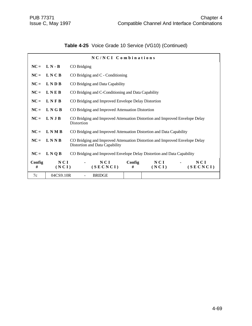# **Table 4-25** Voice Grade 10 Service (VG10) (Continued)

|             | NC/NCI Combinations |                                                                                                               |  |  |  |  |  |  |
|-------------|---------------------|---------------------------------------------------------------------------------------------------------------|--|--|--|--|--|--|
| $NC =$      | $L N - B$           | CO Bridging                                                                                                   |  |  |  |  |  |  |
| $NC =$      | LNCB                | CO Bridging and C - Conditioning                                                                              |  |  |  |  |  |  |
| $NC =$      | <b>LNDB</b>         | CO Bridging and Data Capability                                                                               |  |  |  |  |  |  |
| $NC =$      | LNEB                | CO Bridging and C-Conditioning and Data Capability                                                            |  |  |  |  |  |  |
| $NC =$      | LNFB                | CO Bridging and Improved Envelope Delay Distortion                                                            |  |  |  |  |  |  |
| $NC =$      | LNGB                | CO Bridging and Improved Attenuation Distortion                                                               |  |  |  |  |  |  |
| $NC =$      | LNJB                | CO Bridging and Improved Attenuation Distortion and Improved Envelope Delay<br>Distortion                     |  |  |  |  |  |  |
| $NC =$      | <b>LNMB</b>         | CO Bridging and Improved Attenuation Distortion and Data Capability                                           |  |  |  |  |  |  |
| $NC =$      | LNNB                | CO Bridging and Improved Attenuation Distortion and Improved Envelope Delay<br>Distortion and Data Capability |  |  |  |  |  |  |
| $NC =$      | L N Q B             | CO Bridging and Improved Envelope Delay Distortion and Data Capability                                        |  |  |  |  |  |  |
| Config<br># | NCI<br>(NCI)        | NCI<br>NCI<br>Config<br>NCI<br>(SECNCI)<br>(SECNCI)<br>#<br>(NCI)                                             |  |  |  |  |  |  |
| 7c          | 04CS9.10R           | <b>BRIDGE</b>                                                                                                 |  |  |  |  |  |  |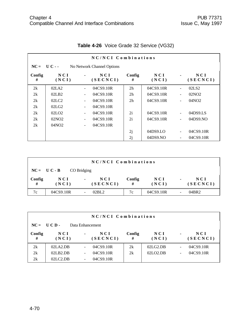|             |                                |                          | NC/NCI Combinations        |                |                     |                              |                   |
|-------------|--------------------------------|--------------------------|----------------------------|----------------|---------------------|------------------------------|-------------------|
| $NC =$      | U C - -                        |                          | No Network Channel Options |                |                     |                              |                   |
| Config<br># | NCI<br>(NCI)                   | $\blacksquare$           | N C I<br>(SECNCI)          | Config<br>#    | N C I<br>(NCI)      | $\blacksquare$               | N C I<br>(SECNCI) |
| 2k          | 02LA2                          |                          | 04CS9.10R                  | 2 <sub>h</sub> | 04CS9.10R           | $\overline{a}$               | 02LS <sub>2</sub> |
| 2k          | 02LB2                          | $\overline{\phantom{a}}$ | 04CS9.10R                  | 2 <sub>h</sub> | 04CS9.10R           | $\qquad \qquad \blacksquare$ | 02NO <sub>2</sub> |
| 2k          | 02 <sub>L</sub> C <sub>2</sub> | $\blacksquare$           | 04CS9.10R                  | 2 <sub>h</sub> | 04CS9.10R           | $\blacksquare$               | 04NO2             |
| 2k          | 02LG2                          | $\overline{\phantom{a}}$ | 04CS9.10R                  |                |                     |                              |                   |
| 2k          | 02LO2                          | $\blacksquare$           | 04CS9.10R                  | 2i             | 04CS9.10R           | ÷,                           | 04DS9.LS          |
| 2k          | 02NO2                          | $\overline{\phantom{a}}$ | 04CS9.10R                  | 2i             | 04CS9.10R           | $\frac{1}{2}$                | 04DS9.NO          |
| 2k          | 04NO2                          | $\blacksquare$           | 04CS9.10R                  |                |                     |                              |                   |
|             |                                |                          |                            | 2j             | 04DS9 <sub>LO</sub> | $\blacksquare$               | 04CS9.10R         |
|             |                                |                          |                            | 2j             | 04DS9.NO            |                              | 04CS9.10R         |

# **Table 4-26** Voice Grade 32 Service (VG32)

|             | NC/NCI Combinations |                      |             |              |                |                 |  |  |  |
|-------------|---------------------|----------------------|-------------|--------------|----------------|-----------------|--|--|--|
|             | $NC = U C - B$      | CO Bridging          |             |              |                |                 |  |  |  |
| Config<br># | N C I<br>(NCI)      | NCI<br>٠<br>(SECNCI) | Config<br># | NCI<br>(NCI) | $\blacksquare$ | NCI<br>(SECNCI) |  |  |  |
| 7c          | 04CS9.10R           | 02BL2                | 7c          | 04CS9.10R    |                | 04BR2           |  |  |  |

|             | NC/NCI Combinations |                                     |             |              |                                     |  |  |  |  |
|-------------|---------------------|-------------------------------------|-------------|--------------|-------------------------------------|--|--|--|--|
| $NC =$      | UCD-                | Data Enhancement                    |             |              |                                     |  |  |  |  |
| Config<br># | N C I<br>(NCI)      | N C I<br>$\blacksquare$<br>(SECNCI) | Config<br># | NCI<br>(NCI) | N C I<br>$\blacksquare$<br>(SECNCI) |  |  |  |  |
| 2k          | 02LA2.DB            | 04CS9.10R                           | 2k          | 02LG2.DB     | 04CS9.10R<br>÷                      |  |  |  |  |
| 2k          | 02LB2.DB            | 04CS9.10R                           | 2k          | 02LO2.DB     | 04CS9.10R<br>۰                      |  |  |  |  |
| 2k          | 02LC2.DB            | 04CS9.10R                           |             |              |                                     |  |  |  |  |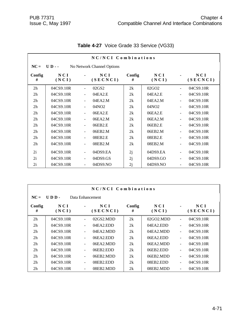|                |                             |                          | NC/NCI Combinations        |             |                   |                              |                 |
|----------------|-----------------------------|--------------------------|----------------------------|-------------|-------------------|------------------------------|-----------------|
| $NC =$         | $\mathbf{U} \mathbf{D}$ - - |                          | No Network Channel Options |             |                   |                              |                 |
| Config<br>#    | NCI<br>(NCI)                |                          | NCI<br>(SECNCI)            | Config<br># | NCI<br>(NCI)      |                              | NCI<br>(SECNCI) |
| 2 <sub>h</sub> | 04CS9.10R                   | $\blacksquare$           | 02GS2                      | 2k          | 02GO <sub>2</sub> | $\qquad \qquad \blacksquare$ | 04CS9.10R       |
| 2 <sub>h</sub> | 04CS9.10R                   | $\blacksquare$           | 04EA2.E                    | 2k          | 04EA2.E           | $\blacksquare$               | 04CS9.10R       |
| 2 <sub>h</sub> | 04CS9.10R                   | $\overline{\phantom{a}}$ | 04EA2.M                    | 2k          | 04EA2.M           | ÷,                           | 04CS9.10R       |
| 2 <sub>h</sub> | 04CS9.10R                   |                          | 04NO <sub>2</sub>          | 2k          | 04NO <sub>2</sub> | $\blacksquare$               | 04CS9.10R       |
| 2h             | 04CS9.10R                   | $\blacksquare$           | 06EA2.E                    | 2k          | 06EA2.E           | $\overline{a}$               | 04CS9.10R       |
| 2 <sub>h</sub> | 04CS9.10R                   | $\blacksquare$           | 06EA2.M                    | 2k          | 06EA2.M           | $\overline{a}$               | 04CS9.10R       |
| 2 <sub>h</sub> | 04CS9.10R                   | $\blacksquare$           | 06EB2.E                    | 2k          | 06EB2.E           | $\overline{a}$               | 04CS9.10R       |
| 2 <sub>h</sub> | 04CS9.10R                   |                          | 06EB2.M                    | 2k          | 06EB2.M           | $\blacksquare$               | 04CS9.10R       |
| 2 <sub>h</sub> | 04CS9.10R                   |                          | 08EB2.E                    | 2k          | 08EB2.E           | $\blacksquare$               | 04CS9.10R       |
| 2 <sub>h</sub> | 04CS9.10R                   | $\blacksquare$           | 08EB2.M                    | 2k          | 08EB2.M           | ÷,                           | 04CS9.10R       |
| 2i             | 04CS9.10R                   | $\blacksquare$           | 04DS9.EA                   | 2j          | 04DS9.EA          | $\blacksquare$               | 04CS9.10R       |
| 2i             | 04CS9.10R                   | $\blacksquare$           | 04DS9.GS                   | 2j          | 04DS9.GO          | ÷,                           | 04CS9.10R       |
| 2i             | 04CS9.10R                   |                          | 04DS9.NO                   | 2j          | 04DS9.NO          | ÷,                           | 04CS9.10R       |

# **Table 4-27** Voice Grade 33 Service (VG33)

|                |              |                          | NC/NCI Combinations |             |                  |                          |                   |
|----------------|--------------|--------------------------|---------------------|-------------|------------------|--------------------------|-------------------|
| $NC =$         | $UDD-$       | Data Enhancement         |                     |             |                  |                          |                   |
| Config<br>#    | NCI<br>(NCI) |                          | NCI<br>(SECNCI)     | Config<br># | NCI<br>(NCI)     |                          | N C I<br>(SECNCI) |
| 2 <sub>h</sub> | 04CS9.10R    |                          | 02GS2.MDD           | 2k          | $02$ GO $2$ .MDD |                          | 04CS9.10R         |
| 2 <sub>h</sub> | 04CS9.10R    | $\overline{\phantom{0}}$ | 04EA2EDD            | 2k          | 04EA2EDD         | $\overline{\phantom{0}}$ | 04CS9.10R         |
| 2 <sub>h</sub> | 04CS9.10R    | ۰                        | 04EA2.MDD           | 2k          | 04EA2.MDD        | $\blacksquare$           | 04CS9.10R         |
| 2 <sub>h</sub> | 04CS9.10R    | ٠                        | 06EA2EDD            | 2k          | 06EA2EDD         |                          | 04CS9.10R         |
| 2 <sub>h</sub> | 04CS9.10R    |                          | 06EA2.MDD           | 2k          | 06EA2.MDD        | $\overline{a}$           | 04CS9.10R         |
| 2 <sub>h</sub> | 04CS9.10R    |                          | 06EB2.EDD           | 2k          | $06EB2$ .EDD     |                          | 04CS9.10R         |
| 2 <sub>h</sub> | 04CS9.10R    |                          | 06EB2.MDD           | 2k          | 06EB2.MDD        |                          | 04CS9.10R         |
| 2 <sub>h</sub> | 04CS9.10R    | ٠                        | 08EB2.EDD           | 2k          | 08EB2.EDD        | $\overline{a}$           | 04CS9.10R         |
| 2 <sub>h</sub> | 04CS9.10R    | ۰                        | 08EB2.MDD           | 2k          | 08EB2.MDD        | $\overline{\phantom{a}}$ | 04CS9.10R         |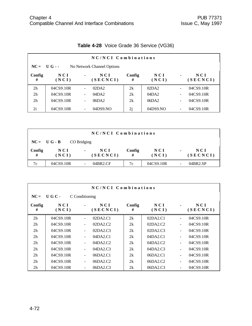|                | NC/NCI Combinations |                          |                            |             |              |                          |                 |  |  |
|----------------|---------------------|--------------------------|----------------------------|-------------|--------------|--------------------------|-----------------|--|--|
|                | $NC = U G -$        |                          | No Network Channel Options |             |              |                          |                 |  |  |
| Config<br>#    | N C I<br>(NCI)      | $\blacksquare$           | NCI<br>(SECNCI)            | Config<br># | NCI<br>(NCI) | $\blacksquare$           | NCI<br>(SECNCI) |  |  |
| 2 <sub>h</sub> | 04CS9.10R           | $\overline{\phantom{a}}$ | 02DA2                      | 2k          | 02DA2        | $\overline{\phantom{a}}$ | 04CS9.10R       |  |  |
| 2 <sub>h</sub> | 04CS9.10R           | $\overline{\phantom{a}}$ | 04DA2                      | 2k          | 04DA2        | $\overline{\phantom{a}}$ | 04CS9.10R       |  |  |
| 2 <sub>h</sub> | 04CS9.10R           | $\overline{\phantom{a}}$ | 06DA2                      | 2k          | 06DA2        | $\overline{\phantom{a}}$ | 04CS9.10R       |  |  |
| 2i             | 04CS9.10R           | $\overline{\phantom{a}}$ | 04DS9.NO                   | 2j          | 04DS9.NO     | $\overline{\phantom{a}}$ | 04CS9.10R       |  |  |

# **Table 4-28** Voice Grade 36 Service (VG36)

| NC/NCI Combinations |                |                                     |             |                |                |                   |  |
|---------------------|----------------|-------------------------------------|-------------|----------------|----------------|-------------------|--|
|                     | $NC = U G - B$ | CO Bridging                         |             |                |                |                   |  |
| Config<br>#         | N C I<br>(NCI) | N C I<br>$\blacksquare$<br>(SECNCI) | Config<br># | N C I<br>(NCI) | $\blacksquare$ | N C I<br>(SECNCI) |  |
| 7c                  | 04CS9.10R      | 04BR2.CF                            | 7c          | 04CS9.10R      | -              | 04BR2.SP          |  |

|                |              |                          | NC/NCI Combinations |             |              |                |                   |
|----------------|--------------|--------------------------|---------------------|-------------|--------------|----------------|-------------------|
| $NC =$         | UGC-         | C Conditioning           |                     |             |              |                |                   |
| Config<br>#    | NCI<br>(NCI) | $\blacksquare$           | NCI<br>(SECNCI)     | Config<br># | NCI<br>(NCI) |                | N C I<br>(SECNCI) |
| 2 <sub>h</sub> | 04CS9.10R    | $\mathbf{r}$             | 02DA2.C1            | 2k          | 02DA2.C1     | $\blacksquare$ | 04CS9.10R         |
| 2 <sub>h</sub> | 04CS9.10R    | $\overline{\phantom{a}}$ | 02DA2.C2            | 2k          | 02DA2.C2     | ۰              | 04CS9.10R         |
| 2 <sub>h</sub> | 04CS9.10R    | $\overline{\phantom{a}}$ | 02DA2.C3            | 2k          | 02DA2.C3     | $\blacksquare$ | 04CS9.10R         |
| 2 <sub>h</sub> | 04CS9.10R    | $\overline{\phantom{a}}$ | 04DA2.C1            | 2k          | 04DA2.C1     | $\blacksquare$ | 04CS9.10R         |
| 2 <sub>h</sub> | 04CS9.10R    | $\overline{\phantom{a}}$ | 04DA2.C2            | 2k          | 04DA2.C2     | $\blacksquare$ | 04CS9.10R         |
| 2 <sub>h</sub> | 04CS9.10R    | $\overline{\phantom{a}}$ | 04DA2.C3            | 2k          | 04DA2.C3     | $\blacksquare$ | 04CS9.10R         |
| 2 <sub>h</sub> | 04CS9.10R    | $\overline{\phantom{0}}$ | 06DA2.C1            | 2k          | 06DA2.C1     | $\blacksquare$ | 04CS9.10R         |
| 2 <sub>h</sub> | 04CS9.10R    | $\overline{\phantom{a}}$ | 06DA2.C2            | 2k          | 06DA2.C2     | $\blacksquare$ | 04CS9.10R         |
| 2 <sub>h</sub> | 04CS9.10R    |                          | 06DA2.C3            | 2k          | 06DA2.C3     |                | 04CS9.10R         |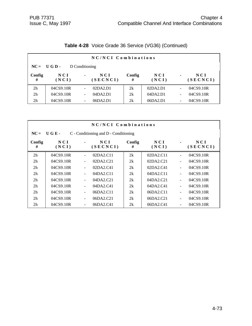| NC/NCI Combinations |                |                          |                 |             |                |                          |                 |  |
|---------------------|----------------|--------------------------|-----------------|-------------|----------------|--------------------------|-----------------|--|
|                     | $NC = UGD -$   | D Conditioning           |                 |             |                |                          |                 |  |
| Config<br>#         | N C I<br>(NCI) | $\blacksquare$           | NCI<br>(SECNCI) | Config<br># | N C I<br>(NCI) | $\blacksquare$           | NCI<br>(SECNCI) |  |
| 2 <sub>h</sub>      | 04CS9.10R      | $\overline{\phantom{0}}$ | 02DA2.D1        | 2k          | 02DA2.D1       | $\overline{\phantom{a}}$ | 04CS9.10R       |  |
| 2 <sub>h</sub>      | 04CS9.10R      | $\overline{\phantom{a}}$ | 04DA2.D1        | 2k          | 04DA2.D1       | $\overline{\phantom{a}}$ | 04CS9.10R       |  |
| 2 <sub>h</sub>      | 04CS9.10R      | -                        | 06DA2.D1        | 2k          | 06DA2.D1       | $\overline{\phantom{a}}$ | 04CS9.10R       |  |

# **Table 4-28** Voice Grade 36 Service (VG36) (Continued)

| NC/NCI Combinations                                               |                |                          |                 |             |                |                              |                 |  |  |
|-------------------------------------------------------------------|----------------|--------------------------|-----------------|-------------|----------------|------------------------------|-----------------|--|--|
| $\bf{U}$ G E -<br>$NC =$<br>C - Conditioning and D - Conditioning |                |                          |                 |             |                |                              |                 |  |  |
| Config<br>#                                                       | N C I<br>(NCI) |                          | NCI<br>(SECNCI) | Config<br># | N C I<br>(NCI) | $\blacksquare$               | NCI<br>(SECNCI) |  |  |
| 2 <sub>h</sub>                                                    | 04CS9.10R      |                          | 02DA2.C11       | 2k          | 02DA2.C11      | $\qquad \qquad \blacksquare$ | 04CS9.10R       |  |  |
| 2 <sub>h</sub>                                                    | 04CS9.10R      | $\overline{\phantom{0}}$ | 02DA2.C21       | 2k          | 02DA2.C21      | $\blacksquare$               | 04CS9.10R       |  |  |
| 2 <sub>h</sub>                                                    | 04CS9.10R      | ٠                        | 02DA2.C41       | 2k          | 02DA2.C41      | ÷,                           | 04CS9.10R       |  |  |
| 2 <sub>h</sub>                                                    | 04CS9.10R      |                          | 04DA2.C11       | 2k          | 04DA2.C11      | $\blacksquare$               | 04CS9.10R       |  |  |
| 2 <sub>h</sub>                                                    | 04CS9.10R      | $\overline{\phantom{0}}$ | 04DA2.C21       | 2k          | 04DA2.C21      | $\blacksquare$               | 04CS9.10R       |  |  |
| 2 <sub>h</sub>                                                    | 04CS9.10R      | ٠                        | 04DA2.C41       | 2k          | 04DA2.C41      | ÷,                           | 04CS9.10R       |  |  |
| 2 <sub>h</sub>                                                    | 04CS9.10R      | $\overline{\phantom{a}}$ | 06DA2.C11       | 2k          | 06DA2.C11      | $\blacksquare$               | 04CS9.10R       |  |  |
| 2 <sub>h</sub>                                                    | 04CS9.10R      | $\overline{\phantom{0}}$ | 06DA2.C21       | 2k          | 06DA2.C21      | $\blacksquare$               | 04CS9.10R       |  |  |
| 2 <sub>h</sub>                                                    | 04CS9.10R      |                          | 06DA2.C41       | 2k          | 06DA2.C41      | ۰                            | 04CS9.10R       |  |  |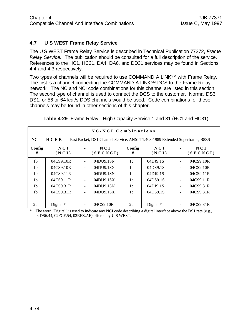#### **4.7 U S WEST Frame Relay Service**

The U S WEST Frame Relay Service is described in Technical Publication 77372, *Frame Relay Service.* The publication should be consulted for a full description of the service. References to the HC1, HC31, DA4, DA6, and DD31 services may be found in Sections 4.4 and 4.3 respectively.

Two types of channels will be required to use COMMAND A LINK<sup>SM</sup> with Frame Relay. The first is a channel connecting the COMMAND A LINK<sup>SM</sup> DCS to the Frame Relay network. The NC and NCI code combinations for this channel are listed in this section. The second type of channel is used to connect the DCS to the customer. Normal DS3, DS1, or 56 or 64 kbit/s DDS channels would be used. Code combinations for these channels may be found in other sections of this chapter.

|                | NC/NCI Combinations                                                                  |                |                   |             |                |                          |                   |  |  |
|----------------|--------------------------------------------------------------------------------------|----------------|-------------------|-------------|----------------|--------------------------|-------------------|--|--|
| $NC =$         | HCER<br>Fast Packet, DS1 Channel Service, ANSI T1.403-1989 Extended Superframe, B8ZS |                |                   |             |                |                          |                   |  |  |
| Config<br>#    | N C I<br>(NCI)                                                                       |                | N C I<br>(SECNCI) | Config<br># | N C I<br>(NCI) |                          | N C I<br>(SECNCI) |  |  |
| 1 <sub>b</sub> | 04CS9.10R                                                                            | $\blacksquare$ | 04DU9.1SN         | 1c          | 04DJ9.1S       |                          | 04CS9.10R         |  |  |
| 1b             | 04CS9.10R                                                                            |                | 04DU9.1SX         | 1c          | 04DS9.1S       |                          | 04CS9.10R         |  |  |
| 1 <sub>b</sub> | 04CS9.11R                                                                            |                | 04DU9.1SN         | 1c          | 04DJ9.1S       | $\overline{\phantom{a}}$ | 04CS9.11R         |  |  |
| 1b             | 04CS9.11R                                                                            |                | 04DU9.1SX         | 1c          | 04DS9.1S       |                          | 04CS9.11R         |  |  |
| 1 <sub>b</sub> | 04CS9.31R                                                                            |                | 04DU9.1SN         | 1c          | 04DJ9.1S       | $\blacksquare$           | 04CS9.31R         |  |  |
| 1 <sub>b</sub> | 04CS9.31R                                                                            |                | 04DU9.1SX         | 1c          | 04DS9.1S       |                          | 04CS9.31R         |  |  |
|                |                                                                                      |                |                   |             |                |                          |                   |  |  |
| 2c             | Digital $*$                                                                          |                | 04CS9.10R         | 2c          | Digital *      |                          | 04CS9.31R         |  |  |

**Table 4-29** Frame Relay - High Capacity Service 1 and 31 (HC1 and HC31)

The word "Digital" is used to indicate any NCI code describing a digital interface above the DS1 rate (e.g., 04DS6.44, 02FCF.54, 02RFZ.AF) offered by U S WEST.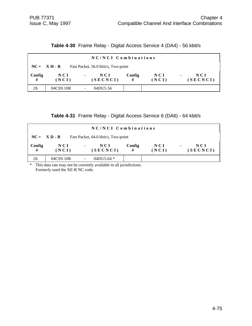**Table 4-30** Frame Relay - Digital Access Service 4 (DA4) - 56 kbit/s

|                | NC/NCI Combinations                                                                  |                                   |             |                |                                     |  |  |  |  |
|----------------|--------------------------------------------------------------------------------------|-----------------------------------|-------------|----------------|-------------------------------------|--|--|--|--|
|                | Fast Packet, 56.0 kbit/s, Two-point<br>$NC = \mathbf{X} \mathbf{H} \cdot \mathbf{R}$ |                                   |             |                |                                     |  |  |  |  |
| Config<br>#    | N C I<br>(NCI)                                                                       | NCI<br>$\blacksquare$<br>(SECNCI) | Config<br># | N C I<br>(NCI) | N C I<br>$\blacksquare$<br>(SECNCI) |  |  |  |  |
| 2 <sub>h</sub> | 04CS9.10R                                                                            | 04DU5.56                          |             |                |                                     |  |  |  |  |

|  | Table 4-31 Frame Relay - Digital Access Service 6 (DA6) - 64 kbit/s |  |  |  |  |  |  |
|--|---------------------------------------------------------------------|--|--|--|--|--|--|
|--|---------------------------------------------------------------------|--|--|--|--|--|--|

| NC/NCI Combinations |                                                       |                                   |             |                |                                     |  |  |  |
|---------------------|-------------------------------------------------------|-----------------------------------|-------------|----------------|-------------------------------------|--|--|--|
|                     | $NC = X D - R$<br>Fast Packet, 64.0 kbit/s, Two-point |                                   |             |                |                                     |  |  |  |
| Config<br>#         | N C I<br>(NCI)                                        | NCI<br>$\blacksquare$<br>(SECNCI) | Config<br># | N C I<br>(NCI) | N C I<br>$\blacksquare$<br>(SECNCI) |  |  |  |
| 2h                  | 04CS9.10R                                             | 04DU5.64 $*$<br>-                 |             |                |                                     |  |  |  |

\* This data rate may not be currently available in all jurisdictions. Formerly used the XE-R NC code.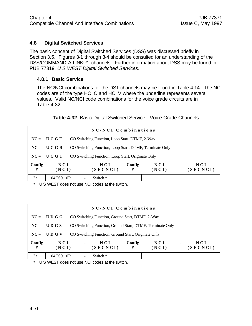#### **4.8 Digital Switched Services**

The basic concept of Digital Switched Services (DSS) was discussed briefly in Section 3.5. Figures 3-1 through 3-4 should be consulted for an understanding of the DSS/COMMAND A LINK<sup>SM</sup> channels. Further information about DSS may be found in PUB 77319, *U S WEST Digital Switched Services*.

#### **4.8.1 Basic Service**

The NC/NCI combinations for the DS1 channels may be found in Table 4-14. The NC codes are of the type HC\_C and HC\_V where the underline represents several values. Valid NC/NCI code combinations for the voice grade circuits are in Table 4-32.

**Table 4-32** Basic Digital Switched Service - Voice Grade Channels

| NC/NCI Combinations |                |                |                                                                                     |  |  |  |  |  |
|---------------------|----------------|----------------|-------------------------------------------------------------------------------------|--|--|--|--|--|
|                     | $NC = U C G F$ |                | CO Switching Function, Loop Start, DTMF, 2-Way                                      |  |  |  |  |  |
|                     | $NC = U C G R$ |                | CO Switching Function, Loop Start, DTMF, Terminate Only                             |  |  |  |  |  |
| $NC =$              | U C G U        |                | CO Switching Function, Loop Start, Originate Only                                   |  |  |  |  |  |
| Config<br>#         | NCI<br>(NCI)   | $\blacksquare$ | Config<br>NCI<br>NCI<br>NCI<br>$\blacksquare$<br>(SECNCI)<br>(NCI)<br>(SECNCI)<br># |  |  |  |  |  |
| 3a                  | 04CS9.10R      |                | Switch *                                                                            |  |  |  |  |  |

\* U S WEST does not use NCI codes at the switch.

|             | NC/NCI Combinations |                                                  |                                                           |                |                                   |  |  |  |  |
|-------------|---------------------|--------------------------------------------------|-----------------------------------------------------------|----------------|-----------------------------------|--|--|--|--|
|             | $NC = U D G G$      | CO Switching Function, Ground Start, DTMF, 2-Way |                                                           |                |                                   |  |  |  |  |
| $NC =$      | UDGS                |                                                  | CO Switching Function, Ground Start, DTMF, Terminate Only |                |                                   |  |  |  |  |
| $NC =$      | UDGV                |                                                  | CO Switching Function, Ground Start, Originate Only       |                |                                   |  |  |  |  |
| Config<br># | NCI<br>(NCI)        | $\blacksquare$                                   | NCI<br>Config<br>(SECNCI)<br>#                            | N C I<br>(NCI) | NCI<br>$\blacksquare$<br>(SECNCI) |  |  |  |  |
| 3a          | 04CS9.10R           | Switch *                                         |                                                           |                |                                   |  |  |  |  |

\* U S WEST does not use NCI codes at the switch.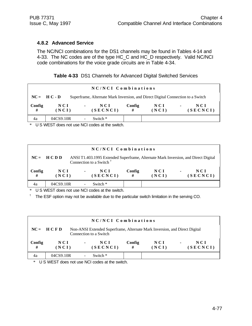#### **4.8.2 Advanced Service**

The NC/NCI combinations for the DS1 channels may be found in Tables 4-14 and 4-33. The NC codes are of the type HC\_C and HC\_D respectively. Valid NC/NCI code combinations for the voice grade circuits are in Table 4-34.

| Table 4-33 DS1 Channels for Advanced Digital Switched Services |  |
|----------------------------------------------------------------|--|
|----------------------------------------------------------------|--|

| NC/NCI Combinations |                                                                                                  |                                   |             |              |                                   |  |  |  |
|---------------------|--------------------------------------------------------------------------------------------------|-----------------------------------|-------------|--------------|-----------------------------------|--|--|--|
|                     | $NC = HC - D$<br>Superframe, Alternate Mark Inversion, and Direct Digital Connection to a Switch |                                   |             |              |                                   |  |  |  |
| Config<br>#         | NCI<br>(NCI)                                                                                     | NCI<br>$\blacksquare$<br>(SECNCI) | Config<br># | NCI<br>(NCI) | NCI<br>$\blacksquare$<br>(SECNCI) |  |  |  |
| 4a                  | 04CS9.10R                                                                                        | Switch *                          |             |              |                                   |  |  |  |

\* U S WEST does not use NCI codes at the switch.

| NC/NCI Combinations |                                                                                                                                          |                |                 |             |                |                                     |  |  |
|---------------------|------------------------------------------------------------------------------------------------------------------------------------------|----------------|-----------------|-------------|----------------|-------------------------------------|--|--|
|                     | $NC = HCDD$<br>ANSI T1.403.1995 Extended Superframe, Alternate Mark Inversion, and Direct Digital<br>Connection to a Switch <sup>+</sup> |                |                 |             |                |                                     |  |  |
| Config<br>#         | N C I<br>(NCI)                                                                                                                           | $\blacksquare$ | NCI<br>(SECNCI) | Config<br># | N C I<br>(NCI) | N C I<br>$\blacksquare$<br>(SECNCI) |  |  |
| 4a                  | 04CS9.10R                                                                                                                                |                | Switch $*$      |             |                |                                     |  |  |

\* U S WEST does not use NCI codes at the switch.

<sup>†</sup> The ESF option may not be available due to the particular switch limitation in the serving CO.

| NC/NCI Combinations |                                                                                                                     |                |                 |             |              |                |                   |  |  |
|---------------------|---------------------------------------------------------------------------------------------------------------------|----------------|-----------------|-------------|--------------|----------------|-------------------|--|--|
|                     | $NC = HCFD$<br>Non-ANSI Extended Superframe, Alternate Mark Inversion, and Direct Digital<br>Connection to a Switch |                |                 |             |              |                |                   |  |  |
| Config<br>#         | NCI<br>(NCI)                                                                                                        | $\blacksquare$ | NCI<br>(SECNCI) | Config<br># | NCI<br>(NCI) | $\blacksquare$ | N C I<br>(SECNCI) |  |  |
| 4a                  | 04CS9.10R                                                                                                           |                | Switch $*$      |             |              |                |                   |  |  |

\* U S WEST does not use NCI codes at the switch.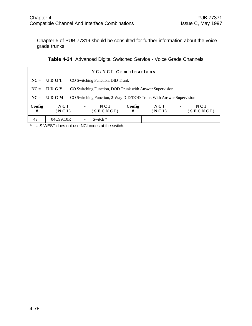Chapter 5 of PUB 77319 should be consulted for further information about the voice grade trunks.

|  | <b>Table 4-34</b> Advanced Digital Switched Service - Voice Grade Channels |  |  |
|--|----------------------------------------------------------------------------|--|--|
|--|----------------------------------------------------------------------------|--|--|

| NC/NCI Combinations |                |                |                                                                    |             |              |                |                 |  |
|---------------------|----------------|----------------|--------------------------------------------------------------------|-------------|--------------|----------------|-----------------|--|
|                     | $NC = U D G T$ |                | CO Switching Function, DID Trunk                                   |             |              |                |                 |  |
|                     | $NC = U D G Y$ |                | CO Switching Function, DOD Trunk with Answer Supervision           |             |              |                |                 |  |
|                     | $NC = U D G M$ |                | CO Switching Function, 2-Way DID/DOD Trunk With Answer Supervision |             |              |                |                 |  |
| Config<br>#         | NCI<br>(NCI)   | $\blacksquare$ | NCI<br>(SECNCI)                                                    | Config<br># | NCI<br>(NCI) | $\blacksquare$ | NCI<br>(SECNCI) |  |
| 4a                  | 04CS9.10R      |                | Switch *                                                           |             |              |                |                 |  |

\* U S WEST does not use NCI codes at the switch.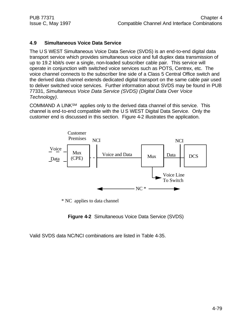#### **4.9 Simultaneous Voice Data Service**

The U S WEST Simultaneous Voice Data Service (SVDS) is an end-to-end digital data transport service which provides simultaneous voice and full duplex data transmission of up to 19.2 kbit/s over a single, non-loaded subscriber cable pair. This service will operate in conjunction with switched voice services such as POTS, Centrex, etc. The voice channel connects to the subscriber line side of a Class 5 Central Office switch and the derived data channel extends dedicated digital transport on the same cable pair used to deliver switched voice services. Further information about SVDS may be found in PUB 77331, *Simultaneous Voice Data Service (SVDS) (Digital Data Over Voice Technology)*.

COMMAND A LINKSM applies only to the derived data channel of this service. This channel is end-to-end compatible with the U S WEST Digital Data Service. Only the customer end is discussed in this section. Figure 4-2 illustrates the application.



\* NC applies to data channel

**Figure 4-2** Simultaneous Voice Data Service (SVDS)

Valid SVDS data NC/NCI combinations are listed in Table 4-35.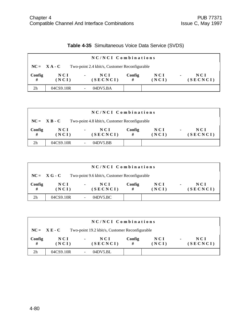|  | <b>Table 4-35</b> Simultaneous Voice Data Service (SVDS) |
|--|----------------------------------------------------------|
|--|----------------------------------------------------------|

|                | NC/NCI Combinations                                             |                                   |             |                |                                     |  |  |  |  |
|----------------|-----------------------------------------------------------------|-----------------------------------|-------------|----------------|-------------------------------------|--|--|--|--|
|                | $NC = X A - C$<br>Two-point 2.4 kbit/s, Customer Reconfigurable |                                   |             |                |                                     |  |  |  |  |
| Config<br>#    | N C I<br>(NCI)                                                  | NCI<br>$\blacksquare$<br>(SECNCI) | Config<br># | N C I<br>(NCI) | N C I<br>$\blacksquare$<br>(SECNCI) |  |  |  |  |
| 2 <sub>h</sub> | 04CS9.10R                                                       | 04DV5.BA                          |             |                |                                     |  |  |  |  |

|                                                                 | NC/NCI Combinations |                                   |             |                     |                                   |  |  |  |  |  |
|-----------------------------------------------------------------|---------------------|-----------------------------------|-------------|---------------------|-----------------------------------|--|--|--|--|--|
| $NC = X B - C$<br>Two-point 4.8 kbit/s, Customer Reconfigurable |                     |                                   |             |                     |                                   |  |  |  |  |  |
| Config<br>#                                                     | NCI<br>(NCI)        | NCI<br>$\blacksquare$<br>(SECNCI) | Config<br># | <b>NCI</b><br>(NCI) | NCI<br>$\blacksquare$<br>(SECNCI) |  |  |  |  |  |
| 2h                                                              | 04CS9.10R           | 04DV5.BB                          |             |                     |                                   |  |  |  |  |  |

| NC/NCI Combinations |                                                                |                           |             |              |                                   |  |  |  |  |
|---------------------|----------------------------------------------------------------|---------------------------|-------------|--------------|-----------------------------------|--|--|--|--|
|                     | $NC = XG - C$<br>Two-point 9.6 kbit/s, Customer Reconfigurable |                           |             |              |                                   |  |  |  |  |
| Config<br>#         | <b>NCI</b><br>(NCI)                                            | NCI<br>$\sim$<br>(SECNCI) | Config<br># | NCI<br>(NCI) | NCI<br>$\blacksquare$<br>(SECNCI) |  |  |  |  |
| 2 <sub>h</sub>      | 04CS9.10R                                                      | 04DV5.BC                  |             |              |                                   |  |  |  |  |

| NC/NCI Combinations |                                                                  |                |                 |             |                |                |                 |  |
|---------------------|------------------------------------------------------------------|----------------|-----------------|-------------|----------------|----------------|-----------------|--|
|                     | $NC = X E - C$<br>Two-point 19.2 kbit/s, Customer Reconfigurable |                |                 |             |                |                |                 |  |
| Config<br>#         | NCI<br>(NCI)                                                     | $\blacksquare$ | NCI<br>(SECNCI) | Config<br># | N C I<br>(NCI) | $\blacksquare$ | NCI<br>(SECNCI) |  |
| 2h                  | 04CS9.10R                                                        |                | 04DY5.BL        |             |                |                |                 |  |

#### 4-80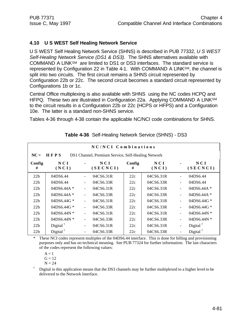#### **4.10 U S WEST Self Healing Network Service**

U S WEST Self Healing Network Service (SHNS) is described in PUB 77332, *U S WEST Self-Healing Network Service (DS1 & DS3).* The SHNS alternatives available with COMMAND A LINKSM are limited to DS1 or DS3 interfaces. The standard service is represented by Configuration 22 in Table 4-1. With COMMAND A LINKSM, the channel is split into two circuits. The first circuit remains a SHNS circuit represented by Configuration 22b or 22c. The second circuit becomes a standard circuit represented by Configurations 1b or 1c.

Central Office multiplexing is also available with SHNS using the NC codes HCPQ and HFPQ. These two are illustrated in Configuration 22a. Applying COMMAND A LINK<sup>SM</sup> to the circuit results in a Configuration 22b or 22c (HCPS or HFPS) and a Configuration 10e. The latter is a standard non-SHNS service.

Tables 4-36 through 4-38 contain the applicable NC/NCI code combinations for SHNS.

| NC/NCI Combinations |                                                            |                          |                 |             |                |                          |                      |  |  |  |
|---------------------|------------------------------------------------------------|--------------------------|-----------------|-------------|----------------|--------------------------|----------------------|--|--|--|
| $NC =$              | HFPS<br>DS1 Channel, Premium Service, Self-Healing Network |                          |                 |             |                |                          |                      |  |  |  |
| Config<br>#         | NCI<br>(NCI)                                               |                          | NCI<br>(SECNCI) | Config<br># | N C I<br>(NCI) |                          | NCI<br>(SECNCI)      |  |  |  |
| 22b                 | 04DS6.44                                                   | $\blacksquare$           | 04CS6.31R       | 22c         | 04CS6.31R      | $\overline{a}$           | 04DS6.44             |  |  |  |
| 22b                 | 04DS6.44                                                   | -                        | 04CS6.33R       | 22c         | 04CS6.33R      | $\overline{\phantom{0}}$ | 04DS6.44             |  |  |  |
| 22b                 | $04DS6.44A*$                                               | $\overline{\phantom{0}}$ | 04CS6.31R       | 22c         | 04CS6.31R      | $\blacksquare$           | 04DS6.44A $*$        |  |  |  |
| 22b                 | $04DS6.44A*$                                               | ÷                        | 04CS6.33R       | 22c         | 04CS6.33R      | ÷,                       | 04DS6.44A $*$        |  |  |  |
| 22b                 | 04DS6.44G *                                                | ÷                        | 04CS6.31R       | 22c         | 04CS6.31R      | ÷,                       | 04DS6.44G $*$        |  |  |  |
| 22b                 | 04DS6.44G *                                                | $\overline{\phantom{a}}$ | 04CS6.33R       | 22c         | 04CS6.33R      | $\overline{\phantom{0}}$ | 04DS6.44G $*$        |  |  |  |
| 22b                 | 04DS6.44N $*$                                              | ÷                        | 04CS6.31R       | 22c         | 04CS6.31R      | $\blacksquare$           | 04DS6.44N $*$        |  |  |  |
| 22b                 | $04DS6.44N*$                                               | Ξ.                       | 04CS6.33R       | 22c         | 04CS6.33R      | $\overline{\phantom{0}}$ | 04DS6.44N $*$        |  |  |  |
| 22b                 | Digital <sup><math>†</math></sup>                          | ۰                        | 04CS6.31R       | 22c         | 04CS6.31R      | ÷                        | Digital $^{\dagger}$ |  |  |  |
| 22b                 | Digital $†$                                                | $\overline{\phantom{a}}$ | 04CS6.33R       | 22c         | 04CS6.33R      | -                        | Digital $†$          |  |  |  |

#### **Table 4-36** Self-Healing Network Service (SHNS) - DS3

These NCI codes represent multiples of the 04DS6.44 interface. This is done for billing and provisioning purposes only and has no technical meaning. See PUB 77324 for further information. The last characters of the codes represent the following values:

 $A = 1$ 

 $G = 12$ 

 $N = 24$ 

† Digital in this application means that the DS3 channels may be further multiplexed to a higher level to be delivered to the Network Interface.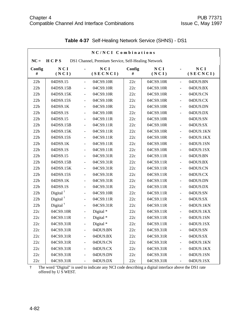|             | NC/NCI Combinations                                        |                              |                 |             |              |                |                 |  |  |  |
|-------------|------------------------------------------------------------|------------------------------|-----------------|-------------|--------------|----------------|-----------------|--|--|--|
| $NC =$      | HCPS<br>DS1 Channel, Premium Service, Self-Healing Network |                              |                 |             |              |                |                 |  |  |  |
| Config<br># | NCI<br>(NCI)                                               |                              | NCI<br>(SECNCI) | Config<br># | NCI<br>(NCI) |                | NCI<br>(SECNCI) |  |  |  |
| 22b         | 04DS9.15                                                   | $\blacksquare$               | 04CS9.10R       | 22c         | 04CS9.10R    | $\blacksquare$ | 04DU9.BN        |  |  |  |
| 22b         | 04DS9.15B                                                  | $\frac{1}{2}$                | 04CS9.10R       | 22c         | 04CS9.10R    | ÷,             | 04DU9.BX        |  |  |  |
| 22b         | 04DS9.15K                                                  | $\blacksquare$               | 04CS9.10R       | 22c         | 04CS9.10R    | ÷,             | 04DU9.CN        |  |  |  |
| 22b         | 04DS9.15S                                                  | $\frac{1}{2}$                | 04CS9.10R       | 22c         | 04CS9.10R    | ÷,             | 04DU9.CX        |  |  |  |
| 22b         | 04DS9.1K                                                   | $\frac{1}{2}$                | 04CS9.10R       | 22c         | 04CS9.10R    | ÷,             | 04DU9.DN        |  |  |  |
| 22b         | 04DS9.1S                                                   | $\blacksquare$               | 04CS9.10R       | 22c         | 04CS9.10R    | ÷,             | 04DU9.DX        |  |  |  |
| 22b         | 04DS9.15                                                   | $\frac{1}{2}$                | 04CS9.11R       | 22c         | 04CS9.10R    |                | 04DU9.SN        |  |  |  |
| 22b         | 04DS9.15B                                                  | $\frac{1}{2}$                | 04CS9.11R       | 22c         | 04CS9.10R    | $\blacksquare$ | 04DU9.SX        |  |  |  |
| 22b         | 04DS9.15K                                                  | $\frac{1}{2}$                | 04CS9.11R       | 22c         | 04CS9.10R    | ÷,             | 04DU9.1KN       |  |  |  |
| 22b         | 04DS9.15S                                                  | $\frac{1}{2}$                | 04CS9.11R       | 22c         | 04CS9.10R    | ÷,             | 04DU9.1KX       |  |  |  |
| 22b         | 04DS9.1K                                                   | $\frac{1}{2}$                | 04CS9.11R       | 22c         | 04CS9.10R    | $\blacksquare$ | 04DU9.1SN       |  |  |  |
| 22b         | 04DS9.1S                                                   | $\blacksquare$               | 04CS9.11R       | 22c         | 04CS9.10R    | ÷,             | 04DU9.1SX       |  |  |  |
| 22b         | 04DS9.15                                                   | $\blacksquare$               | 04CS9.31R       | 22c         | 04CS9.11R    | ÷,             | 04DU9.BN        |  |  |  |
| 22b         | 04DS9.15B                                                  | $\frac{1}{2}$                | 04CS9.31R       | 22c         | 04CS9.11R    | $\blacksquare$ | 04DU9.BX        |  |  |  |
| 22b         | 04DS9.15K                                                  | $\frac{1}{2}$                | 04CS9.31R       | 22c         | 04CS9.11R    | ÷,             | 04DU9.CN        |  |  |  |
| 22b         | 04DS9.15S                                                  | $\blacksquare$               | 04CS9.31R       | 22c         | 04CS9.11R    | ÷,             | 04DU9.CX        |  |  |  |
| 22b         | 04DS9.1K                                                   | $\frac{1}{2}$                | 04CS9.31R       | 22c         | 04CS9.11R    | $\blacksquare$ | 04DU9.DN        |  |  |  |
| 22b         | 04DS9.1S                                                   | $\frac{1}{2}$                | 04CS9.31R       | 22c         | 04CS9.11R    | ÷,             | 04DU9.DX        |  |  |  |
| 22b         | Digital $†$                                                | $\frac{1}{2}$                | 04CS9.10R       | 22c         | 04CS9.11R    | ÷,             | 04DU9.SN        |  |  |  |
| 22b         | Digital $†$                                                | $\frac{1}{2}$                | 04CS9.11R       | 22c         | 04CS9.11R    | ÷,             | 04DU9.SX        |  |  |  |
| 22b         | Digital $†$                                                | $\blacksquare$               | 04CS9.31R       | 22c         | 04CS9.11R    | ÷,             | 04DU9.1KN       |  |  |  |
| 22c         | 04CS9.10R                                                  | $\frac{1}{2}$                | Digital*        | 22c         | 04CS9.11R    | ÷,             | 04DU9.1KX       |  |  |  |
| 22c         | 04CS9.11R                                                  | $\frac{1}{2}$                | Digital *       | 22c         | 04CS9.11R    | ÷,             | 04DU9.1SN       |  |  |  |
| 22c         | 04CS9.31R                                                  | $\overline{\phantom{a}}$     | Digital *       | 22c         | 04CS9.11R    | $\blacksquare$ | 04DU9.1SX       |  |  |  |
| 22c         | 04CS9.31R                                                  | $\overline{\phantom{a}}$     | 04DU9.BN        | 22c         | 04CS9.31R    | ÷,             | 04DU9.SN        |  |  |  |
| 22c         | 04CS9.31R                                                  | $\frac{1}{2}$                | 04DU9.BX        | 22c         | 04CS9.31R    | $\blacksquare$ | 04DU9.SX        |  |  |  |
| 22c         | 04CS9.31R                                                  |                              | 04DU9.CN        | 22c         | 04CS9.31R    |                | 04DU9.1KN       |  |  |  |
| 22c         | 04CS9.31R                                                  | $\qquad \qquad \blacksquare$ | 04DU9.CX        | 22c         | 04CS9.31R    | $\blacksquare$ | 04DU9.1KX       |  |  |  |
| 22c         | 04CS9.31R                                                  | $\blacksquare$               | 04DU9.DN        | 22c         | 04CS9.31R    | ÷,             | 04DU9.1SN       |  |  |  |
| 22c         | 04CS9.31R                                                  | $\overline{\phantom{0}}$     | 04DU9.DX        | 22c         | 04CS9.31R    | $\blacksquare$ | 04DU9.1SX       |  |  |  |

## **Table 4-37** Self-Healing Network Service (SHNS) - DS1

† The word "Digital" is used to indicate any NCI code describing a digital interface above the DS1 rate offered by U S WEST.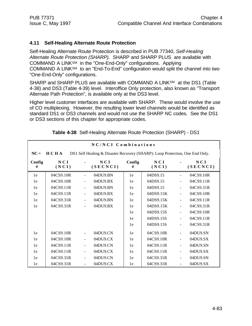#### **4.11 Self-Healing Alternate Route Protection**

Self-Healing Alternate Route Protection is described in PUB 77340, *Self-Healing Alternate Route Protection (SHARP).* SHARP and SHARP PLUS are available with COMMAND A LINKSM in the "One-End-Only" configurations. Applying COMMAND A LINKSM to an "End-To-End" configuration would split the channel into two "One-End-Only" configurations.

SHARP and SHARP PLUS are available with COMMAND A LINK<sup>SM</sup> at the DS1 (Table 4-38) and DS3 (Table 4-39) level. Interoffice Only protection, also known as "Transport Alternate Path Protection", is available only at the DS3 level.

Higher level customer interfaces are available with SHARP. These would involve the use of CO multiplexing. However, the resulting lower level channels would be identified as standard DS1 or DS3 channels and would not use the SHARP NC codes. See the DS1 or DS3 sections of this chapter for appropriate codes.

|             | NC/NCI Combinations                                                                  |                          |                 |             |              |                          |                 |  |  |  |
|-------------|--------------------------------------------------------------------------------------|--------------------------|-----------------|-------------|--------------|--------------------------|-----------------|--|--|--|
| $NC =$      | HCHA<br>DS1 Self Healing & Disaster Recovery (SHARP): Loop Protection, One End Only. |                          |                 |             |              |                          |                 |  |  |  |
| Config<br># | NCI<br>(NCI)                                                                         |                          | NCI<br>(SECNCI) | Config<br># | NCI<br>(NCI) |                          | NCI<br>(SECNCI) |  |  |  |
| 1e          | 04CS9.10R                                                                            | $\blacksquare$           | 04DU9.BN        | 1e          | 04DS9.15     | ÷,                       | 04CS9.10R       |  |  |  |
| 1e          | 04CS9.10R                                                                            | $\blacksquare$           | 04DU9.BX        | 1e          | 04DS9.15     | $\overline{a}$           | 04CS9.11R       |  |  |  |
| 1e          | 04CS9.11R                                                                            | $\overline{\phantom{a}}$ | 04DU9.BN        | 1e          | 04DS9.15     | $\blacksquare$           | 04CS9.31R       |  |  |  |
| 1e          | 04CS9.11R                                                                            | $\frac{1}{2}$            | 04DU9.BX        | 1e          | 04DS9.15K    | $\frac{1}{2}$            | 04CS9.10R       |  |  |  |
| 1e          | 04CS9.31R                                                                            |                          | 04DU9.BN        | 1e          | 04DS9.15K    | $\blacksquare$           | 04CS9.11R       |  |  |  |
| 1e          | 04CS9.31R                                                                            | $\blacksquare$           | 04DU9.BX        | 1e          | 04DS9.15K    | $\blacksquare$           | 04CS9.31R       |  |  |  |
|             |                                                                                      |                          |                 | 1e          | 04DS9.15S    | $\overline{\phantom{a}}$ | 04CS9.10R       |  |  |  |
|             |                                                                                      |                          |                 | 1e          | 04DS9.15S    | $\frac{1}{2}$            | 04CS9.11R       |  |  |  |
|             |                                                                                      |                          |                 | 1e          | 04DS9.15S    |                          | 04CS9.31R       |  |  |  |
| 1e          | 04CS9.10R                                                                            |                          | 04DU9.CN        | 1e          | 04CS9.10R    | $\overline{a}$           | 04DU9.SN        |  |  |  |
| 1e          | 04CS9.10R                                                                            | $\overline{\phantom{a}}$ | 04DU9.CX        | 1e          | 04CS9.10R    | $\overline{\phantom{a}}$ | 04DU9.SX        |  |  |  |
| 1e          | 04CS9.11R                                                                            | $\overline{\phantom{a}}$ | 04DU9.CN        | 1e          | 04CS9.11R    | $\overline{\phantom{a}}$ | 04DU9.SN        |  |  |  |
| 1e          | 04CS9.11R                                                                            |                          | 04DU9.CX        | 1e          | 04CS9.11R    | $\overline{a}$           | 04DU9.SX        |  |  |  |
| 1e          | 04CS9.31R                                                                            |                          | 04DU9.CN        | 1e          | 04CS9.31R    | $\blacksquare$           | 04DU9.SN        |  |  |  |
| 1e          | 04CS9.31R                                                                            |                          | 04DU9.CX        | 1e          | 04CS9.31R    |                          | 04DU9.SX        |  |  |  |

**Table 4-38** Self-Healing Alternate Route Protection (SHARP) - DS1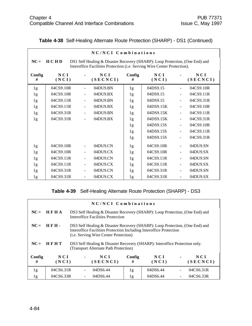|             | NC/NCI Combinations                                                                                                                                                     |                          |                 |                |              |                          |                 |  |  |  |
|-------------|-------------------------------------------------------------------------------------------------------------------------------------------------------------------------|--------------------------|-----------------|----------------|--------------|--------------------------|-----------------|--|--|--|
| $NC =$      | <b>HCHD</b><br>DS1 Self Healing & Disaster Recovery (SHARP): Loop Protection, (One End) and<br>Interoffice Facilities Protection (i.e. Serving Wire Center Protection). |                          |                 |                |              |                          |                 |  |  |  |
| Config<br># | NCI<br>(NCI)                                                                                                                                                            |                          | NCI<br>(SECNCI) | Config<br>#    | NCI<br>(NCI) |                          | NCI<br>(SECNCI) |  |  |  |
| 1g          | 04CS9.10R                                                                                                                                                               | $\overline{\phantom{a}}$ | 04DU9.BN        | 1g             | 04DS9.15     | $\frac{1}{2}$            | 04CS9.10R       |  |  |  |
| 1g          | 04CS9.10R                                                                                                                                                               |                          | 04DU9.BX        | 1g             | 04DS9.15     | $\overline{a}$           | 04CS9.11R       |  |  |  |
| 1g          | 04CS9.11R                                                                                                                                                               | $\overline{\phantom{a}}$ | 04DU9.BN        | 1 <sub>g</sub> | 04DS9.15     | $\blacksquare$           | 04CS9.31R       |  |  |  |
| 1g          | 04CS9.11R                                                                                                                                                               | $\frac{1}{2}$            | 04DU9.BX        | 1g             | 04DS9.15K    | ÷,                       | 04CS9.10R       |  |  |  |
| 1g          | 04CS9.31R                                                                                                                                                               | $\overline{\phantom{a}}$ | 04DU9.BN        | 1g             | 04DS9.15K    | $\blacksquare$           | 04CS9.11R       |  |  |  |
| 1g          | 04CS9.31R                                                                                                                                                               |                          | 04DU9.BX        | 1g             | 04DS9.15K    | $\blacksquare$           | 04CS9.31R       |  |  |  |
|             |                                                                                                                                                                         |                          |                 | 1g             | 04DS9.15S    | $\blacksquare$           | 04CS9.10R       |  |  |  |
|             |                                                                                                                                                                         |                          |                 | 1g             | 04DS9.15S    | $\blacksquare$           | 04CS9.11R       |  |  |  |
|             |                                                                                                                                                                         |                          |                 | 1g             | 04DS9.15S    | $\blacksquare$           | 04CS9.31R       |  |  |  |
| 1g          | 04CS9.10R                                                                                                                                                               |                          | 04DU9.CN        | 1 <sub>g</sub> | 04CS9.10R    | $\blacksquare$           | 04DU9.SN        |  |  |  |
| 1g          | 04CS9.10R                                                                                                                                                               |                          | 04DU9.CX        | 1g             | 04CS9.10R    | ÷,                       | 04DU9.SX        |  |  |  |
| 1g          | 04CS9.11R                                                                                                                                                               | $\overline{\phantom{a}}$ | 04DU9.CN        | 1g             | 04CS9.11R    | $\overline{\phantom{a}}$ | 04DU9.SN        |  |  |  |
| 1g          | 04CS9.11R                                                                                                                                                               |                          | 04DU9.CX        | 1g             | 04CS9.11R    |                          | 04DU9.SX        |  |  |  |
| 1g          | 04CS9.31R                                                                                                                                                               | $\overline{\phantom{a}}$ | 04DU9.CN        | 1g             | 04CS9.31R    | $\frac{1}{2}$            | 04DU9.SN        |  |  |  |
| 1g          | 04CS9.31R                                                                                                                                                               |                          | 04DU9.CX        | 1g             | 04CS9.31R    | $\blacksquare$           | 04DU9.SX        |  |  |  |

#### **Table 4-38** Self-Healing Alternate Route Protection (SHARP) - DS1 (Continued)

**Table 4-39** Self-Healing Alternate Route Protection (SHARP) - DS3

| NC/NCI Combinations |             |  |                                                                                                                                                                                                     |        |          |  |           |  |
|---------------------|-------------|--|-----------------------------------------------------------------------------------------------------------------------------------------------------------------------------------------------------|--------|----------|--|-----------|--|
| $NC =$              | <b>HFHA</b> |  | DS3 Self Healing & Disaster Recovery (SHARP): Loop Protection, (One End) and<br>Interoffice Facilities Protection                                                                                   |        |          |  |           |  |
| $NC =$              | <b>HFH.</b> |  | DS3 Self Healing & Disaster Recovery (SHARP): Loop Protection, (One End) and<br>Interoffice Facilities Protection Including Interoffice Protection<br>( <i>i.e.</i> Serving Wire Center Protection) |        |          |  |           |  |
| $NC =$              | HFHT        |  | DS3 Self Healing & Disaster Recovery (SHARP): Interoffice Protection only.<br>(Transport Alternate Path Protection)                                                                                 |        |          |  |           |  |
| Config              | NCI         |  | N C I                                                                                                                                                                                               | Config | NCI      |  | NCI       |  |
| #                   | (NCI)       |  | (SECNCI)                                                                                                                                                                                            | #      | (NCI)    |  | (SECNCI)  |  |
| 1g                  | 04CS6.31R   |  | 04DS6.44                                                                                                                                                                                            | 1g     | 04DS6.44 |  | 04CS6.31R |  |
| 1g                  | 04CS6.33R   |  | 04DS6.44                                                                                                                                                                                            | 1g     | 04DS6.44 |  | 04CS6.33R |  |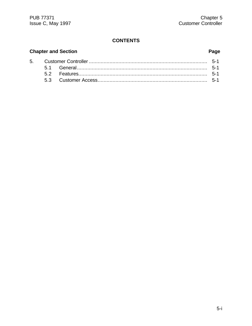## **CONTENTS**

# **Chapter and Section**

5.

# Page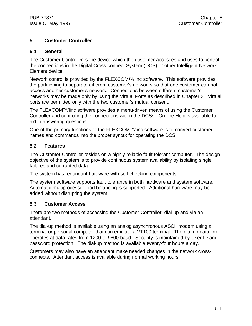#### **5. Customer Controller**

#### **5.1 General**

The Customer Controller is the device which the customer accesses and uses to control the connections in the Digital Cross-connect System (DCS) or other Intelligent Network Element device.

Network control is provided by the FLEXCOMTM/linc software. This software provides the partitioning to separate different customer's networks so that one customer can not access another customer's network. Connections between different customer's networks may be made only by using the Virtual Ports as described in Chapter 2. Virtual ports are permitted only with the two customer's mutual consent.

The FLEXCOMTM/linc software provides a menu-driven means of using the Customer Controller and controlling the connections within the DCSs. On-line Help is available to aid in answering questions.

One of the primary functions of the FLEXCOMTM/linc software is to convert customer names and commands into the proper syntax for operating the DCS.

#### **5.2 Features**

The Customer Controller resides on a highly reliable fault tolerant computer. The design objective of the system is to provide continuous system availability by isolating single failures and corrupted data.

The system has redundant hardware with self-checking components.

The system software supports fault tolerance in both hardware and system software. Automatic multiprocessor load balancing is supported. Additional hardware may be added without disrupting the system.

#### **5.3 Customer Access**

There are two methods of accessing the Customer Controller: dial-up and via an attendant.

The dial-up method is available using an analog asynchronous ASCII modem using a terminal or personal computer that can emulate a VT100 terminal. The dial-up data link operates at data rates from 1200 to 9600 baud. Security is maintained by User ID and password protection. The dial-up method is available twenty-four hours a day.

Customers may also have an attendant make needed changes in the network crossconnects. Attendant access is available during normal working hours.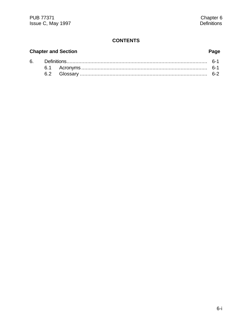## **CONTENTS**

# **Chapter and Section**

# Page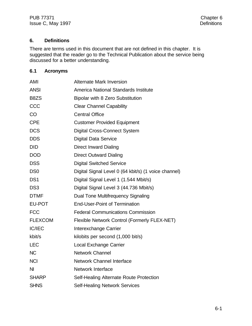#### **6. Definitions**

There are terms used in this document that are not defined in this chapter. It is suggested that the reader go to the Technical Publication about the service being discussed for a better understanding.

#### **6.1 Acronyms**

| AMI             | <b>Alternate Mark Inversion</b>                      |
|-----------------|------------------------------------------------------|
| <b>ANSI</b>     | America National Standards Institute                 |
| B8ZS            | <b>Bipolar with 8 Zero Substitution</b>              |
| CCC             | <b>Clear Channel Capability</b>                      |
| CO              | <b>Central Office</b>                                |
| <b>CPE</b>      | <b>Customer Provided Equipment</b>                   |
| <b>DCS</b>      | <b>Digital Cross-Connect System</b>                  |
| <b>DDS</b>      | <b>Digital Data Service</b>                          |
| <b>DID</b>      | <b>Direct Inward Dialing</b>                         |
| <b>DOD</b>      | <b>Direct Outward Dialing</b>                        |
| <b>DSS</b>      | <b>Digital Switched Service</b>                      |
| DS <sub>0</sub> | Digital Signal Level 0 (64 kbit/s) (1 voice channel) |
| DS <sub>1</sub> | Digital Signal Level 1 (1.544 Mbit/s)                |
| DS <sub>3</sub> | Digital Signal Level 3 (44.736 Mbit/s)               |
| <b>DTMF</b>     | Dual Tone Multifrequency Signaling                   |
| EU-POT          | <b>End-User-Point of Termination</b>                 |
| <b>FCC</b>      | <b>Federal Communications Commission</b>             |
| <b>FLEXCOM</b>  | Flexible Network Control (Formerly FLEX-NET)         |
| <b>IC/IEC</b>   | Interexchange Carrier                                |
| kbit/s          | kilobits per second (1,000 bit/s)                    |
| <b>LEC</b>      | Local Exchange Carrier                               |
| <b>NC</b>       | <b>Network Channel</b>                               |
| <b>NCI</b>      | <b>Network Channel Interface</b>                     |
| N <sub>l</sub>  | <b>Network Interface</b>                             |
| <b>SHARP</b>    | Self-Healing Alternate Route Protection              |
| <b>SHNS</b>     | <b>Self-Healing Network Services</b>                 |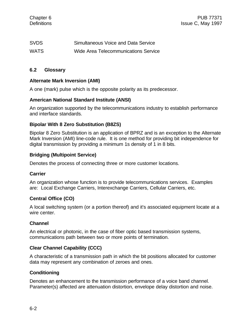| <b>SVDS</b> | Simultaneous Voice and Data Service  |
|-------------|--------------------------------------|
| <b>WATS</b> | Wide Area Telecommunications Service |

#### **6.2 Glossary**

#### **Alternate Mark Inversion (AMI)**

A one (mark) pulse which is the opposite polarity as its predecessor.

#### **American National Standard Institute (ANSI)**

An organization supported by the telecommunications industry to establish performance and interface standards.

#### **Bipolar With 8 Zero Substitution (B8ZS)**

Bipolar 8 Zero Substitution is an application of BPRZ and is an exception to the Alternate Mark Inversion (AMI) line-code rule. It is one method for providing bit independence for digital transmission by providing a minimum 1s density of 1 in 8 bits.

#### **Bridging (Multipoint Service)**

Denotes the process of connecting three or more customer locations.

#### **Carrier**

An organization whose function is to provide telecommunications services. Examples are: Local Exchange Carriers, Interexchange Carriers, Cellular Carriers, etc.

#### **Central Office (CO)**

A local switching system (or a portion thereof) and it's associated equipment locate at a wire center.

#### **Channel**

An electrical or photonic, in the case of fiber optic based transmission systems, communications path between two or more points of termination.

#### **Clear Channel Capability (CCC)**

A characteristic of a transmission path in which the bit positions allocated for customer data may represent any combination of zeroes and ones.

#### **Conditioning**

Denotes an enhancement to the transmission performance of a voice band channel. Parameter(s) affected are attenuation distortion, envelope delay distortion and noise.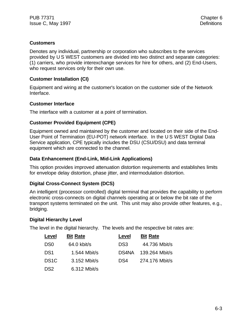#### **Customers**

Denotes any individual, partnership or corporation who subscribes to the services provided by U S WEST customers are divided into two distinct and separate categories: (1) carriers, who provide interexchange services for hire for others, and (2) End-Users, who request services only for their own use.

#### **Customer Installation (CI)**

Equipment and wiring at the customer's location on the customer side of the Network Interface.

#### **Customer Interface**

The interface with a customer at a point of termination.

#### **Customer Provided Equipment (CPE)**

Equipment owned and maintained by the customer and located on their side of the End-User Point of Termination (EU-POT) network interface. In the U S WEST Digital Data Service application, CPE typically includes the DSU (CSU/DSU) and data terminal equipment which are connected to the channel.

#### **Data Enhancement (End-Link, Mid-Link Applications)**

This option provides improved attenuation distortion requirements and establishes limits for envelope delay distortion, phase jitter, and intermodulation distortion.

#### **Digital Cross-Connect System (DCS)**

An intelligent (processor controlled) digital terminal that provides the capability to perform electronic cross-connects on digital channels operating at or below the bit rate of the transport systems terminated on the unit. This unit may also provide other features, e.g., bridging.

#### **Digital Hierarchy Level**

The level in the digital hierarchy. The levels and the respective bit rates are:

| Level             | <b>Bit Rate</b> | Level           | <b>Bit Rate</b> |
|-------------------|-----------------|-----------------|-----------------|
| D <sub>S0</sub>   | 64.0 kbit/s     | DS <sub>3</sub> | 44.736 Mbit/s   |
| DS <sub>1</sub>   | 1.544 Mbit/s    | DS4NA           | 139.264 Mbit/s  |
| DS <sub>1</sub> C | 3.152 Mbit/s    | DS4             | 274.176 Mbit/s  |
| DS <sub>2</sub>   | 6.312 Mbit/s    |                 |                 |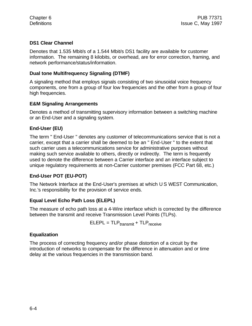#### **DS1 Clear Channel**

Denotes that 1.535 Mbit/s of a 1.544 Mbit/s DS1 facility are available for customer information. The remaining 8 kilobits, or overhead, are for error correction, framing, and network performance/status/information.

#### **Dual tone Multifrequency Signaling (DTMF)**

A signaling method that employs signals consisting of two sinusoidal voice frequency components, one from a group of four low frequencies and the other from a group of four high frequencies.

#### **E&M Signaling Arrangements**

Denotes a method of transmitting supervisory information between a switching machine or an End-User and a signaling system.

### **End-User (EU)**

The term " End-User " denotes any customer of telecommunications service that is not a carrier, except that a carrier shall be deemed to be an " End-User " to the extent that such carrier uses a telecommunications service for administrative purposes without making such service available to others, directly or indirectly. The term is frequently used to denote the difference between a Carrier interface and an interface subject to unique regulatory requirements at non-Carrier customer premises (FCC Part 68, etc.)

#### **End-User POT (EU-POT)**

The Network Interface at the End-User's premises at which U S WEST Communication, Inc.'s responsibility for the provision of service ends.

#### **Equal Level Echo Path Loss (ELEPL)**

The measure of echo path loss at a 4-Wire interface which is corrected by the difference between the transmit and receive Transmission Level Points (TLPs).

 $ELEPL = TLP_{transmit} + TLP_{receive}$ 

#### **Equalization**

The process of correcting frequency and/or phase distortion of a circuit by the introduction of networks to compensate for the difference in attenuation and or time delay at the various frequencies in the transmission band.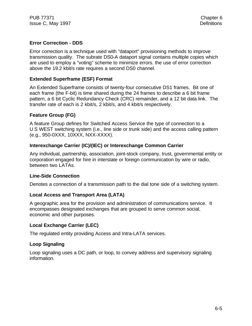### **Error Correction - DDS**

Error correction is a technique used with "dataport" provisioning methods to improve transmission quality. The subrate DS0-A dataport signal contains multiple copies which are used to employ a "voting" scheme to minimize errors. the use of error correction above the 19.2 kbit/s rate requires a second DS0 channel.

#### **Extended Superframe (ESF) Format**

An Extended Superframe consists of twenty-four consecutive DS1 frames. Bit one of each frame (the F-bit) is time shared during the 24 frames to describe a 6 bit frame pattern, a 6 bit Cyclic Redundancy Check (CRC) remainder, and a 12 bit data link. The transfer rate of each is 2 kbit/s, 2 kbit/s, and 4 kbit/s respectively.

#### **Feature Group (FG)**

A feature Group defines for Switched Access Service the type of connection to a U S WEST switching system (i.e., line side or trunk side) and the access calling pattern (e.g., 950-0XXX, 10XXX, NXX-XXXX).

#### **Interexchange Carrier (IC)/(IEC) or Interexchange Common Carrier**

Any individual, partnership, association, joint-stock company, trust, governmental entity or corporation engaged for hire in interstate or foreign communication by wire or radio, between two LATAs.

#### **Line-Side Connection**

Denotes a connection of a transmission path to the dial tone side of a switching system.

#### **Local Access and Transport Area (LATA)**

A geographic area for the provision and administration of communications service. It encompasses designated exchanges that are grouped to serve common social, economic and other purposes.

#### **Local Exchange Carrier (LEC)**

The regulated entity providing Access and Intra-LATA services.

#### **Loop Signaling**

Loop signaling uses a DC path, or loop, to convey address and supervisory signaling information.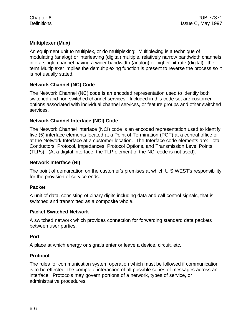#### **Multiplexer (Mux)**

An equipment unit to multiplex, or do multiplexing: Multiplexing is a technique of modulating (analog) or interleaving (digital) multiple, relatively narrow bandwidth channels into a single channel having a wider bandwidth (analog) or higher bit-rate (digital). the term Multiplexer implies the demultiplexing function is present to reverse the process so it is not usually stated.

#### **Network Channel (NC) Code**

The Network Channel (NC) code is an encoded representation used to identify both switched and non-switched channel services. Included in this code set are customer options associated with individual channel services, or feature groups and other switched services.

#### **Network Channel Interface (NCI) Code**

The Network Channel Interface (NCI) code is an encoded representation used to identify five (5) interface elements located at a Point of Termination (POT) at a central office or at the Network Interface at a customer location. The Interface code elements are: Total Conductors, Protocol, Impedances, Protocol Options, and Transmission Level Points (TLPs). (At a digital interface, the TLP element of the NCI code is not used).

#### **Network Interface (NI)**

The point of demarcation on the customer's premises at which U S WEST's responsibility for the provision of service ends.

#### **Packet**

A unit of data, consisting of binary digits including data and call-control signals, that is switched and transmitted as a composite whole.

#### **Packet Switched Network**

A switched network which provides connection for forwarding standard data packets between user parties.

#### **Port**

A place at which energy or signals enter or leave a device, circuit, etc.

#### **Protocol**

The rules for communication system operation which must be followed if communication is to be effected; the complete interaction of all possible series of messages across an interface. Protocols may govern portions of a network, types of service, or administrative procedures.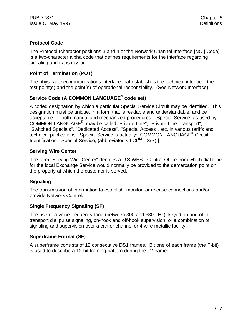#### **Protocol Code**

The Protocol (character positions 3 and 4 or the Network Channel Interface [NCI] Code) is a two-character alpha code that defines requirements for the interface regarding signaling and transmission.

#### **Point of Termination (POT)**

The physical telecommunications interface that establishes the technical interface, the test point(s) and the point(s) of operational responsibility. (See Network Interface).

## **Service Code (A COMMON LANGUAGE® code set)**

A coded designation by which a particular Special Service Circuit may be identified. This designation must be unique, in a form that is readable and understandable, and be acceptable for both manual and mechanized procedures. [Special Service, as used by COMMON LANGUAGE® , may be called "Private Line", "Private Line Transport", "Switched Specials", "Dedicated Access", "Special Access", etc. in various tariffs and technical publications. Special Service is actually: COMMON LANGUAGE® Circuit Identification - Special Service, (abbreviated CLCI<sup>TM</sup> - S/S).]

#### **Serving Wire Center**

The term "Serving Wire Center" denotes a U S WEST Central Office from which dial tone for the local Exchange Service would normally be provided to the demarcation point on the property at which the customer is served.

#### **Signaling**

The transmission of information to establish, monitor, or release connections and/or provide Network Control.

#### **Single Frequency Signaling (SF)**

The use of a voice frequency tone (between 300 and 3300 Hz), keyed on and off, to transport dial pulse signaling, on-hook and off-hook supervision, or a combination of signaling and supervision over a carrier channel or 4-wire metallic facility.

#### **Superframe Format (SF)**

A superframe consists of 12 consecutive DS1 frames. Bit one of each frame (the F-bit) is used to describe a 12-bit framing pattern during the 12 frames.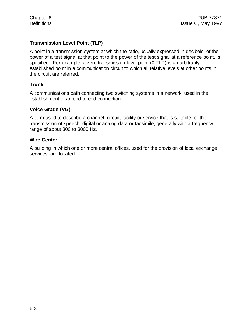#### **Transmission Level Point (TLP)**

A point in a transmission system at which the ratio, usually expressed in decibels, of the power of a test signal at that point to the power of the test signal at a reference point, is specified. For example, a zero transmission level point (0 TLP) is an arbitrarily established point in a communication circuit to which all relative levels at other points in the circuit are referred.

#### **Trunk**

A communications path connecting two switching systems in a network, used in the establishment of an end-to-end connection.

#### **Voice Grade (VG)**

A term used to describe a channel, circuit, facility or service that is suitable for the transmission of speech, digital or analog data or facsimile, generally with a frequency range of about 300 to 3000 Hz.

#### **Wire Center**

A building in which one or more central offices, used for the provision of local exchange services, are located.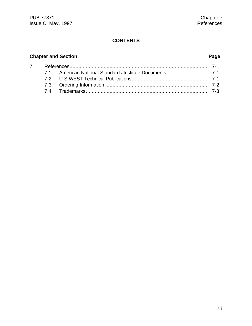## **CONTENTS**

# **Chapter and Section Page**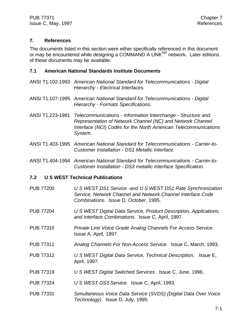#### **7. References**

The documents listed in this section were either specifically referenced in this document or may be encountered while designing a COMMAND A LINK<sup>SM</sup> network. Later editions of these documents may be available.

#### **7.1 American National Standards Institute Documents**

- ANSI T1.102-1993 *American National Standard for Telecommunications Digital Hierarchy - Electrical Interfaces.*
- ANSI T1.107-1995 *American National Standard for Telecommunications Digital Hierarchy - Formats Specifications.*
- ANSI T1.223-1991 *Telecommunications Information Interchange Structure and Representation of Network Channel (NC) and Network Channel Interface (NCI) Codes for the North American Telecommunications System.*
- ANSI T1.403-1995 *American National Standard for Telecommunications Carrier-to-Customer Installation - DS1 Metallic Interface.*
- ANSI T1.404-1994 *American National Standard for Telecommunications Carrier-to-Customer Installation - DS3 metallic Interface Specification.*

#### **7.2 U S WEST Technical Publications**

- PUB 77200 *U S WEST DS1 Service -and U S WEST DS1 Rate Synchronization Service, Network Channel and Network Channel Interface Code Combinations.* Issue D, October, 1995.
- PUB 77204 *U S WEST Digital Data Service, Product Description, Applications, and Interface Combinations.* Issue C, April, 1997.
- PUB 77310 *Private Line Voice Grade Analog Channels For Access Service.* Issue A, April, 1997.
- PUB 77311 *Analog Channels For Non-Access Service.* Issue C, March, 1993.
- PUB 77312 *U S WEST Digital Data Service, Technical Description,* Issue E, April, 1997.
- PUB 77319 *U S WEST Digital Switched Services*. Issue C, June, 1996.
- PUB 77324 *U S WEST DS3 Service.* Issue C, April, 1993.
- PUB 77331 *Simultaneous Voice Data Service (SVDS) (Digital Data Over Voice Technology).* Issue D, July, 1995.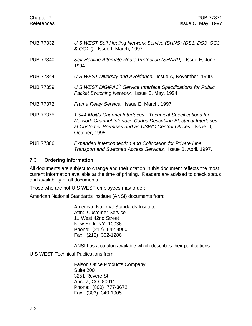| Chapter 7<br>References | <b>PUB 77371</b><br>Issue C, May, 1997                                                                                                                                                                                    |
|-------------------------|---------------------------------------------------------------------------------------------------------------------------------------------------------------------------------------------------------------------------|
| <b>PUB 77332</b>        | U S WEST Self Healing Network Service (SHNS) (DS1, DS3, OC3,<br>& OC12). Issue I, March, 1997.                                                                                                                            |
| <b>PUB 77340</b>        | Self-Healing Alternate Route Protection (SHARP). Issue E, June,<br>1994.                                                                                                                                                  |
| <b>PUB 77344</b>        | U S WEST Diversity and Avoidance. Issue A, November, 1990.                                                                                                                                                                |
| <b>PUB 77359</b>        | U S WEST DIGIPAC <sup>®</sup> Service Interface Specifications for Public<br>Packet Switching Network. Issue E, May, 1994.                                                                                                |
| <b>PUB 77372</b>        | Frame Relay Service. Issue E, March, 1997.                                                                                                                                                                                |
| <b>PUB 77375</b>        | 1.544 Mbit/s Channel Interfaces - Technical Specifications for<br><b>Network Channel Interface Codes Describing Electrical Interfaces</b><br>at Customer Premises and as USWC Central Offices. Issue D,<br>October, 1995. |
| <b>PUB 77386</b>        | <b>Expanded Interconnection and Collocation for Private Line</b><br>Transport and Switched Access Services. Issue B, April, 1997.                                                                                         |

#### **7.3 Ordering Information**

All documents are subject to change and their citation in this document reflects the most current information available at the time of printing. Readers are advised to check status and availability of all documents.

Those who are not U S WEST employees may order;

American National Standards Institute (ANSI) documents from:

American National Standards Institute Attn: Customer Service 11 West 42nd Street New York, NY 10036 Phone: (212) 642-4900 Fax: (212) 302-1286

ANSI has a catalog available which describes their publications.

U S WEST Technical Publications from:

Faison Office Products Company Suite 200 3251 Revere St. Aurora, CO 80011 Phone: (800) 777-3672 Fax: (303) 340-1905